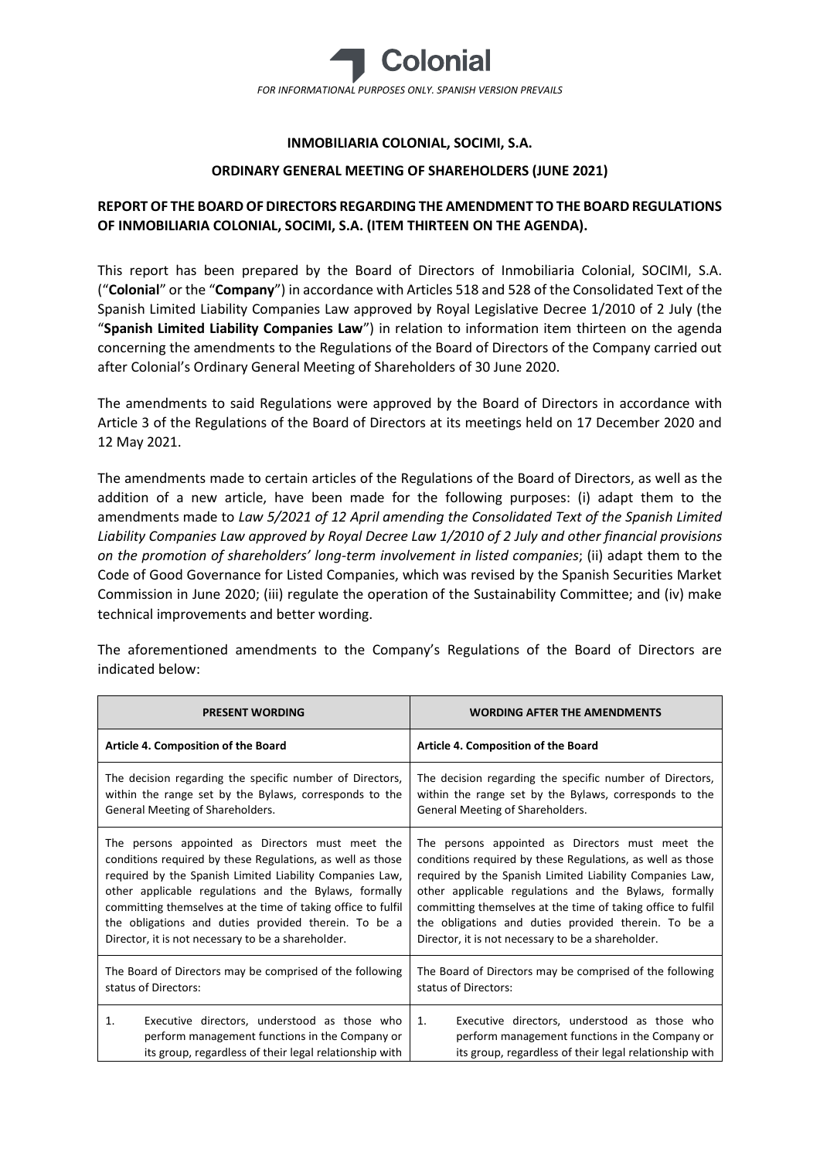

# **INMOBILIARIA COLONIAL, SOCIMI, S.A.**

### **ORDINARY GENERAL MEETING OF SHAREHOLDERS (JUNE 2021)**

# **REPORT OF THE BOARD OF DIRECTORS REGARDING THE AMENDMENT TO THE BOARD REGULATIONS OF INMOBILIARIA COLONIAL, SOCIMI, S.A. (ITEM THIRTEEN ON THE AGENDA).**

This report has been prepared by the Board of Directors of Inmobiliaria Colonial, SOCIMI, S.A. ("**Colonial**" or the "**Company**") in accordance with Articles 518 and 528 of the Consolidated Text of the Spanish Limited Liability Companies Law approved by Royal Legislative Decree 1/2010 of 2 July (the "**Spanish Limited Liability Companies Law**") in relation to information item thirteen on the agenda concerning the amendments to the Regulations of the Board of Directors of the Company carried out after Colonial's Ordinary General Meeting of Shareholders of 30 June 2020.

The amendments to said Regulations were approved by the Board of Directors in accordance with Article 3 of the Regulations of the Board of Directors at its meetings held on 17 December 2020 and 12 May 2021.

The amendments made to certain articles of the Regulations of the Board of Directors, as well as the addition of a new article, have been made for the following purposes: (i) adapt them to the amendments made to *Law 5/2021 of 12 April amending the Consolidated Text of the Spanish Limited Liability Companies Law approved by Royal Decree Law 1/2010 of 2 July and other financial provisions on the promotion of shareholders' long-term involvement in listed companies*; (ii) adapt them to the Code of Good Governance for Listed Companies, which was revised by the Spanish Securities Market Commission in June 2020; (iii) regulate the operation of the Sustainability Committee; and (iv) make technical improvements and better wording.

The aforementioned amendments to the Company's Regulations of the Board of Directors are indicated below:

| <b>PRESENT WORDING</b>                                       | <b>WORDING AFTER THE AMENDMENTS</b>                          |
|--------------------------------------------------------------|--------------------------------------------------------------|
| Article 4. Composition of the Board                          | Article 4. Composition of the Board                          |
| The decision regarding the specific number of Directors,     | The decision regarding the specific number of Directors,     |
| within the range set by the Bylaws, corresponds to the       | within the range set by the Bylaws, corresponds to the       |
| General Meeting of Shareholders.                             | General Meeting of Shareholders.                             |
| The persons appointed as Directors must meet the             | The persons appointed as Directors must meet the             |
| conditions required by these Regulations, as well as those   | conditions required by these Regulations, as well as those   |
| required by the Spanish Limited Liability Companies Law,     | required by the Spanish Limited Liability Companies Law,     |
| other applicable regulations and the Bylaws, formally        | other applicable regulations and the Bylaws, formally        |
| committing themselves at the time of taking office to fulfil | committing themselves at the time of taking office to fulfil |
| the obligations and duties provided therein. To be a         | the obligations and duties provided therein. To be a         |
| Director, it is not necessary to be a shareholder.           | Director, it is not necessary to be a shareholder.           |
| The Board of Directors may be comprised of the following     | The Board of Directors may be comprised of the following     |
| status of Directors:                                         | status of Directors:                                         |
| Executive directors, understood as those who                 | Executive directors, understood as those who                 |
| 1.                                                           | 1.                                                           |
| perform management functions in the Company or               | perform management functions in the Company or               |
| its group, regardless of their legal relationship with       | its group, regardless of their legal relationship with       |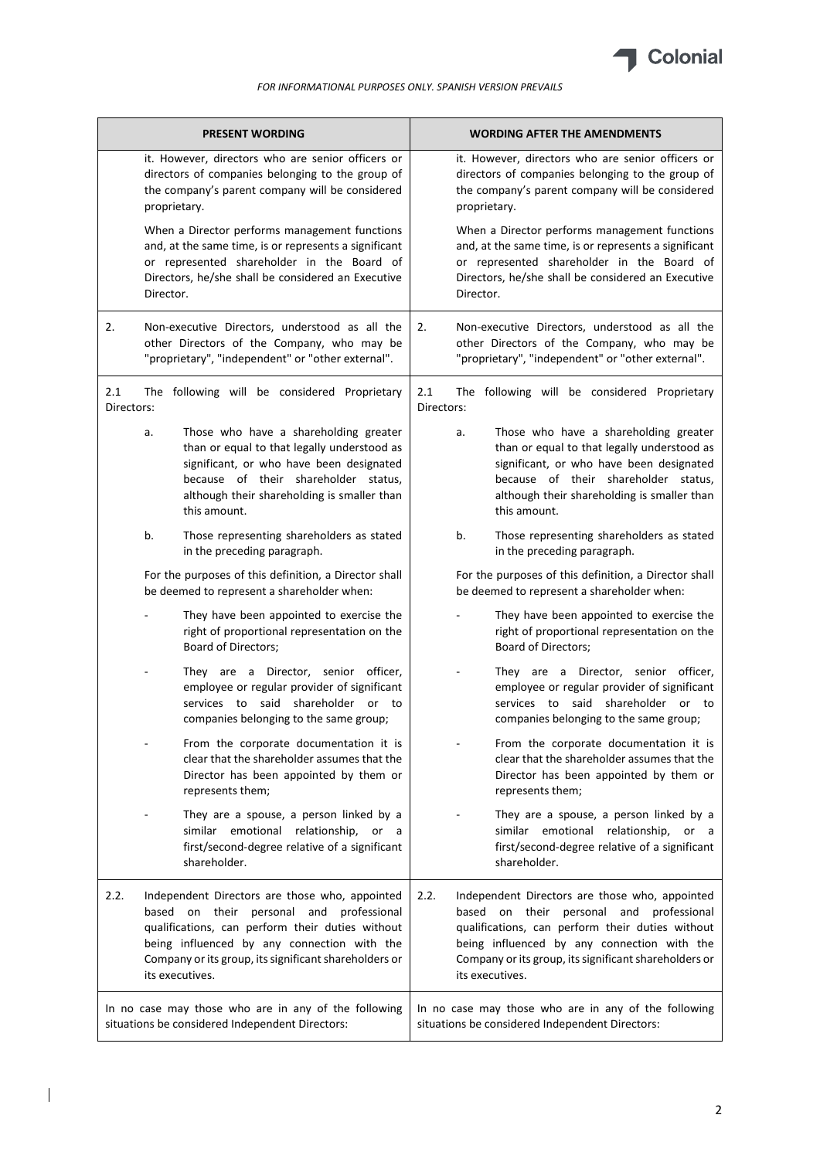

|                   | <b>PRESENT WORDING</b>                                                                                                                                                                                                                                                    | <b>WORDING AFTER THE AMENDMENTS</b>                                                                                                                                                                                                                                               |
|-------------------|---------------------------------------------------------------------------------------------------------------------------------------------------------------------------------------------------------------------------------------------------------------------------|-----------------------------------------------------------------------------------------------------------------------------------------------------------------------------------------------------------------------------------------------------------------------------------|
|                   | it. However, directors who are senior officers or<br>directors of companies belonging to the group of<br>the company's parent company will be considered<br>proprietary.                                                                                                  | it. However, directors who are senior officers or<br>directors of companies belonging to the group of<br>the company's parent company will be considered<br>proprietary.                                                                                                          |
|                   | When a Director performs management functions<br>and, at the same time, is or represents a significant<br>or represented shareholder in the Board of<br>Directors, he/she shall be considered an Executive<br>Director.                                                   | When a Director performs management functions<br>and, at the same time, is or represents a significant<br>or represented shareholder in the Board of<br>Directors, he/she shall be considered an Executive<br>Director.                                                           |
| 2.                | Non-executive Directors, understood as all the<br>other Directors of the Company, who may be<br>"proprietary", "independent" or "other external".                                                                                                                         | Non-executive Directors, understood as all the<br>2.<br>other Directors of the Company, who may be<br>"proprietary", "independent" or "other external".                                                                                                                           |
| 2.1<br>Directors: | The following will be considered Proprietary                                                                                                                                                                                                                              | 2.1<br>The following will be considered Proprietary<br>Directors:                                                                                                                                                                                                                 |
|                   | Those who have a shareholding greater<br>a.<br>than or equal to that legally understood as<br>significant, or who have been designated<br>because of their shareholder status,<br>although their shareholding is smaller than<br>this amount.                             | Those who have a shareholding greater<br>a.<br>than or equal to that legally understood as<br>significant, or who have been designated<br>because of their shareholder status,<br>although their shareholding is smaller than<br>this amount.                                     |
|                   | b.<br>Those representing shareholders as stated<br>in the preceding paragraph.                                                                                                                                                                                            | b.<br>Those representing shareholders as stated<br>in the preceding paragraph.                                                                                                                                                                                                    |
|                   | For the purposes of this definition, a Director shall<br>be deemed to represent a shareholder when:                                                                                                                                                                       | For the purposes of this definition, a Director shall<br>be deemed to represent a shareholder when:                                                                                                                                                                               |
|                   | They have been appointed to exercise the<br>right of proportional representation on the<br><b>Board of Directors;</b>                                                                                                                                                     | They have been appointed to exercise the<br>right of proportional representation on the<br>Board of Directors;                                                                                                                                                                    |
|                   | They are a Director, senior officer,<br>employee or regular provider of significant<br>services to said shareholder or to<br>companies belonging to the same group;                                                                                                       | They are a Director, senior officer,<br>employee or regular provider of significant<br>services to said shareholder or to<br>companies belonging to the same group;                                                                                                               |
|                   | From the corporate documentation it is<br>clear that the shareholder assumes that the<br>Director has been appointed by them or<br>represents them;                                                                                                                       | From the corporate documentation it is<br>clear that the shareholder assumes that the<br>Director has been appointed by them or<br>represents them;                                                                                                                               |
|                   | They are a spouse, a person linked by a<br>similar emotional relationship, or a<br>first/second-degree relative of a significant<br>shareholder.                                                                                                                          | They are a spouse, a person linked by a<br>similar emotional relationship, or a<br>first/second-degree relative of a significant<br>shareholder.                                                                                                                                  |
| 2.2.              | Independent Directors are those who, appointed<br>based on their personal and professional<br>qualifications, can perform their duties without<br>being influenced by any connection with the<br>Company or its group, its significant shareholders or<br>its executives. | 2.2.<br>Independent Directors are those who, appointed<br>based on their personal and professional<br>qualifications, can perform their duties without<br>being influenced by any connection with the<br>Company or its group, its significant shareholders or<br>its executives. |
|                   | In no case may those who are in any of the following<br>situations be considered Independent Directors:                                                                                                                                                                   | In no case may those who are in any of the following<br>situations be considered Independent Directors:                                                                                                                                                                           |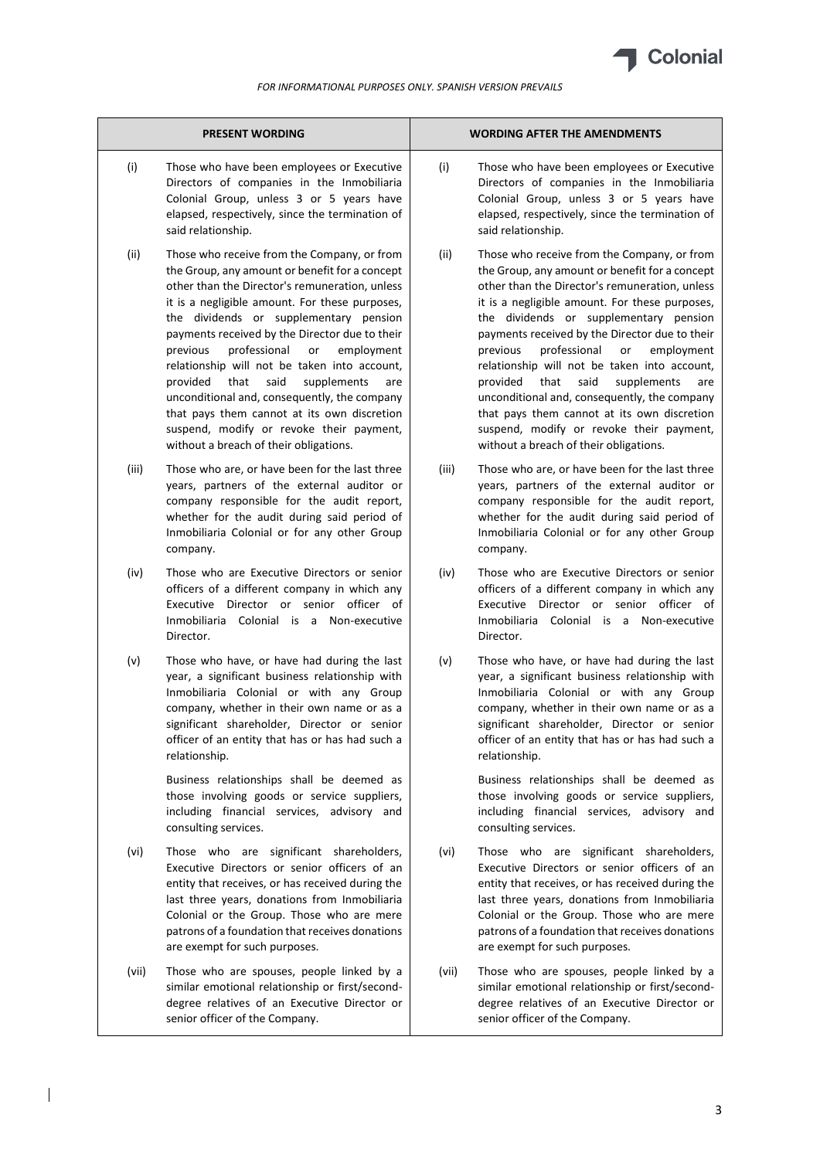

|       | <b>PRESENT WORDING</b>                                                                                                                                                                                                                                                                                                                                                                                                                                                                                                                                                                                                               |       | <b>WORDING AFTER THE AMENDMENTS</b>                                                                                                                                                                                                                                                                                                                                                                                                                                                                                                                                                                                                  |
|-------|--------------------------------------------------------------------------------------------------------------------------------------------------------------------------------------------------------------------------------------------------------------------------------------------------------------------------------------------------------------------------------------------------------------------------------------------------------------------------------------------------------------------------------------------------------------------------------------------------------------------------------------|-------|--------------------------------------------------------------------------------------------------------------------------------------------------------------------------------------------------------------------------------------------------------------------------------------------------------------------------------------------------------------------------------------------------------------------------------------------------------------------------------------------------------------------------------------------------------------------------------------------------------------------------------------|
| (i)   | Those who have been employees or Executive<br>Directors of companies in the Inmobiliaria<br>Colonial Group, unless 3 or 5 years have<br>elapsed, respectively, since the termination of<br>said relationship.                                                                                                                                                                                                                                                                                                                                                                                                                        | (i)   | Those who have been employees or Executive<br>Directors of companies in the Inmobiliaria<br>Colonial Group, unless 3 or 5 years have<br>elapsed, respectively, since the termination of<br>said relationship.                                                                                                                                                                                                                                                                                                                                                                                                                        |
| (ii)  | Those who receive from the Company, or from<br>the Group, any amount or benefit for a concept<br>other than the Director's remuneration, unless<br>it is a negligible amount. For these purposes,<br>the dividends or supplementary pension<br>payments received by the Director due to their<br>previous<br>professional<br>or<br>employment<br>relationship will not be taken into account,<br>provided<br>that<br>said<br>supplements<br>are<br>unconditional and, consequently, the company<br>that pays them cannot at its own discretion<br>suspend, modify or revoke their payment,<br>without a breach of their obligations. | (ii)  | Those who receive from the Company, or from<br>the Group, any amount or benefit for a concept<br>other than the Director's remuneration, unless<br>it is a negligible amount. For these purposes,<br>the dividends or supplementary pension<br>payments received by the Director due to their<br>professional<br>previous<br>employment<br>or<br>relationship will not be taken into account,<br>provided<br>that<br>said<br>supplements<br>are<br>unconditional and, consequently, the company<br>that pays them cannot at its own discretion<br>suspend, modify or revoke their payment,<br>without a breach of their obligations. |
| (iii) | Those who are, or have been for the last three<br>years, partners of the external auditor or<br>company responsible for the audit report,<br>whether for the audit during said period of<br>Inmobiliaria Colonial or for any other Group<br>company.                                                                                                                                                                                                                                                                                                                                                                                 | (iii) | Those who are, or have been for the last three<br>years, partners of the external auditor or<br>company responsible for the audit report,<br>whether for the audit during said period of<br>Inmobiliaria Colonial or for any other Group<br>company.                                                                                                                                                                                                                                                                                                                                                                                 |
| (iv)  | Those who are Executive Directors or senior<br>officers of a different company in which any<br>Executive Director or senior officer of<br>Inmobiliaria Colonial is a Non-executive<br>Director.                                                                                                                                                                                                                                                                                                                                                                                                                                      | (iv)  | Those who are Executive Directors or senior<br>officers of a different company in which any<br>Executive Director or senior officer of<br>Inmobiliaria Colonial is a Non-executive<br>Director.                                                                                                                                                                                                                                                                                                                                                                                                                                      |
| (v)   | Those who have, or have had during the last<br>year, a significant business relationship with<br>Inmobiliaria Colonial or with any Group<br>company, whether in their own name or as a<br>significant shareholder, Director or senior<br>officer of an entity that has or has had such a<br>relationship.                                                                                                                                                                                                                                                                                                                            | (v)   | Those who have, or have had during the last<br>year, a significant business relationship with<br>Inmobiliaria Colonial or with any Group<br>company, whether in their own name or as a<br>significant shareholder, Director or senior<br>officer of an entity that has or has had such a<br>relationship.                                                                                                                                                                                                                                                                                                                            |
|       | Business relationships shall be deemed as<br>those involving goods or service suppliers,<br>including financial services, advisory and<br>consulting services.                                                                                                                                                                                                                                                                                                                                                                                                                                                                       |       | Business relationships shall be deemed as<br>those involving goods or service suppliers,<br>including financial services, advisory and<br>consulting services.                                                                                                                                                                                                                                                                                                                                                                                                                                                                       |
| (vi)  | Those who are significant shareholders,<br>Executive Directors or senior officers of an<br>entity that receives, or has received during the<br>last three years, donations from Inmobiliaria<br>Colonial or the Group. Those who are mere<br>patrons of a foundation that receives donations<br>are exempt for such purposes.                                                                                                                                                                                                                                                                                                        | (vi)  | Those who are significant shareholders,<br>Executive Directors or senior officers of an<br>entity that receives, or has received during the<br>last three years, donations from Inmobiliaria<br>Colonial or the Group. Those who are mere<br>patrons of a foundation that receives donations<br>are exempt for such purposes.                                                                                                                                                                                                                                                                                                        |
| (vii) | Those who are spouses, people linked by a<br>similar emotional relationship or first/second-<br>degree relatives of an Executive Director or<br>senior officer of the Company.                                                                                                                                                                                                                                                                                                                                                                                                                                                       | (vii) | Those who are spouses, people linked by a<br>similar emotional relationship or first/second-<br>degree relatives of an Executive Director or<br>senior officer of the Company.                                                                                                                                                                                                                                                                                                                                                                                                                                                       |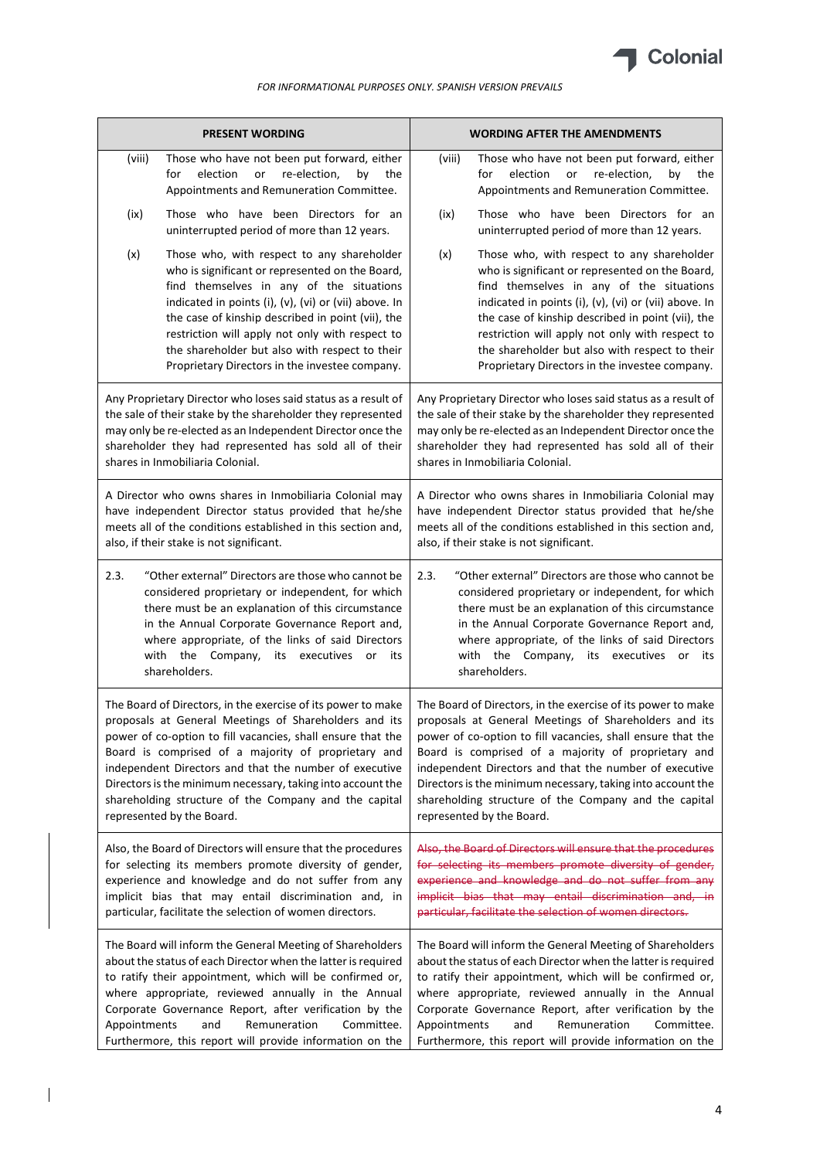

|              | <b>PRESENT WORDING</b>                                                                                                                                                                                                                                                                                                                                                                                                                                     | <b>WORDING AFTER THE AMENDMENTS</b>                                                                                                                                                                                                                                                                                                                                                                                                                        |  |
|--------------|------------------------------------------------------------------------------------------------------------------------------------------------------------------------------------------------------------------------------------------------------------------------------------------------------------------------------------------------------------------------------------------------------------------------------------------------------------|------------------------------------------------------------------------------------------------------------------------------------------------------------------------------------------------------------------------------------------------------------------------------------------------------------------------------------------------------------------------------------------------------------------------------------------------------------|--|
| (viii)       | Those who have not been put forward, either<br>for<br>election<br>re-election,<br>or<br>by<br>the<br>Appointments and Remuneration Committee.                                                                                                                                                                                                                                                                                                              | Those who have not been put forward, either<br>(viii)<br>election<br>re-election,<br>for<br>or<br>by<br>the<br>Appointments and Remuneration Committee.                                                                                                                                                                                                                                                                                                    |  |
| (ix)         | Those who have been Directors for an<br>uninterrupted period of more than 12 years.                                                                                                                                                                                                                                                                                                                                                                        | Those who have been Directors for an<br>(ix)<br>uninterrupted period of more than 12 years.                                                                                                                                                                                                                                                                                                                                                                |  |
| (x)          | Those who, with respect to any shareholder<br>who is significant or represented on the Board,<br>find themselves in any of the situations<br>indicated in points (i), (v), (vi) or (vii) above. In<br>the case of kinship described in point (vii), the<br>restriction will apply not only with respect to<br>the shareholder but also with respect to their<br>Proprietary Directors in the investee company.                                             | (x)<br>Those who, with respect to any shareholder<br>who is significant or represented on the Board,<br>find themselves in any of the situations<br>indicated in points (i), (v), (vi) or (vii) above. In<br>the case of kinship described in point (vii), the<br>restriction will apply not only with respect to<br>the shareholder but also with respect to their<br>Proprietary Directors in the investee company.                                      |  |
|              | Any Proprietary Director who loses said status as a result of<br>the sale of their stake by the shareholder they represented<br>may only be re-elected as an Independent Director once the<br>shareholder they had represented has sold all of their<br>shares in Inmobiliaria Colonial.                                                                                                                                                                   | Any Proprietary Director who loses said status as a result of<br>the sale of their stake by the shareholder they represented<br>may only be re-elected as an Independent Director once the<br>shareholder they had represented has sold all of their<br>shares in Inmobiliaria Colonial.                                                                                                                                                                   |  |
|              | A Director who owns shares in Inmobiliaria Colonial may<br>have independent Director status provided that he/she<br>meets all of the conditions established in this section and,<br>also, if their stake is not significant.                                                                                                                                                                                                                               | A Director who owns shares in Inmobiliaria Colonial may<br>have independent Director status provided that he/she<br>meets all of the conditions established in this section and,<br>also, if their stake is not significant.                                                                                                                                                                                                                               |  |
| 2.3.         | "Other external" Directors are those who cannot be<br>considered proprietary or independent, for which<br>there must be an explanation of this circumstance<br>in the Annual Corporate Governance Report and,<br>where appropriate, of the links of said Directors<br>with the Company, its executives or<br>its<br>shareholders.                                                                                                                          | 2.3.<br>"Other external" Directors are those who cannot be<br>considered proprietary or independent, for which<br>there must be an explanation of this circumstance<br>in the Annual Corporate Governance Report and,<br>where appropriate, of the links of said Directors<br>with the Company, its executives or<br>its<br>shareholders.                                                                                                                  |  |
|              | The Board of Directors, in the exercise of its power to make<br>proposals at General Meetings of Shareholders and its<br>power of co-option to fill vacancies, shall ensure that the<br>Board is comprised of a majority of proprietary and<br>independent Directors and that the number of executive<br>Directors is the minimum necessary, taking into account the<br>shareholding structure of the Company and the capital<br>represented by the Board. | The Board of Directors, in the exercise of its power to make<br>proposals at General Meetings of Shareholders and its<br>power of co-option to fill vacancies, shall ensure that the<br>Board is comprised of a majority of proprietary and<br>independent Directors and that the number of executive<br>Directors is the minimum necessary, taking into account the<br>shareholding structure of the Company and the capital<br>represented by the Board. |  |
|              | Also, the Board of Directors will ensure that the procedures<br>for selecting its members promote diversity of gender,<br>experience and knowledge and do not suffer from any<br>implicit bias that may entail discrimination and, in<br>particular, facilitate the selection of women directors.                                                                                                                                                          | Also, the Board of Directors will ensure that the procedures<br>for selecting its members promote diversity of gender,<br>experience and knowledge and do not suffer from any<br>implicit bias that may entail discrimination and, in<br>particular, facilitate the selection of women directors.                                                                                                                                                          |  |
| Appointments | The Board will inform the General Meeting of Shareholders<br>about the status of each Director when the latter is required<br>to ratify their appointment, which will be confirmed or,<br>where appropriate, reviewed annually in the Annual<br>Corporate Governance Report, after verification by the<br>Remuneration<br>and<br>Committee.<br>Furthermore, this report will provide information on the                                                    | The Board will inform the General Meeting of Shareholders<br>about the status of each Director when the latter is required<br>to ratify their appointment, which will be confirmed or,<br>where appropriate, reviewed annually in the Annual<br>Corporate Governance Report, after verification by the<br>Remuneration<br>Committee.<br>Appointments<br>and<br>Furthermore, this report will provide information on the                                    |  |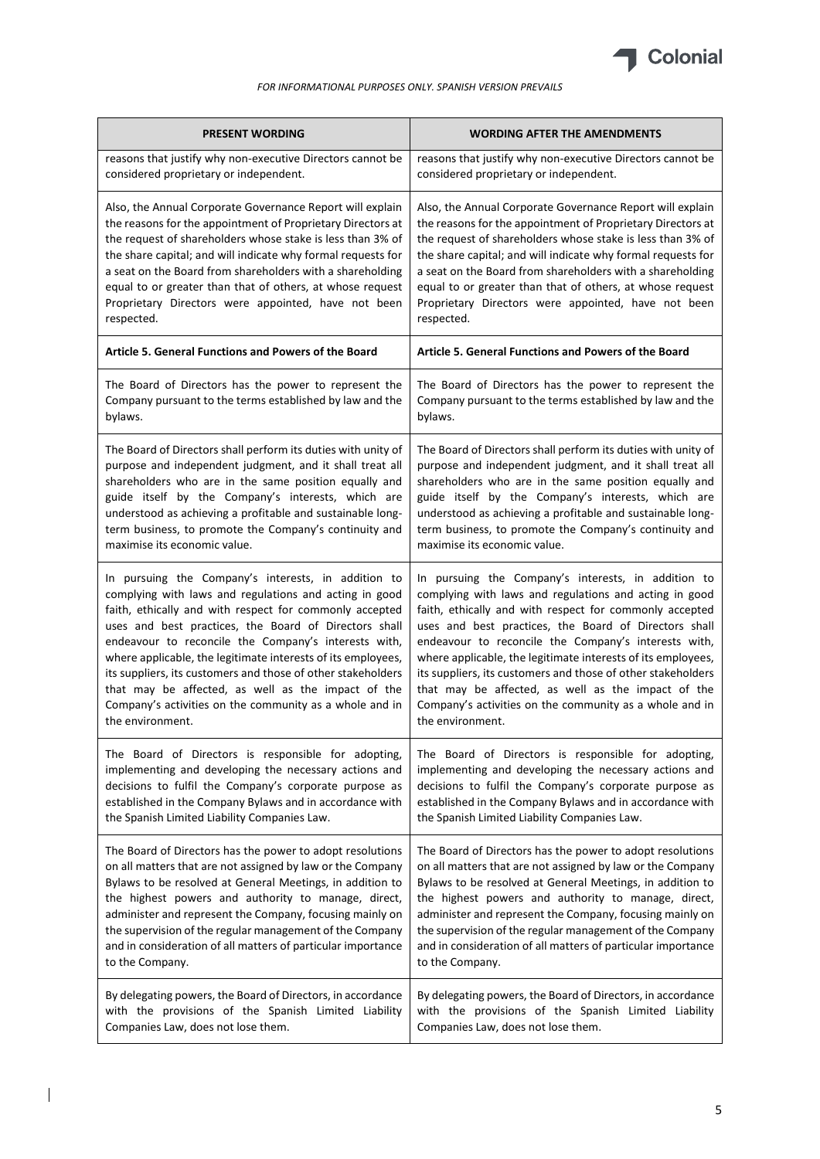

| <b>PRESENT WORDING</b>                                        | <b>WORDING AFTER THE AMENDMENTS</b>                           |
|---------------------------------------------------------------|---------------------------------------------------------------|
| reasons that justify why non-executive Directors cannot be    | reasons that justify why non-executive Directors cannot be    |
| considered proprietary or independent.                        | considered proprietary or independent.                        |
| Also, the Annual Corporate Governance Report will explain     | Also, the Annual Corporate Governance Report will explain     |
| the reasons for the appointment of Proprietary Directors at   | the reasons for the appointment of Proprietary Directors at   |
| the request of shareholders whose stake is less than 3% of    | the request of shareholders whose stake is less than 3% of    |
| the share capital; and will indicate why formal requests for  | the share capital; and will indicate why formal requests for  |
| a seat on the Board from shareholders with a shareholding     | a seat on the Board from shareholders with a shareholding     |
| equal to or greater than that of others, at whose request     | equal to or greater than that of others, at whose request     |
| Proprietary Directors were appointed, have not been           | Proprietary Directors were appointed, have not been           |
| respected.                                                    | respected.                                                    |
| Article 5. General Functions and Powers of the Board          | Article 5. General Functions and Powers of the Board          |
| The Board of Directors has the power to represent the         | The Board of Directors has the power to represent the         |
| Company pursuant to the terms established by law and the      | Company pursuant to the terms established by law and the      |
| bylaws.                                                       | bylaws.                                                       |
| The Board of Directors shall perform its duties with unity of | The Board of Directors shall perform its duties with unity of |
| purpose and independent judgment, and it shall treat all      | purpose and independent judgment, and it shall treat all      |
| shareholders who are in the same position equally and         | shareholders who are in the same position equally and         |
| guide itself by the Company's interests, which are            | guide itself by the Company's interests, which are            |
| understood as achieving a profitable and sustainable long-    | understood as achieving a profitable and sustainable long-    |
| term business, to promote the Company's continuity and        | term business, to promote the Company's continuity and        |
| maximise its economic value.                                  | maximise its economic value.                                  |
| In pursuing the Company's interests, in addition to           | In pursuing the Company's interests, in addition to           |
| complying with laws and regulations and acting in good        | complying with laws and regulations and acting in good        |
| faith, ethically and with respect for commonly accepted       | faith, ethically and with respect for commonly accepted       |
| uses and best practices, the Board of Directors shall         | uses and best practices, the Board of Directors shall         |
| endeavour to reconcile the Company's interests with,          | endeavour to reconcile the Company's interests with,          |
| where applicable, the legitimate interests of its employees,  | where applicable, the legitimate interests of its employees,  |
| its suppliers, its customers and those of other stakeholders  | its suppliers, its customers and those of other stakeholders  |
| that may be affected, as well as the impact of the            | that may be affected, as well as the impact of the            |
| Company's activities on the community as a whole and in       | Company's activities on the community as a whole and in       |
| the environment.                                              | the environment.                                              |
| The Board of Directors is responsible for adopting,           | The Board of Directors is responsible for adopting,           |
| implementing and developing the necessary actions and         | implementing and developing the necessary actions and         |
| decisions to fulfil the Company's corporate purpose as        | decisions to fulfil the Company's corporate purpose as        |
| established in the Company Bylaws and in accordance with      | established in the Company Bylaws and in accordance with      |
| the Spanish Limited Liability Companies Law.                  | the Spanish Limited Liability Companies Law.                  |
| The Board of Directors has the power to adopt resolutions     | The Board of Directors has the power to adopt resolutions     |
| on all matters that are not assigned by law or the Company    | on all matters that are not assigned by law or the Company    |
| Bylaws to be resolved at General Meetings, in addition to     | Bylaws to be resolved at General Meetings, in addition to     |
| the highest powers and authority to manage, direct,           | the highest powers and authority to manage, direct,           |
| administer and represent the Company, focusing mainly on      | administer and represent the Company, focusing mainly on      |
| the supervision of the regular management of the Company      | the supervision of the regular management of the Company      |
| and in consideration of all matters of particular importance  | and in consideration of all matters of particular importance  |
| to the Company.                                               | to the Company.                                               |
| By delegating powers, the Board of Directors, in accordance   | By delegating powers, the Board of Directors, in accordance   |
| with the provisions of the Spanish Limited Liability          | with the provisions of the Spanish Limited Liability          |
| Companies Law, does not lose them.                            | Companies Law, does not lose them.                            |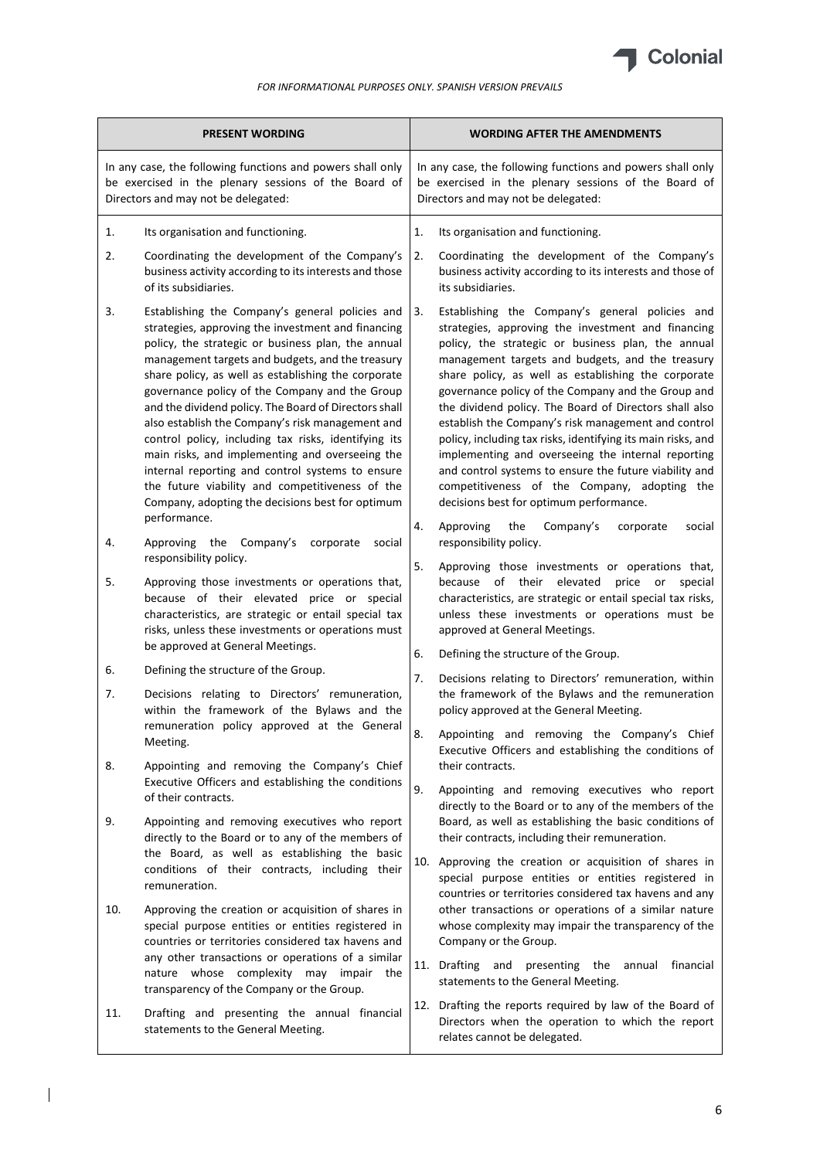

| <b>PRESENT WORDING</b>                                                                                                                                                                                                                                                                                                                                                                                                                                                                                                                                                                                                                                                                                                            | <b>WORDING AFTER THE AMENDMENTS</b>                                                                                                                                                                                                                                                                                                                                                                                                                                                                                                                                                                                                                                                                                            |
|-----------------------------------------------------------------------------------------------------------------------------------------------------------------------------------------------------------------------------------------------------------------------------------------------------------------------------------------------------------------------------------------------------------------------------------------------------------------------------------------------------------------------------------------------------------------------------------------------------------------------------------------------------------------------------------------------------------------------------------|--------------------------------------------------------------------------------------------------------------------------------------------------------------------------------------------------------------------------------------------------------------------------------------------------------------------------------------------------------------------------------------------------------------------------------------------------------------------------------------------------------------------------------------------------------------------------------------------------------------------------------------------------------------------------------------------------------------------------------|
| In any case, the following functions and powers shall only<br>be exercised in the plenary sessions of the Board of<br>Directors and may not be delegated:                                                                                                                                                                                                                                                                                                                                                                                                                                                                                                                                                                         | In any case, the following functions and powers shall only<br>be exercised in the plenary sessions of the Board of<br>Directors and may not be delegated:                                                                                                                                                                                                                                                                                                                                                                                                                                                                                                                                                                      |
| Its organisation and functioning.<br>1.                                                                                                                                                                                                                                                                                                                                                                                                                                                                                                                                                                                                                                                                                           | 1.<br>Its organisation and functioning.                                                                                                                                                                                                                                                                                                                                                                                                                                                                                                                                                                                                                                                                                        |
| Coordinating the development of the Company's<br>2.<br>business activity according to its interests and those<br>of its subsidiaries.                                                                                                                                                                                                                                                                                                                                                                                                                                                                                                                                                                                             | 2.<br>Coordinating the development of the Company's<br>business activity according to its interests and those of<br>its subsidiaries.                                                                                                                                                                                                                                                                                                                                                                                                                                                                                                                                                                                          |
| 3.<br>Establishing the Company's general policies and<br>strategies, approving the investment and financing<br>policy, the strategic or business plan, the annual<br>management targets and budgets, and the treasury<br>share policy, as well as establishing the corporate<br>governance policy of the Company and the Group<br>and the dividend policy. The Board of Directors shall<br>also establish the Company's risk management and<br>control policy, including tax risks, identifying its<br>main risks, and implementing and overseeing the<br>internal reporting and control systems to ensure<br>the future viability and competitiveness of the<br>Company, adopting the decisions best for optimum<br>performance. | 3.<br>Establishing the Company's general policies and<br>strategies, approving the investment and financing<br>policy, the strategic or business plan, the annual<br>management targets and budgets, and the treasury<br>share policy, as well as establishing the corporate<br>governance policy of the Company and the Group and<br>the dividend policy. The Board of Directors shall also<br>establish the Company's risk management and control<br>policy, including tax risks, identifying its main risks, and<br>implementing and overseeing the internal reporting<br>and control systems to ensure the future viability and<br>competitiveness of the Company, adopting the<br>decisions best for optimum performance. |
| Approving the Company's<br>4.<br>corporate<br>social<br>responsibility policy.                                                                                                                                                                                                                                                                                                                                                                                                                                                                                                                                                                                                                                                    | 4.<br>Approving<br>the<br>Company's<br>corporate<br>social<br>responsibility policy.                                                                                                                                                                                                                                                                                                                                                                                                                                                                                                                                                                                                                                           |
| 5.<br>Approving those investments or operations that,<br>because of their elevated price or special<br>characteristics, are strategic or entail special tax<br>risks, unless these investments or operations must                                                                                                                                                                                                                                                                                                                                                                                                                                                                                                                 | 5.<br>Approving those investments or operations that,<br>because of their elevated<br>price<br>or<br>special<br>characteristics, are strategic or entail special tax risks,<br>unless these investments or operations must be<br>approved at General Meetings.                                                                                                                                                                                                                                                                                                                                                                                                                                                                 |
| be approved at General Meetings.<br>Defining the structure of the Group.<br>6.                                                                                                                                                                                                                                                                                                                                                                                                                                                                                                                                                                                                                                                    | 6.<br>Defining the structure of the Group.                                                                                                                                                                                                                                                                                                                                                                                                                                                                                                                                                                                                                                                                                     |
| Decisions relating to Directors' remuneration,<br>7.<br>within the framework of the Bylaws and the                                                                                                                                                                                                                                                                                                                                                                                                                                                                                                                                                                                                                                | 7.<br>Decisions relating to Directors' remuneration, within<br>the framework of the Bylaws and the remuneration<br>policy approved at the General Meeting.                                                                                                                                                                                                                                                                                                                                                                                                                                                                                                                                                                     |
| remuneration policy approved at the General<br>Meeting.                                                                                                                                                                                                                                                                                                                                                                                                                                                                                                                                                                                                                                                                           | 8.<br>Appointing and removing the Company's Chief<br>Executive Officers and establishing the conditions of                                                                                                                                                                                                                                                                                                                                                                                                                                                                                                                                                                                                                     |
| 8.<br>Appointing and removing the Company's Chief<br>Executive Officers and establishing the conditions<br>of their contracts.                                                                                                                                                                                                                                                                                                                                                                                                                                                                                                                                                                                                    | their contracts.<br>9.<br>Appointing and removing executives who report<br>directly to the Board or to any of the members of the                                                                                                                                                                                                                                                                                                                                                                                                                                                                                                                                                                                               |
| 9.<br>Appointing and removing executives who report<br>directly to the Board or to any of the members of                                                                                                                                                                                                                                                                                                                                                                                                                                                                                                                                                                                                                          | Board, as well as establishing the basic conditions of<br>their contracts, including their remuneration.                                                                                                                                                                                                                                                                                                                                                                                                                                                                                                                                                                                                                       |
| the Board, as well as establishing the basic<br>conditions of their contracts, including their<br>remuneration.                                                                                                                                                                                                                                                                                                                                                                                                                                                                                                                                                                                                                   | 10. Approving the creation or acquisition of shares in<br>special purpose entities or entities registered in<br>countries or territories considered tax havens and any                                                                                                                                                                                                                                                                                                                                                                                                                                                                                                                                                         |
| Approving the creation or acquisition of shares in<br>10.<br>special purpose entities or entities registered in<br>countries or territories considered tax havens and<br>any other transactions or operations of a similar<br>nature whose complexity may impair the<br>transparency of the Company or the Group.                                                                                                                                                                                                                                                                                                                                                                                                                 | other transactions or operations of a similar nature<br>whose complexity may impair the transparency of the<br>Company or the Group.<br>11. Drafting<br>and<br>presenting the annual<br>financial<br>statements to the General Meeting.                                                                                                                                                                                                                                                                                                                                                                                                                                                                                        |
| Drafting and presenting the annual financial<br>11.<br>statements to the General Meeting.                                                                                                                                                                                                                                                                                                                                                                                                                                                                                                                                                                                                                                         | 12. Drafting the reports required by law of the Board of<br>Directors when the operation to which the report<br>relates cannot be delegated.                                                                                                                                                                                                                                                                                                                                                                                                                                                                                                                                                                                   |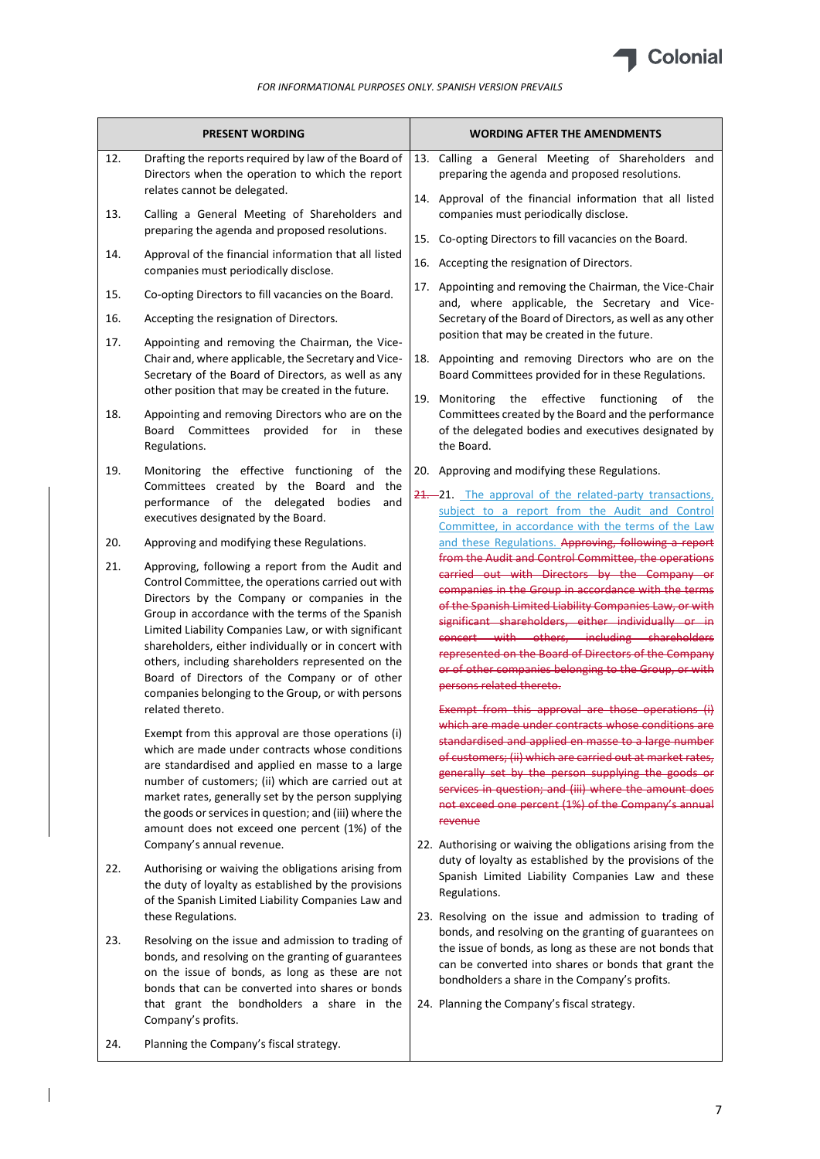

|                                 | <b>PRESENT WORDING</b>                                                                                                                                                                                                                                                                                                                                                                                                                                                                                     | <b>WORDING AFTER THE AMENDMENTS</b>                                                                                                                                                                                                                                                                                                                                                                                                                                                                                                                                                 |
|---------------------------------|------------------------------------------------------------------------------------------------------------------------------------------------------------------------------------------------------------------------------------------------------------------------------------------------------------------------------------------------------------------------------------------------------------------------------------------------------------------------------------------------------------|-------------------------------------------------------------------------------------------------------------------------------------------------------------------------------------------------------------------------------------------------------------------------------------------------------------------------------------------------------------------------------------------------------------------------------------------------------------------------------------------------------------------------------------------------------------------------------------|
| 12.                             | Drafting the reports required by law of the Board of<br>Directors when the operation to which the report<br>relates cannot be delegated.                                                                                                                                                                                                                                                                                                                                                                   | 13. Calling a General Meeting of Shareholders and<br>preparing the agenda and proposed resolutions.<br>14. Approval of the financial information that all listed                                                                                                                                                                                                                                                                                                                                                                                                                    |
| 13.<br>14.                      | Calling a General Meeting of Shareholders and<br>preparing the agenda and proposed resolutions.<br>Approval of the financial information that all listed<br>companies must periodically disclose.                                                                                                                                                                                                                                                                                                          | companies must periodically disclose.<br>15. Co-opting Directors to fill vacancies on the Board.<br>16. Accepting the resignation of Directors.                                                                                                                                                                                                                                                                                                                                                                                                                                     |
| 15.<br>16.<br>17.<br>18.<br>19. | Co-opting Directors to fill vacancies on the Board.<br>Accepting the resignation of Directors.<br>Appointing and removing the Chairman, the Vice-<br>Chair and, where applicable, the Secretary and Vice-<br>Secretary of the Board of Directors, as well as any<br>other position that may be created in the future.<br>Appointing and removing Directors who are on the<br>Board Committees<br>provided<br>for<br>these<br>in<br>Regulations.<br>Monitoring the effective functioning of the<br>the      | 17. Appointing and removing the Chairman, the Vice-Chair<br>and, where applicable, the Secretary and Vice-<br>Secretary of the Board of Directors, as well as any other<br>position that may be created in the future.<br>18. Appointing and removing Directors who are on the<br>Board Committees provided for in these Regulations.<br>the effective<br>19. Monitoring<br>functioning<br>of<br>the<br>Committees created by the Board and the performance<br>of the delegated bodies and executives designated by<br>the Board.<br>20. Approving and modifying these Regulations. |
| 20.                             | Committees created by the Board and<br>performance of the delegated bodies<br>and<br>executives designated by the Board.<br>Approving and modifying these Regulations.                                                                                                                                                                                                                                                                                                                                     | 21. 21. The approval of the related-party transactions,<br>subject to a report from the Audit and Control<br>Committee, in accordance with the terms of the Law<br>and these Regulations. Approving, following a report                                                                                                                                                                                                                                                                                                                                                             |
| 21.                             | Approving, following a report from the Audit and<br>Control Committee, the operations carried out with<br>Directors by the Company or companies in the<br>Group in accordance with the terms of the Spanish<br>Limited Liability Companies Law, or with significant<br>shareholders, either individually or in concert with<br>others, including shareholders represented on the<br>Board of Directors of the Company or of other<br>companies belonging to the Group, or with persons<br>related thereto. | from the Audit and Control Committee, the operations<br>carried out with Directors by the Company or<br>companies in the Group in accordance with the terms<br>of the Spanish Limited Liability Companies Law, or with<br>significant shareholders, either individually or in<br>concert with others, including shareholders<br>represented on the Board of Directors of the Company<br>or of other companies belonging to the Group, or with<br>persons related thereto.<br>Exempt from this approval are those operations (i)                                                     |
|                                 | Exempt from this approval are those operations (i)<br>which are made under contracts whose conditions<br>are standardised and applied en masse to a large<br>number of customers; (ii) which are carried out at<br>market rates, generally set by the person supplying<br>the goods or services in question; and (iii) where the<br>amount does not exceed one percent (1%) of the<br>Company's annual revenue.                                                                                            | which are made under contracts whose conditions are<br>standardised and applied en masse to a large number<br>of customers; (ii) which are carried out at market rates,<br>generally set by the person supplying the goods or<br>services in question; and (iii) where the amount does<br>not exceed one percent (1%) of the Company's annual<br>revenue<br>22. Authorising or waiving the obligations arising from the                                                                                                                                                             |
| 22.                             | Authorising or waiving the obligations arising from<br>the duty of loyalty as established by the provisions<br>of the Spanish Limited Liability Companies Law and<br>these Regulations.                                                                                                                                                                                                                                                                                                                    | duty of loyalty as established by the provisions of the<br>Spanish Limited Liability Companies Law and these<br>Regulations.<br>23. Resolving on the issue and admission to trading of                                                                                                                                                                                                                                                                                                                                                                                              |
| 23.                             | Resolving on the issue and admission to trading of<br>bonds, and resolving on the granting of guarantees<br>on the issue of bonds, as long as these are not<br>bonds that can be converted into shares or bonds<br>that grant the bondholders a share in the<br>Company's profits.                                                                                                                                                                                                                         | bonds, and resolving on the granting of guarantees on<br>the issue of bonds, as long as these are not bonds that<br>can be converted into shares or bonds that grant the<br>bondholders a share in the Company's profits.<br>24. Planning the Company's fiscal strategy.                                                                                                                                                                                                                                                                                                            |
| 24.                             | Planning the Company's fiscal strategy.                                                                                                                                                                                                                                                                                                                                                                                                                                                                    |                                                                                                                                                                                                                                                                                                                                                                                                                                                                                                                                                                                     |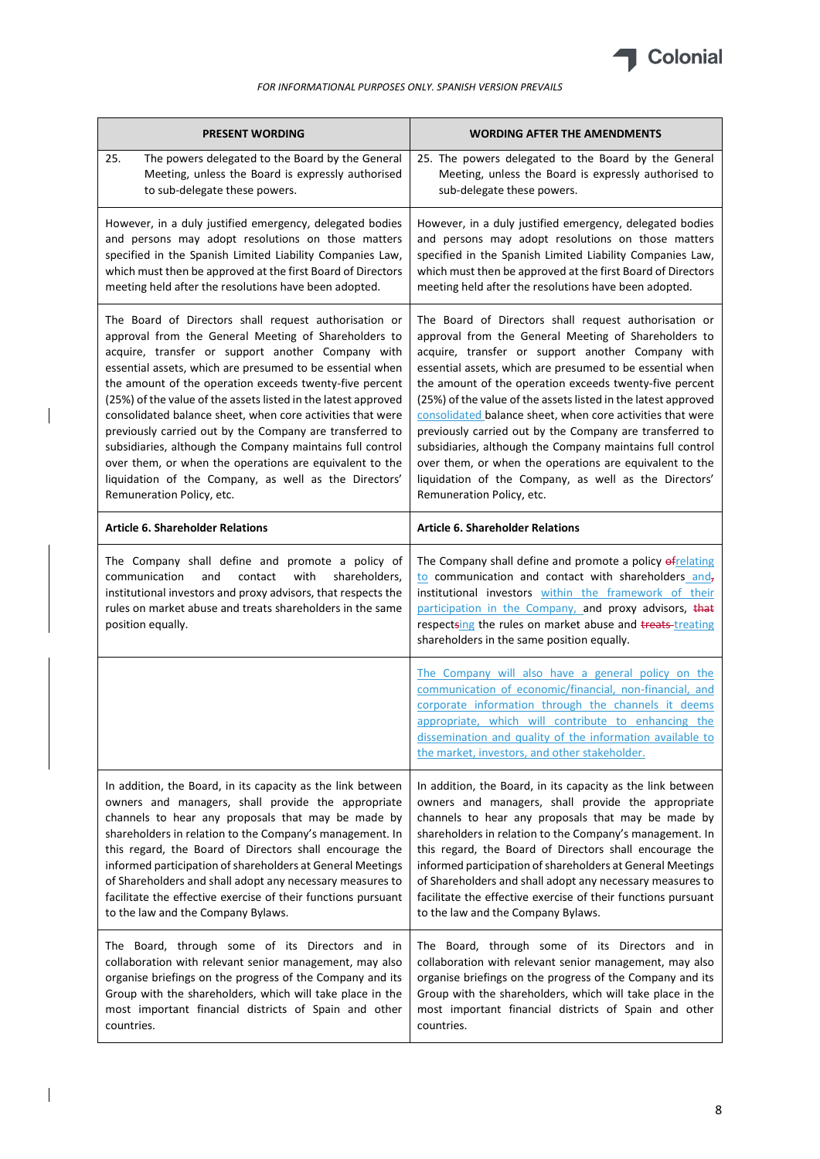

| <b>PRESENT WORDING</b>                                                                                                                                                                                                                                                                                                                                                                                                                                                                                                                                                                                                                                                                               | <b>WORDING AFTER THE AMENDMENTS</b>                                                                                                                                                                                                                                                                                                                                                                                                                                                                                                                                                                                                                                                                  |
|------------------------------------------------------------------------------------------------------------------------------------------------------------------------------------------------------------------------------------------------------------------------------------------------------------------------------------------------------------------------------------------------------------------------------------------------------------------------------------------------------------------------------------------------------------------------------------------------------------------------------------------------------------------------------------------------------|------------------------------------------------------------------------------------------------------------------------------------------------------------------------------------------------------------------------------------------------------------------------------------------------------------------------------------------------------------------------------------------------------------------------------------------------------------------------------------------------------------------------------------------------------------------------------------------------------------------------------------------------------------------------------------------------------|
| 25.<br>The powers delegated to the Board by the General<br>Meeting, unless the Board is expressly authorised<br>to sub-delegate these powers.                                                                                                                                                                                                                                                                                                                                                                                                                                                                                                                                                        | 25. The powers delegated to the Board by the General<br>Meeting, unless the Board is expressly authorised to<br>sub-delegate these powers.                                                                                                                                                                                                                                                                                                                                                                                                                                                                                                                                                           |
| However, in a duly justified emergency, delegated bodies<br>and persons may adopt resolutions on those matters<br>specified in the Spanish Limited Liability Companies Law,<br>which must then be approved at the first Board of Directors<br>meeting held after the resolutions have been adopted.                                                                                                                                                                                                                                                                                                                                                                                                  | However, in a duly justified emergency, delegated bodies<br>and persons may adopt resolutions on those matters<br>specified in the Spanish Limited Liability Companies Law,<br>which must then be approved at the first Board of Directors<br>meeting held after the resolutions have been adopted.                                                                                                                                                                                                                                                                                                                                                                                                  |
| The Board of Directors shall request authorisation or<br>approval from the General Meeting of Shareholders to<br>acquire, transfer or support another Company with<br>essential assets, which are presumed to be essential when<br>the amount of the operation exceeds twenty-five percent<br>(25%) of the value of the assets listed in the latest approved<br>consolidated balance sheet, when core activities that were<br>previously carried out by the Company are transferred to<br>subsidiaries, although the Company maintains full control<br>over them, or when the operations are equivalent to the<br>liquidation of the Company, as well as the Directors'<br>Remuneration Policy, etc. | The Board of Directors shall request authorisation or<br>approval from the General Meeting of Shareholders to<br>acquire, transfer or support another Company with<br>essential assets, which are presumed to be essential when<br>the amount of the operation exceeds twenty-five percent<br>(25%) of the value of the assets listed in the latest approved<br>consolidated balance sheet, when core activities that were<br>previously carried out by the Company are transferred to<br>subsidiaries, although the Company maintains full control<br>over them, or when the operations are equivalent to the<br>liquidation of the Company, as well as the Directors'<br>Remuneration Policy, etc. |
| <b>Article 6. Shareholder Relations</b>                                                                                                                                                                                                                                                                                                                                                                                                                                                                                                                                                                                                                                                              | <b>Article 6. Shareholder Relations</b>                                                                                                                                                                                                                                                                                                                                                                                                                                                                                                                                                                                                                                                              |
| The Company shall define and promote a policy of<br>communication<br>and<br>contact<br>with<br>shareholders,<br>institutional investors and proxy advisors, that respects the<br>rules on market abuse and treats shareholders in the same<br>position equally.                                                                                                                                                                                                                                                                                                                                                                                                                                      | The Company shall define and promote a policy of relating<br>to communication and contact with shareholders and,<br>institutional investors within the framework of their<br>participation in the Company, and proxy advisors, that<br>respectsing the rules on market abuse and treats-treating<br>shareholders in the same position equally.                                                                                                                                                                                                                                                                                                                                                       |
|                                                                                                                                                                                                                                                                                                                                                                                                                                                                                                                                                                                                                                                                                                      | The Company will also have a general policy on the<br>communication of economic/financial, non-financial, and<br>corporate information through the channels it deems<br>appropriate, which will contribute to enhancing the<br>dissemination and quality of the information available to<br>the market, investors, and other stakeholder.                                                                                                                                                                                                                                                                                                                                                            |
| In addition, the Board, in its capacity as the link between<br>owners and managers, shall provide the appropriate<br>channels to hear any proposals that may be made by<br>shareholders in relation to the Company's management. In<br>this regard, the Board of Directors shall encourage the<br>informed participation of shareholders at General Meetings<br>of Shareholders and shall adopt any necessary measures to<br>facilitate the effective exercise of their functions pursuant<br>to the law and the Company Bylaws.                                                                                                                                                                     | In addition, the Board, in its capacity as the link between<br>owners and managers, shall provide the appropriate<br>channels to hear any proposals that may be made by<br>shareholders in relation to the Company's management. In<br>this regard, the Board of Directors shall encourage the<br>informed participation of shareholders at General Meetings<br>of Shareholders and shall adopt any necessary measures to<br>facilitate the effective exercise of their functions pursuant<br>to the law and the Company Bylaws.                                                                                                                                                                     |
| The Board, through some of its Directors and in<br>collaboration with relevant senior management, may also<br>organise briefings on the progress of the Company and its<br>Group with the shareholders, which will take place in the<br>most important financial districts of Spain and other<br>countries.                                                                                                                                                                                                                                                                                                                                                                                          | The Board, through some of its Directors and in<br>collaboration with relevant senior management, may also<br>organise briefings on the progress of the Company and its<br>Group with the shareholders, which will take place in the<br>most important financial districts of Spain and other<br>countries.                                                                                                                                                                                                                                                                                                                                                                                          |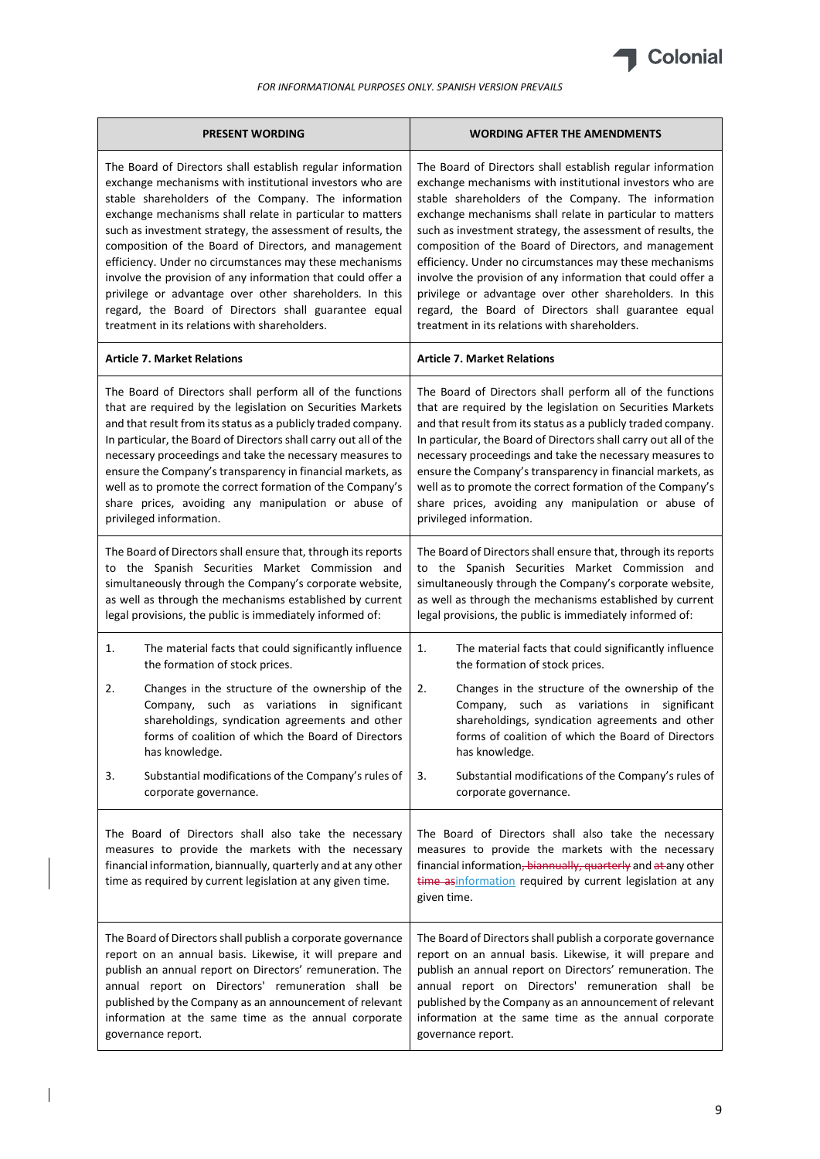

| <b>PRESENT WORDING</b>                                                                                                                                                                                                                    | <b>WORDING AFTER THE AMENDMENTS</b>                                                                                                                                                                                                                     |
|-------------------------------------------------------------------------------------------------------------------------------------------------------------------------------------------------------------------------------------------|---------------------------------------------------------------------------------------------------------------------------------------------------------------------------------------------------------------------------------------------------------|
| The Board of Directors shall establish regular information                                                                                                                                                                                | The Board of Directors shall establish regular information                                                                                                                                                                                              |
| exchange mechanisms with institutional investors who are                                                                                                                                                                                  | exchange mechanisms with institutional investors who are                                                                                                                                                                                                |
| stable shareholders of the Company. The information                                                                                                                                                                                       | stable shareholders of the Company. The information                                                                                                                                                                                                     |
| exchange mechanisms shall relate in particular to matters                                                                                                                                                                                 | exchange mechanisms shall relate in particular to matters                                                                                                                                                                                               |
| such as investment strategy, the assessment of results, the                                                                                                                                                                               | such as investment strategy, the assessment of results, the                                                                                                                                                                                             |
| composition of the Board of Directors, and management                                                                                                                                                                                     | composition of the Board of Directors, and management                                                                                                                                                                                                   |
| efficiency. Under no circumstances may these mechanisms                                                                                                                                                                                   | efficiency. Under no circumstances may these mechanisms                                                                                                                                                                                                 |
| involve the provision of any information that could offer a                                                                                                                                                                               | involve the provision of any information that could offer a                                                                                                                                                                                             |
| privilege or advantage over other shareholders. In this                                                                                                                                                                                   | privilege or advantage over other shareholders. In this                                                                                                                                                                                                 |
| regard, the Board of Directors shall guarantee equal                                                                                                                                                                                      | regard, the Board of Directors shall guarantee equal                                                                                                                                                                                                    |
| treatment in its relations with shareholders.                                                                                                                                                                                             | treatment in its relations with shareholders.                                                                                                                                                                                                           |
| <b>Article 7. Market Relations</b>                                                                                                                                                                                                        | <b>Article 7. Market Relations</b>                                                                                                                                                                                                                      |
| The Board of Directors shall perform all of the functions                                                                                                                                                                                 | The Board of Directors shall perform all of the functions                                                                                                                                                                                               |
| that are required by the legislation on Securities Markets                                                                                                                                                                                | that are required by the legislation on Securities Markets                                                                                                                                                                                              |
| and that result from its status as a publicly traded company.                                                                                                                                                                             | and that result from its status as a publicly traded company.                                                                                                                                                                                           |
| In particular, the Board of Directors shall carry out all of the                                                                                                                                                                          | In particular, the Board of Directors shall carry out all of the                                                                                                                                                                                        |
| necessary proceedings and take the necessary measures to                                                                                                                                                                                  | necessary proceedings and take the necessary measures to                                                                                                                                                                                                |
| ensure the Company's transparency in financial markets, as                                                                                                                                                                                | ensure the Company's transparency in financial markets, as                                                                                                                                                                                              |
| well as to promote the correct formation of the Company's                                                                                                                                                                                 | well as to promote the correct formation of the Company's                                                                                                                                                                                               |
| share prices, avoiding any manipulation or abuse of                                                                                                                                                                                       | share prices, avoiding any manipulation or abuse of                                                                                                                                                                                                     |
| privileged information.                                                                                                                                                                                                                   | privileged information.                                                                                                                                                                                                                                 |
| The Board of Directors shall ensure that, through its reports                                                                                                                                                                             | The Board of Directors shall ensure that, through its reports                                                                                                                                                                                           |
| to the Spanish Securities Market Commission and                                                                                                                                                                                           | to the Spanish Securities Market Commission and                                                                                                                                                                                                         |
| simultaneously through the Company's corporate website,                                                                                                                                                                                   | simultaneously through the Company's corporate website,                                                                                                                                                                                                 |
| as well as through the mechanisms established by current                                                                                                                                                                                  | as well as through the mechanisms established by current                                                                                                                                                                                                |
| legal provisions, the public is immediately informed of:                                                                                                                                                                                  | legal provisions, the public is immediately informed of:                                                                                                                                                                                                |
| The material facts that could significantly influence                                                                                                                                                                                     | The material facts that could significantly influence                                                                                                                                                                                                   |
| 1.                                                                                                                                                                                                                                        | 1.                                                                                                                                                                                                                                                      |
| the formation of stock prices.                                                                                                                                                                                                            | the formation of stock prices.                                                                                                                                                                                                                          |
| 2.                                                                                                                                                                                                                                        | 2.                                                                                                                                                                                                                                                      |
| Changes in the structure of the ownership of the                                                                                                                                                                                          | Changes in the structure of the ownership of the                                                                                                                                                                                                        |
| Company, such as variations in significant                                                                                                                                                                                                | Company, such as variations in significant                                                                                                                                                                                                              |
| shareholdings, syndication agreements and other                                                                                                                                                                                           | shareholdings, syndication agreements and other                                                                                                                                                                                                         |
| forms of coalition of which the Board of Directors                                                                                                                                                                                        | forms of coalition of which the Board of Directors                                                                                                                                                                                                      |
| has knowledge.                                                                                                                                                                                                                            | has knowledge.                                                                                                                                                                                                                                          |
| Substantial modifications of the Company's rules of                                                                                                                                                                                       | 3.                                                                                                                                                                                                                                                      |
| 3.                                                                                                                                                                                                                                        | Substantial modifications of the Company's rules of                                                                                                                                                                                                     |
| corporate governance.                                                                                                                                                                                                                     | corporate governance.                                                                                                                                                                                                                                   |
| The Board of Directors shall also take the necessary<br>measures to provide the markets with the necessary<br>financial information, biannually, quarterly and at any other<br>time as required by current legislation at any given time. | The Board of Directors shall also take the necessary<br>measures to provide the markets with the necessary<br>financial information, biannually, quarterly and at any other<br>time asinformation required by current legislation at any<br>given time. |
| The Board of Directors shall publish a corporate governance                                                                                                                                                                               | The Board of Directors shall publish a corporate governance                                                                                                                                                                                             |
| report on an annual basis. Likewise, it will prepare and                                                                                                                                                                                  | report on an annual basis. Likewise, it will prepare and                                                                                                                                                                                                |
| publish an annual report on Directors' remuneration. The                                                                                                                                                                                  | publish an annual report on Directors' remuneration. The                                                                                                                                                                                                |
| annual report on Directors' remuneration shall be                                                                                                                                                                                         | annual report on Directors' remuneration shall be                                                                                                                                                                                                       |
| published by the Company as an announcement of relevant                                                                                                                                                                                   | published by the Company as an announcement of relevant                                                                                                                                                                                                 |
| information at the same time as the annual corporate                                                                                                                                                                                      | information at the same time as the annual corporate                                                                                                                                                                                                    |
| governance report.                                                                                                                                                                                                                        | governance report.                                                                                                                                                                                                                                      |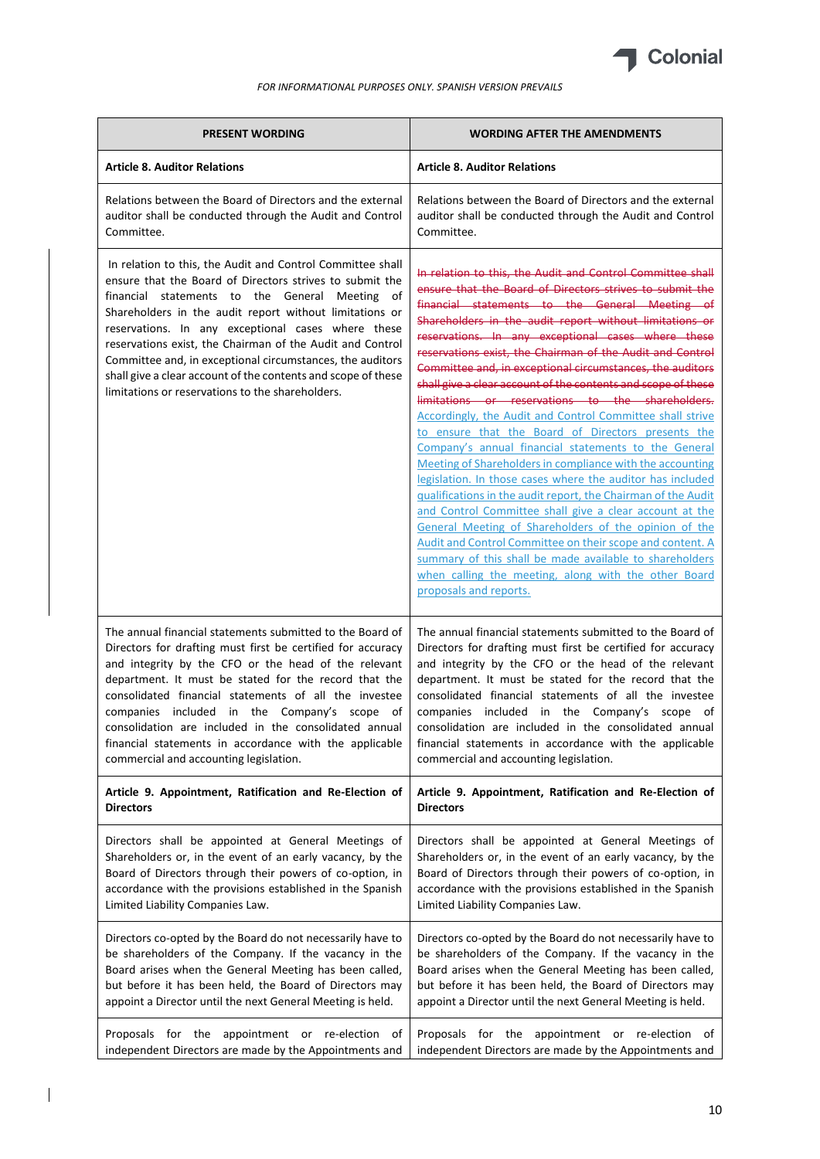

| <b>PRESENT WORDING</b>                                                                                                                                                                                                                                                                                                                                                                                                                                                                                                                      | <b>WORDING AFTER THE AMENDMENTS</b>                                                                                                                                                                                                                                                                                                                                                                                                                                                                                                                                                                                                                                                                                                                                                                                                                                                                                                                                                                                                                                                                                                                                                                                                                  |
|---------------------------------------------------------------------------------------------------------------------------------------------------------------------------------------------------------------------------------------------------------------------------------------------------------------------------------------------------------------------------------------------------------------------------------------------------------------------------------------------------------------------------------------------|------------------------------------------------------------------------------------------------------------------------------------------------------------------------------------------------------------------------------------------------------------------------------------------------------------------------------------------------------------------------------------------------------------------------------------------------------------------------------------------------------------------------------------------------------------------------------------------------------------------------------------------------------------------------------------------------------------------------------------------------------------------------------------------------------------------------------------------------------------------------------------------------------------------------------------------------------------------------------------------------------------------------------------------------------------------------------------------------------------------------------------------------------------------------------------------------------------------------------------------------------|
| <b>Article 8. Auditor Relations</b>                                                                                                                                                                                                                                                                                                                                                                                                                                                                                                         | <b>Article 8. Auditor Relations</b>                                                                                                                                                                                                                                                                                                                                                                                                                                                                                                                                                                                                                                                                                                                                                                                                                                                                                                                                                                                                                                                                                                                                                                                                                  |
| Relations between the Board of Directors and the external                                                                                                                                                                                                                                                                                                                                                                                                                                                                                   | Relations between the Board of Directors and the external                                                                                                                                                                                                                                                                                                                                                                                                                                                                                                                                                                                                                                                                                                                                                                                                                                                                                                                                                                                                                                                                                                                                                                                            |
| auditor shall be conducted through the Audit and Control                                                                                                                                                                                                                                                                                                                                                                                                                                                                                    | auditor shall be conducted through the Audit and Control                                                                                                                                                                                                                                                                                                                                                                                                                                                                                                                                                                                                                                                                                                                                                                                                                                                                                                                                                                                                                                                                                                                                                                                             |
| Committee.                                                                                                                                                                                                                                                                                                                                                                                                                                                                                                                                  | Committee.                                                                                                                                                                                                                                                                                                                                                                                                                                                                                                                                                                                                                                                                                                                                                                                                                                                                                                                                                                                                                                                                                                                                                                                                                                           |
| In relation to this, the Audit and Control Committee shall<br>ensure that the Board of Directors strives to submit the<br>financial statements to the General Meeting<br>of<br>Shareholders in the audit report without limitations or<br>reservations. In any exceptional cases where these<br>reservations exist, the Chairman of the Audit and Control<br>Committee and, in exceptional circumstances, the auditors<br>shall give a clear account of the contents and scope of these<br>limitations or reservations to the shareholders. | In relation to this, the Audit and Control Committee shall<br>ensure that the Board of Directors strives to submit the<br>financial statements to the General Meeting of<br>Shareholders in the audit report without limitations or<br>reservations. In any exceptional cases where these<br>reservations exist, the Chairman of the Audit and Control<br>Committee and, in exceptional circumstances, the auditors<br>shall give a clear account of the contents and scope of these<br>limitations or reservations to the shareholders.<br><b>Accordingly, the Audit and Control Committee shall strive</b><br>to ensure that the Board of Directors presents the<br>Company's annual financial statements to the General<br>Meeting of Shareholders in compliance with the accounting<br>legislation. In those cases where the auditor has included<br>gualifications in the audit report, the Chairman of the Audit<br>and Control Committee shall give a clear account at the<br>General Meeting of Shareholders of the opinion of the<br>Audit and Control Committee on their scope and content. A<br>summary of this shall be made available to shareholders<br>when calling the meeting, along with the other Board<br>proposals and reports. |
| The annual financial statements submitted to the Board of                                                                                                                                                                                                                                                                                                                                                                                                                                                                                   | The annual financial statements submitted to the Board of                                                                                                                                                                                                                                                                                                                                                                                                                                                                                                                                                                                                                                                                                                                                                                                                                                                                                                                                                                                                                                                                                                                                                                                            |
| Directors for drafting must first be certified for accuracy                                                                                                                                                                                                                                                                                                                                                                                                                                                                                 | Directors for drafting must first be certified for accuracy                                                                                                                                                                                                                                                                                                                                                                                                                                                                                                                                                                                                                                                                                                                                                                                                                                                                                                                                                                                                                                                                                                                                                                                          |
| and integrity by the CFO or the head of the relevant                                                                                                                                                                                                                                                                                                                                                                                                                                                                                        | and integrity by the CFO or the head of the relevant                                                                                                                                                                                                                                                                                                                                                                                                                                                                                                                                                                                                                                                                                                                                                                                                                                                                                                                                                                                                                                                                                                                                                                                                 |
| department. It must be stated for the record that the                                                                                                                                                                                                                                                                                                                                                                                                                                                                                       | department. It must be stated for the record that the                                                                                                                                                                                                                                                                                                                                                                                                                                                                                                                                                                                                                                                                                                                                                                                                                                                                                                                                                                                                                                                                                                                                                                                                |
| consolidated financial statements of all the investee                                                                                                                                                                                                                                                                                                                                                                                                                                                                                       | consolidated financial statements of all the investee                                                                                                                                                                                                                                                                                                                                                                                                                                                                                                                                                                                                                                                                                                                                                                                                                                                                                                                                                                                                                                                                                                                                                                                                |
| companies included in the Company's scope of                                                                                                                                                                                                                                                                                                                                                                                                                                                                                                | companies included in the Company's scope of                                                                                                                                                                                                                                                                                                                                                                                                                                                                                                                                                                                                                                                                                                                                                                                                                                                                                                                                                                                                                                                                                                                                                                                                         |
| consolidation are included in the consolidated annual                                                                                                                                                                                                                                                                                                                                                                                                                                                                                       | consolidation are included in the consolidated annual                                                                                                                                                                                                                                                                                                                                                                                                                                                                                                                                                                                                                                                                                                                                                                                                                                                                                                                                                                                                                                                                                                                                                                                                |
| financial statements in accordance with the applicable                                                                                                                                                                                                                                                                                                                                                                                                                                                                                      | financial statements in accordance with the applicable                                                                                                                                                                                                                                                                                                                                                                                                                                                                                                                                                                                                                                                                                                                                                                                                                                                                                                                                                                                                                                                                                                                                                                                               |
| commercial and accounting legislation.                                                                                                                                                                                                                                                                                                                                                                                                                                                                                                      | commercial and accounting legislation.                                                                                                                                                                                                                                                                                                                                                                                                                                                                                                                                                                                                                                                                                                                                                                                                                                                                                                                                                                                                                                                                                                                                                                                                               |
| Article 9. Appointment, Ratification and Re-Election of                                                                                                                                                                                                                                                                                                                                                                                                                                                                                     | Article 9. Appointment, Ratification and Re-Election of                                                                                                                                                                                                                                                                                                                                                                                                                                                                                                                                                                                                                                                                                                                                                                                                                                                                                                                                                                                                                                                                                                                                                                                              |
| <b>Directors</b>                                                                                                                                                                                                                                                                                                                                                                                                                                                                                                                            | <b>Directors</b>                                                                                                                                                                                                                                                                                                                                                                                                                                                                                                                                                                                                                                                                                                                                                                                                                                                                                                                                                                                                                                                                                                                                                                                                                                     |
| Directors shall be appointed at General Meetings of                                                                                                                                                                                                                                                                                                                                                                                                                                                                                         | Directors shall be appointed at General Meetings of                                                                                                                                                                                                                                                                                                                                                                                                                                                                                                                                                                                                                                                                                                                                                                                                                                                                                                                                                                                                                                                                                                                                                                                                  |
| Shareholders or, in the event of an early vacancy, by the                                                                                                                                                                                                                                                                                                                                                                                                                                                                                   | Shareholders or, in the event of an early vacancy, by the                                                                                                                                                                                                                                                                                                                                                                                                                                                                                                                                                                                                                                                                                                                                                                                                                                                                                                                                                                                                                                                                                                                                                                                            |
| Board of Directors through their powers of co-option, in                                                                                                                                                                                                                                                                                                                                                                                                                                                                                    | Board of Directors through their powers of co-option, in                                                                                                                                                                                                                                                                                                                                                                                                                                                                                                                                                                                                                                                                                                                                                                                                                                                                                                                                                                                                                                                                                                                                                                                             |
| accordance with the provisions established in the Spanish                                                                                                                                                                                                                                                                                                                                                                                                                                                                                   | accordance with the provisions established in the Spanish                                                                                                                                                                                                                                                                                                                                                                                                                                                                                                                                                                                                                                                                                                                                                                                                                                                                                                                                                                                                                                                                                                                                                                                            |
| Limited Liability Companies Law.                                                                                                                                                                                                                                                                                                                                                                                                                                                                                                            | Limited Liability Companies Law.                                                                                                                                                                                                                                                                                                                                                                                                                                                                                                                                                                                                                                                                                                                                                                                                                                                                                                                                                                                                                                                                                                                                                                                                                     |
| Directors co-opted by the Board do not necessarily have to                                                                                                                                                                                                                                                                                                                                                                                                                                                                                  | Directors co-opted by the Board do not necessarily have to                                                                                                                                                                                                                                                                                                                                                                                                                                                                                                                                                                                                                                                                                                                                                                                                                                                                                                                                                                                                                                                                                                                                                                                           |
| be shareholders of the Company. If the vacancy in the                                                                                                                                                                                                                                                                                                                                                                                                                                                                                       | be shareholders of the Company. If the vacancy in the                                                                                                                                                                                                                                                                                                                                                                                                                                                                                                                                                                                                                                                                                                                                                                                                                                                                                                                                                                                                                                                                                                                                                                                                |
| Board arises when the General Meeting has been called,                                                                                                                                                                                                                                                                                                                                                                                                                                                                                      | Board arises when the General Meeting has been called,                                                                                                                                                                                                                                                                                                                                                                                                                                                                                                                                                                                                                                                                                                                                                                                                                                                                                                                                                                                                                                                                                                                                                                                               |
| but before it has been held, the Board of Directors may                                                                                                                                                                                                                                                                                                                                                                                                                                                                                     | but before it has been held, the Board of Directors may                                                                                                                                                                                                                                                                                                                                                                                                                                                                                                                                                                                                                                                                                                                                                                                                                                                                                                                                                                                                                                                                                                                                                                                              |
| appoint a Director until the next General Meeting is held.                                                                                                                                                                                                                                                                                                                                                                                                                                                                                  | appoint a Director until the next General Meeting is held.                                                                                                                                                                                                                                                                                                                                                                                                                                                                                                                                                                                                                                                                                                                                                                                                                                                                                                                                                                                                                                                                                                                                                                                           |
| Proposals for the appointment or re-election                                                                                                                                                                                                                                                                                                                                                                                                                                                                                                | Proposals for the appointment or re-election                                                                                                                                                                                                                                                                                                                                                                                                                                                                                                                                                                                                                                                                                                                                                                                                                                                                                                                                                                                                                                                                                                                                                                                                         |
| оf                                                                                                                                                                                                                                                                                                                                                                                                                                                                                                                                          | ot                                                                                                                                                                                                                                                                                                                                                                                                                                                                                                                                                                                                                                                                                                                                                                                                                                                                                                                                                                                                                                                                                                                                                                                                                                                   |
| independent Directors are made by the Appointments and                                                                                                                                                                                                                                                                                                                                                                                                                                                                                      | independent Directors are made by the Appointments and                                                                                                                                                                                                                                                                                                                                                                                                                                                                                                                                                                                                                                                                                                                                                                                                                                                                                                                                                                                                                                                                                                                                                                                               |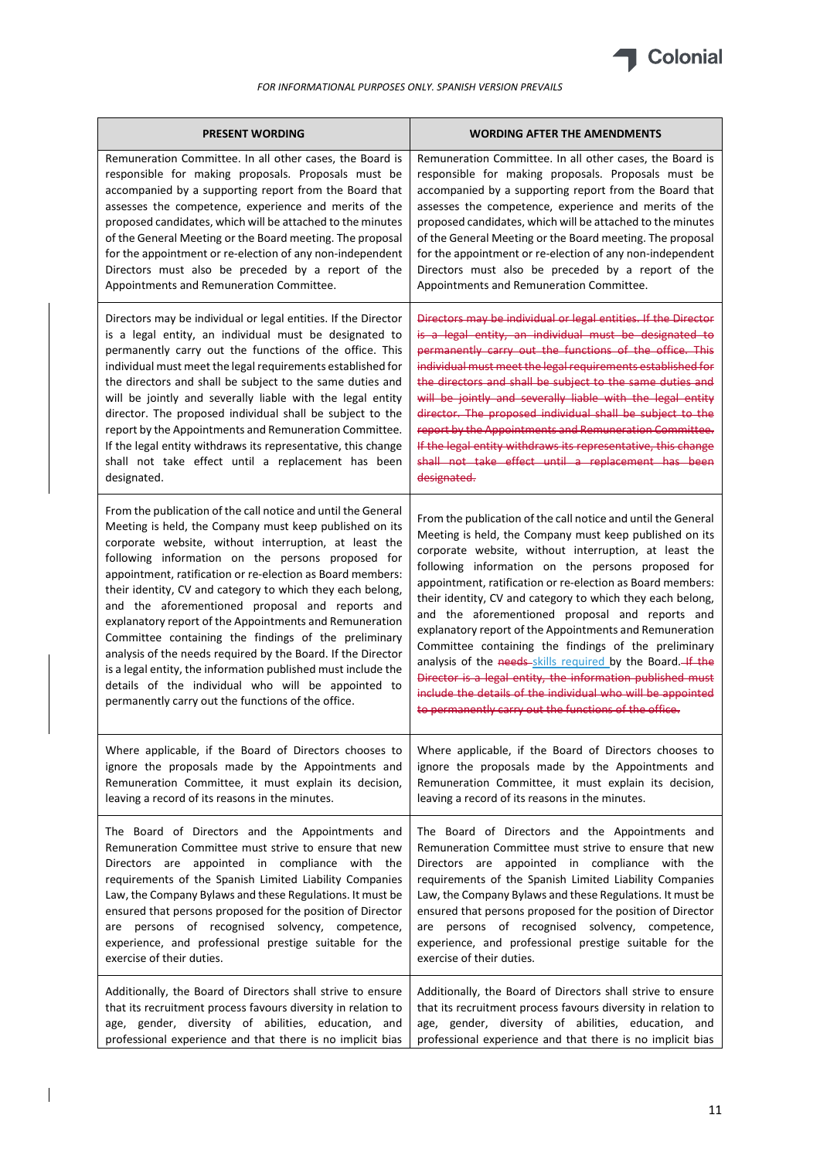

| <b>PRESENT WORDING</b>                                         | <b>WORDING AFTER THE AMENDMENTS</b>                            |
|----------------------------------------------------------------|----------------------------------------------------------------|
| Remuneration Committee. In all other cases, the Board is       | Remuneration Committee. In all other cases, the Board is       |
| responsible for making proposals. Proposals must be            | responsible for making proposals. Proposals must be            |
| accompanied by a supporting report from the Board that         | accompanied by a supporting report from the Board that         |
| assesses the competence, experience and merits of the          | assesses the competence, experience and merits of the          |
| proposed candidates, which will be attached to the minutes     | proposed candidates, which will be attached to the minutes     |
| of the General Meeting or the Board meeting. The proposal      | of the General Meeting or the Board meeting. The proposal      |
| for the appointment or re-election of any non-independent      | for the appointment or re-election of any non-independent      |
| Directors must also be preceded by a report of the             | Directors must also be preceded by a report of the             |
| Appointments and Remuneration Committee.                       | Appointments and Remuneration Committee.                       |
| Directors may be individual or legal entities. If the Director | Directors may be individual or legal entities. If the Director |
| is a legal entity, an individual must be designated to         | is a legal entity, an individual must be designated to         |
| permanently carry out the functions of the office. This        | permanently carry out the functions of the office. This        |
| individual must meet the legal requirements established for    | individual must meet the legal requirements established for    |
| the directors and shall be subject to the same duties and      | the directors and shall be subject to the same duties and      |
| will be jointly and severally liable with the legal entity     | will be jointly and severally liable with the legal entity     |
| director. The proposed individual shall be subject to the      | director. The proposed individual shall be subject to the      |
| report by the Appointments and Remuneration Committee.         | report by the Appointments and Remuneration Committee.         |
| If the legal entity withdraws its representative, this change  | If the legal entity withdraws its representative, this change  |
| shall not take effect until a replacement has been             | shall not take effect until a replacement has been             |
| designated.                                                    | designated.                                                    |
| From the publication of the call notice and until the General  | From the publication of the call notice and until the General  |
| Meeting is held, the Company must keep published on its        | Meeting is held, the Company must keep published on its        |
| corporate website, without interruption, at least the          | corporate website, without interruption, at least the          |
| following information on the persons proposed for              | following information on the persons proposed for              |
| appointment, ratification or re-election as Board members:     | appointment, ratification or re-election as Board members:     |
| their identity, CV and category to which they each belong,     | their identity, CV and category to which they each belong,     |
| and the aforementioned proposal and reports and                | and the aforementioned proposal and reports and                |
| explanatory report of the Appointments and Remuneration        | explanatory report of the Appointments and Remuneration        |
| Committee containing the findings of the preliminary           | Committee containing the findings of the preliminary           |
| analysis of the needs required by the Board. If the Director   | analysis of the needs-skills required by the Board. If the     |
| is a legal entity, the information published must include the  | Director is a legal entity, the information published must     |
| details of the individual who will be appointed to             | include the details of the individual who will be appointed    |
| permanently carry out the functions of the office.             | to permanently carry out the functions of the office.          |
| Where applicable, if the Board of Directors chooses to         | Where applicable, if the Board of Directors chooses to         |
| ignore the proposals made by the Appointments and              | ignore the proposals made by the Appointments and              |
| Remuneration Committee, it must explain its decision,          | Remuneration Committee, it must explain its decision,          |
| leaving a record of its reasons in the minutes.                | leaving a record of its reasons in the minutes.                |
| The Board of Directors and the Appointments and                | The Board of Directors and the Appointments and                |
| Remuneration Committee must strive to ensure that new          | Remuneration Committee must strive to ensure that new          |
| Directors are appointed in compliance with the                 | Directors are appointed in compliance with the                 |
| requirements of the Spanish Limited Liability Companies        | requirements of the Spanish Limited Liability Companies        |
| Law, the Company Bylaws and these Regulations. It must be      | Law, the Company Bylaws and these Regulations. It must be      |
| ensured that persons proposed for the position of Director     | ensured that persons proposed for the position of Director     |
| are persons of recognised solvency, competence,                | are persons of recognised solvency, competence,                |
| experience, and professional prestige suitable for the         | experience, and professional prestige suitable for the         |
| exercise of their duties.                                      | exercise of their duties.                                      |
| Additionally, the Board of Directors shall strive to ensure    | Additionally, the Board of Directors shall strive to ensure    |
| that its recruitment process favours diversity in relation to  | that its recruitment process favours diversity in relation to  |
| age, gender, diversity of abilities, education, and            | age, gender, diversity of abilities, education, and            |
| professional experience and that there is no implicit bias     | professional experience and that there is no implicit bias     |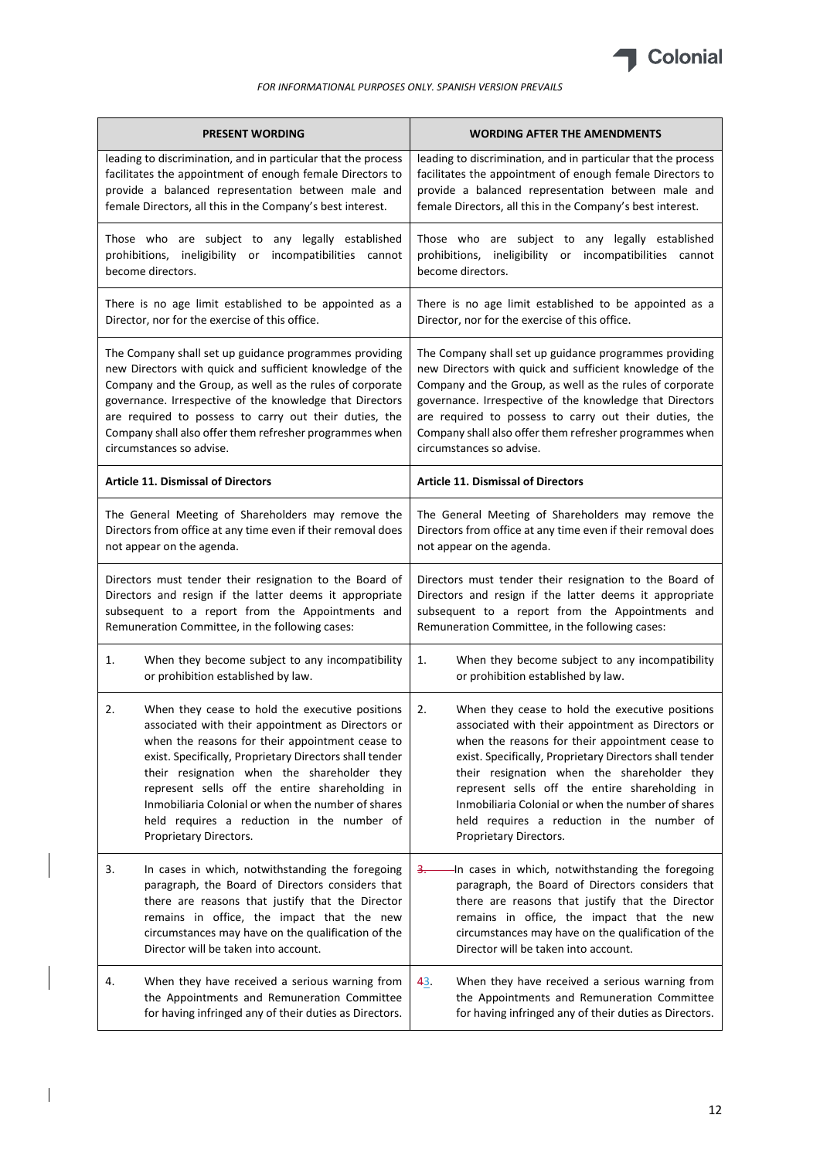

| <b>PRESENT WORDING</b>                                        | <b>WORDING AFTER THE AMENDMENTS</b>                           |
|---------------------------------------------------------------|---------------------------------------------------------------|
| leading to discrimination, and in particular that the process | leading to discrimination, and in particular that the process |
| facilitates the appointment of enough female Directors to     | facilitates the appointment of enough female Directors to     |
| provide a balanced representation between male and            | provide a balanced representation between male and            |
| female Directors, all this in the Company's best interest.    | female Directors, all this in the Company's best interest.    |
| Those who are subject to any legally established              | Those who are subject to any legally established              |
| prohibitions, ineligibility or incompatibilities cannot       | prohibitions, ineligibility or incompatibilities cannot       |
| become directors.                                             | become directors.                                             |
| There is no age limit established to be appointed as a        | There is no age limit established to be appointed as a        |
| Director, nor for the exercise of this office.                | Director, nor for the exercise of this office.                |
| The Company shall set up guidance programmes providing        | The Company shall set up guidance programmes providing        |
| new Directors with quick and sufficient knowledge of the      | new Directors with quick and sufficient knowledge of the      |
| Company and the Group, as well as the rules of corporate      | Company and the Group, as well as the rules of corporate      |
| governance. Irrespective of the knowledge that Directors      | governance. Irrespective of the knowledge that Directors      |
| are required to possess to carry out their duties, the        | are required to possess to carry out their duties, the        |
| Company shall also offer them refresher programmes when       | Company shall also offer them refresher programmes when       |
| circumstances so advise.                                      | circumstances so advise.                                      |
| <b>Article 11. Dismissal of Directors</b>                     | <b>Article 11. Dismissal of Directors</b>                     |
| The General Meeting of Shareholders may remove the            | The General Meeting of Shareholders may remove the            |
| Directors from office at any time even if their removal does  | Directors from office at any time even if their removal does  |
| not appear on the agenda.                                     | not appear on the agenda.                                     |
| Directors must tender their resignation to the Board of       | Directors must tender their resignation to the Board of       |
| Directors and resign if the latter deems it appropriate       | Directors and resign if the latter deems it appropriate       |
| subsequent to a report from the Appointments and              | subsequent to a report from the Appointments and              |
| Remuneration Committee, in the following cases:               | Remuneration Committee, in the following cases:               |
| 1.                                                            | 1.                                                            |
| When they become subject to any incompatibility               | When they become subject to any incompatibility               |
| or prohibition established by law.                            | or prohibition established by law.                            |
| When they cease to hold the executive positions               | 2.                                                            |
| 2.                                                            | When they cease to hold the executive positions               |
| associated with their appointment as Directors or             | associated with their appointment as Directors or             |
| when the reasons for their appointment cease to               | when the reasons for their appointment cease to               |
| exist. Specifically, Proprietary Directors shall tender       | exist. Specifically, Proprietary Directors shall tender       |
| their resignation when the shareholder they                   | their resignation when the shareholder they                   |
| represent sells off the entire shareholding in                | represent sells off the entire shareholding in                |
| Inmobiliaria Colonial or when the number of shares            | Inmobiliaria Colonial or when the number of shares            |
| held requires a reduction in the number of                    | held requires a reduction in the number of                    |
| Proprietary Directors.                                        | Proprietary Directors.                                        |
| 3.                                                            | In cases in which, notwithstanding the foregoing              |
| In cases in which, notwithstanding the foregoing              | <u>3. —</u>                                                   |
| paragraph, the Board of Directors considers that              | paragraph, the Board of Directors considers that              |
| there are reasons that justify that the Director              | there are reasons that justify that the Director              |
| remains in office, the impact that the new                    | remains in office, the impact that the new                    |
| circumstances may have on the qualification of the            | circumstances may have on the qualification of the            |
| Director will be taken into account.                          | Director will be taken into account.                          |
| When they have received a serious warning from                | 43.                                                           |
| 4.                                                            | When they have received a serious warning from                |
| the Appointments and Remuneration Committee                   | the Appointments and Remuneration Committee                   |
| for having infringed any of their duties as Directors.        | for having infringed any of their duties as Directors.        |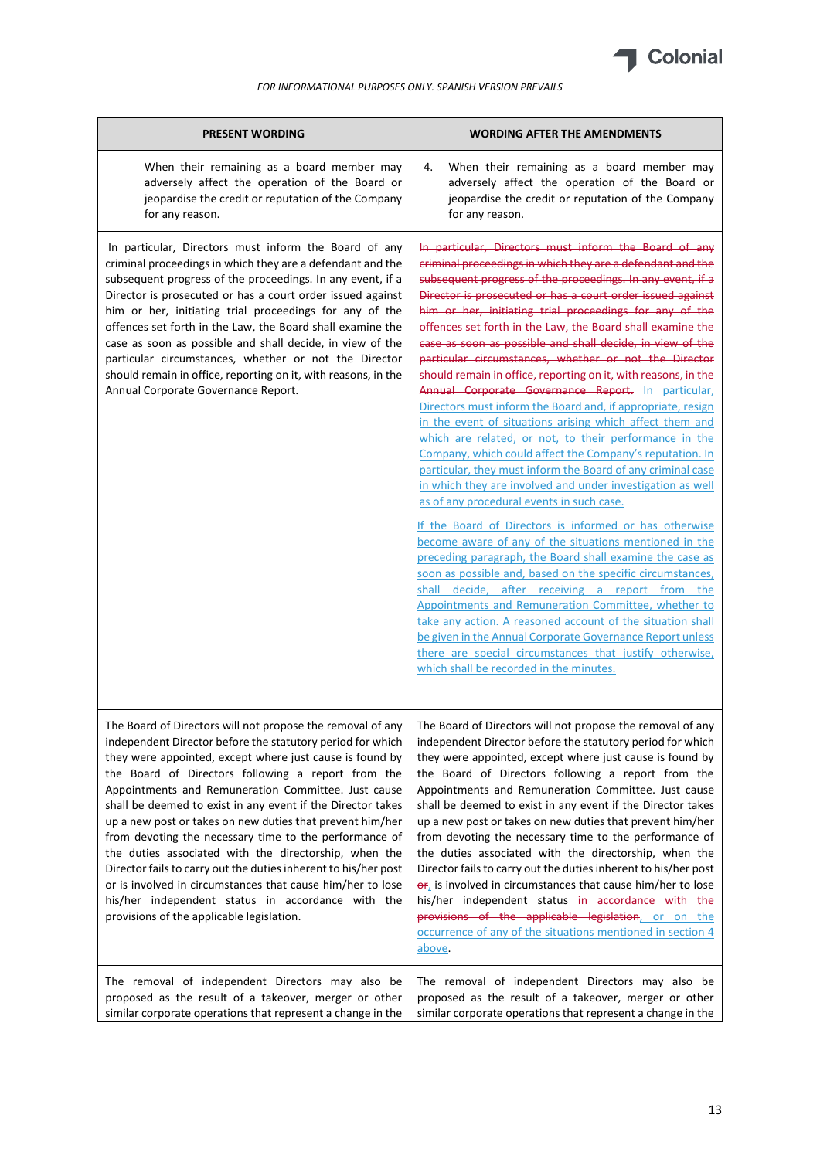

| <b>PRESENT WORDING</b>                                                                                                                                                                                                                                                                                                                                                                                                                                                                                                                                                                                                                                                                                                                                                              | <b>WORDING AFTER THE AMENDMENTS</b>                                                                                                                                                                                                                                                                                                                                                                                                                                                                                                                                                                                                                                                                                                                                                                                                                                                                                                                                                                                                                                                                                                                                                                                                                                                                                                                                                                                                                                                                                                                                                                                                        |
|-------------------------------------------------------------------------------------------------------------------------------------------------------------------------------------------------------------------------------------------------------------------------------------------------------------------------------------------------------------------------------------------------------------------------------------------------------------------------------------------------------------------------------------------------------------------------------------------------------------------------------------------------------------------------------------------------------------------------------------------------------------------------------------|--------------------------------------------------------------------------------------------------------------------------------------------------------------------------------------------------------------------------------------------------------------------------------------------------------------------------------------------------------------------------------------------------------------------------------------------------------------------------------------------------------------------------------------------------------------------------------------------------------------------------------------------------------------------------------------------------------------------------------------------------------------------------------------------------------------------------------------------------------------------------------------------------------------------------------------------------------------------------------------------------------------------------------------------------------------------------------------------------------------------------------------------------------------------------------------------------------------------------------------------------------------------------------------------------------------------------------------------------------------------------------------------------------------------------------------------------------------------------------------------------------------------------------------------------------------------------------------------------------------------------------------------|
| When their remaining as a board member may<br>adversely affect the operation of the Board or<br>jeopardise the credit or reputation of the Company<br>for any reason.                                                                                                                                                                                                                                                                                                                                                                                                                                                                                                                                                                                                               | When their remaining as a board member may<br>4.<br>adversely affect the operation of the Board or<br>jeopardise the credit or reputation of the Company<br>for any reason.                                                                                                                                                                                                                                                                                                                                                                                                                                                                                                                                                                                                                                                                                                                                                                                                                                                                                                                                                                                                                                                                                                                                                                                                                                                                                                                                                                                                                                                                |
| In particular, Directors must inform the Board of any<br>criminal proceedings in which they are a defendant and the<br>subsequent progress of the proceedings. In any event, if a<br>Director is prosecuted or has a court order issued against<br>him or her, initiating trial proceedings for any of the<br>offences set forth in the Law, the Board shall examine the<br>case as soon as possible and shall decide, in view of the<br>particular circumstances, whether or not the Director<br>should remain in office, reporting on it, with reasons, in the<br>Annual Corporate Governance Report.                                                                                                                                                                             | In particular, Directors must inform the Board of any<br>criminal proceedings in which they are a defendant and the<br>subsequent progress of the proceedings. In any event, if a<br>Director is prosecuted or has a court order issued against<br>him or her, initiating trial proceedings for any of the<br>offences set forth in the Law, the Board shall examine the<br>case as soon as possible and shall decide, in view of the<br>particular circumstances, whether or not the Director<br>should remain in office, reporting on it, with reasons, in the<br>Annual Corporate Governance Report. In particular,<br>Directors must inform the Board and, if appropriate, resign<br>in the event of situations arising which affect them and<br>which are related, or not, to their performance in the<br>Company, which could affect the Company's reputation. In<br>particular, they must inform the Board of any criminal case<br>in which they are involved and under investigation as well<br>as of any procedural events in such case.<br>If the Board of Directors is informed or has otherwise<br>become aware of any of the situations mentioned in the<br>preceding paragraph, the Board shall examine the case as<br>soon as possible and, based on the specific circumstances,<br>shall decide, after receiving a report from the<br>Appointments and Remuneration Committee, whether to<br>take any action. A reasoned account of the situation shall<br>be given in the Annual Corporate Governance Report unless<br>there are special circumstances that justify otherwise,<br>which shall be recorded in the minutes. |
| The Board of Directors will not propose the removal of any<br>independent Director before the statutory period for which<br>they were appointed, except where just cause is found by<br>the Board of Directors following a report from the<br>Appointments and Remuneration Committee. Just cause<br>shall be deemed to exist in any event if the Director takes<br>up a new post or takes on new duties that prevent him/her<br>from devoting the necessary time to the performance of<br>the duties associated with the directorship, when the<br>Director fails to carry out the duties inherent to his/her post<br>or is involved in circumstances that cause him/her to lose<br>his/her independent status in accordance with the<br>provisions of the applicable legislation. | The Board of Directors will not propose the removal of any<br>independent Director before the statutory period for which<br>they were appointed, except where just cause is found by<br>the Board of Directors following a report from the<br>Appointments and Remuneration Committee. Just cause<br>shall be deemed to exist in any event if the Director takes<br>up a new post or takes on new duties that prevent him/her<br>from devoting the necessary time to the performance of<br>the duties associated with the directorship, when the<br>Director fails to carry out the duties inherent to his/her post<br>$\frac{\partial F_{\lambda}}{\partial t}$ is involved in circumstances that cause him/her to lose<br>his/her independent status-in accordance with the<br>provisions of the applicable legislation, or on the<br>occurrence of any of the situations mentioned in section 4<br>above.                                                                                                                                                                                                                                                                                                                                                                                                                                                                                                                                                                                                                                                                                                                               |
| The removal of independent Directors may also be<br>proposed as the result of a takeover, merger or other<br>similar corporate operations that represent a change in the                                                                                                                                                                                                                                                                                                                                                                                                                                                                                                                                                                                                            | The removal of independent Directors may also be<br>proposed as the result of a takeover, merger or other<br>similar corporate operations that represent a change in the                                                                                                                                                                                                                                                                                                                                                                                                                                                                                                                                                                                                                                                                                                                                                                                                                                                                                                                                                                                                                                                                                                                                                                                                                                                                                                                                                                                                                                                                   |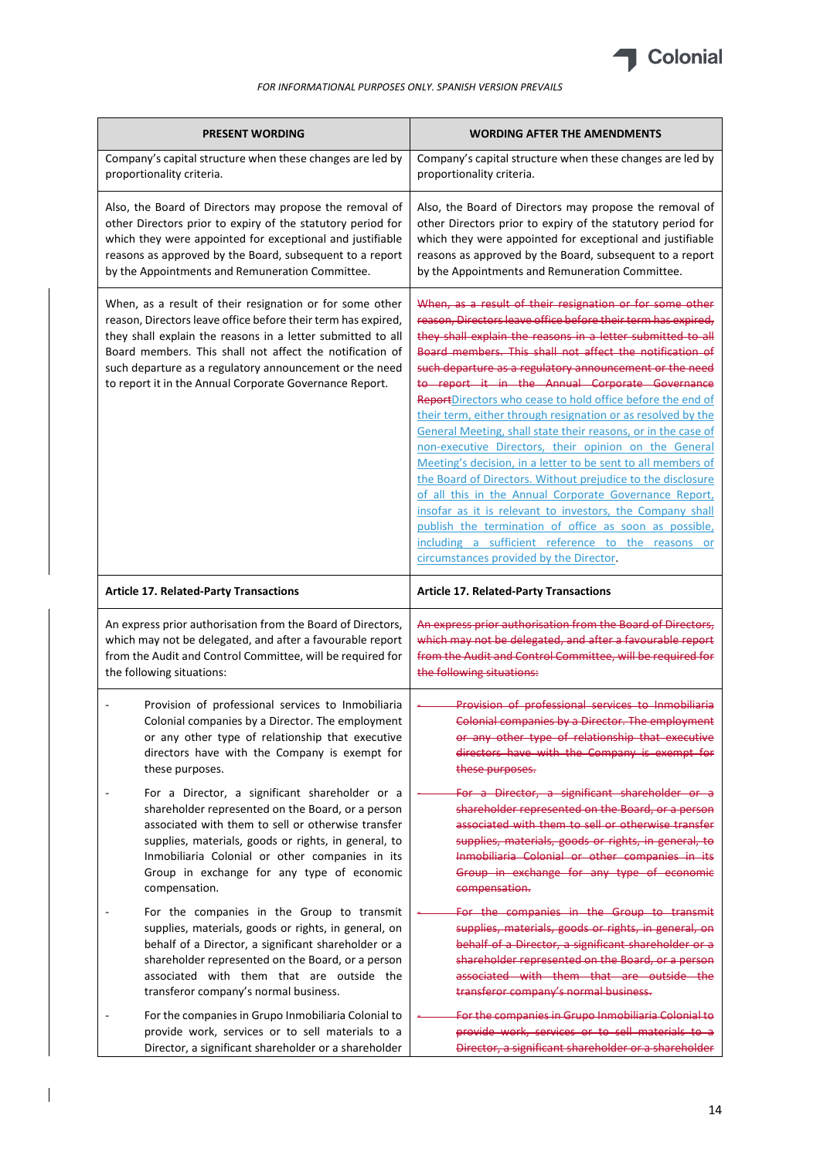

| <b>PRESENT WORDING</b>                                                                                                                                                                                                                                                                                                                                                     | <b>WORDING AFTER THE AMENDMENTS</b>                                                                                                                                                                                                                                                                                                                                                                                                                                                                                                                                                                                                                                                                                                                                                                                                                                                                                                                                                                                                         |
|----------------------------------------------------------------------------------------------------------------------------------------------------------------------------------------------------------------------------------------------------------------------------------------------------------------------------------------------------------------------------|---------------------------------------------------------------------------------------------------------------------------------------------------------------------------------------------------------------------------------------------------------------------------------------------------------------------------------------------------------------------------------------------------------------------------------------------------------------------------------------------------------------------------------------------------------------------------------------------------------------------------------------------------------------------------------------------------------------------------------------------------------------------------------------------------------------------------------------------------------------------------------------------------------------------------------------------------------------------------------------------------------------------------------------------|
| Company's capital structure when these changes are led by                                                                                                                                                                                                                                                                                                                  | Company's capital structure when these changes are led by                                                                                                                                                                                                                                                                                                                                                                                                                                                                                                                                                                                                                                                                                                                                                                                                                                                                                                                                                                                   |
| proportionality criteria.                                                                                                                                                                                                                                                                                                                                                  | proportionality criteria.                                                                                                                                                                                                                                                                                                                                                                                                                                                                                                                                                                                                                                                                                                                                                                                                                                                                                                                                                                                                                   |
| Also, the Board of Directors may propose the removal of                                                                                                                                                                                                                                                                                                                    | Also, the Board of Directors may propose the removal of                                                                                                                                                                                                                                                                                                                                                                                                                                                                                                                                                                                                                                                                                                                                                                                                                                                                                                                                                                                     |
| other Directors prior to expiry of the statutory period for                                                                                                                                                                                                                                                                                                                | other Directors prior to expiry of the statutory period for                                                                                                                                                                                                                                                                                                                                                                                                                                                                                                                                                                                                                                                                                                                                                                                                                                                                                                                                                                                 |
| which they were appointed for exceptional and justifiable                                                                                                                                                                                                                                                                                                                  | which they were appointed for exceptional and justifiable                                                                                                                                                                                                                                                                                                                                                                                                                                                                                                                                                                                                                                                                                                                                                                                                                                                                                                                                                                                   |
| reasons as approved by the Board, subsequent to a report                                                                                                                                                                                                                                                                                                                   | reasons as approved by the Board, subsequent to a report                                                                                                                                                                                                                                                                                                                                                                                                                                                                                                                                                                                                                                                                                                                                                                                                                                                                                                                                                                                    |
| by the Appointments and Remuneration Committee.                                                                                                                                                                                                                                                                                                                            | by the Appointments and Remuneration Committee.                                                                                                                                                                                                                                                                                                                                                                                                                                                                                                                                                                                                                                                                                                                                                                                                                                                                                                                                                                                             |
| When, as a result of their resignation or for some other<br>reason, Directors leave office before their term has expired,<br>they shall explain the reasons in a letter submitted to all<br>Board members. This shall not affect the notification of<br>such departure as a regulatory announcement or the need<br>to report it in the Annual Corporate Governance Report. | When, as a result of their resignation or for some other<br>reason, Directors leave office before their term has expired,<br>they shall explain the reasons in a letter submitted to all<br>Board members. This shall not affect the notification of<br>such departure as a regulatory announcement or the need<br>to report it in the Annual Corporate Governance<br>ReportDirectors who cease to hold office before the end of<br>their term, either through resignation or as resolved by the<br>General Meeting, shall state their reasons, or in the case of<br>non-executive Directors, their opinion on the General<br>Meeting's decision, in a letter to be sent to all members of<br>the Board of Directors. Without prejudice to the disclosure<br>of all this in the Annual Corporate Governance Report,<br>insofar as it is relevant to investors, the Company shall<br>publish the termination of office as soon as possible,<br>including a sufficient reference to the reasons or<br>circumstances provided by the Director. |
| <b>Article 17. Related-Party Transactions</b>                                                                                                                                                                                                                                                                                                                              | <b>Article 17. Related-Party Transactions</b>                                                                                                                                                                                                                                                                                                                                                                                                                                                                                                                                                                                                                                                                                                                                                                                                                                                                                                                                                                                               |
| An express prior authorisation from the Board of Directors,                                                                                                                                                                                                                                                                                                                | An express prior authorisation from the Board of Directors,                                                                                                                                                                                                                                                                                                                                                                                                                                                                                                                                                                                                                                                                                                                                                                                                                                                                                                                                                                                 |
| which may not be delegated, and after a favourable report                                                                                                                                                                                                                                                                                                                  | which may not be delegated, and after a favourable report                                                                                                                                                                                                                                                                                                                                                                                                                                                                                                                                                                                                                                                                                                                                                                                                                                                                                                                                                                                   |
| from the Audit and Control Committee, will be required for                                                                                                                                                                                                                                                                                                                 | from the Audit and Control Committee, will be required for                                                                                                                                                                                                                                                                                                                                                                                                                                                                                                                                                                                                                                                                                                                                                                                                                                                                                                                                                                                  |
| the following situations:                                                                                                                                                                                                                                                                                                                                                  | the following situations:                                                                                                                                                                                                                                                                                                                                                                                                                                                                                                                                                                                                                                                                                                                                                                                                                                                                                                                                                                                                                   |
| Provision of professional services to Inmobiliaria                                                                                                                                                                                                                                                                                                                         | Provision of professional services to Inmobiliaria                                                                                                                                                                                                                                                                                                                                                                                                                                                                                                                                                                                                                                                                                                                                                                                                                                                                                                                                                                                          |
| Colonial companies by a Director. The employment                                                                                                                                                                                                                                                                                                                           | Colonial companies by a Director. The employment                                                                                                                                                                                                                                                                                                                                                                                                                                                                                                                                                                                                                                                                                                                                                                                                                                                                                                                                                                                            |
| or any other type of relationship that executive                                                                                                                                                                                                                                                                                                                           | or any other type of relationship that executive                                                                                                                                                                                                                                                                                                                                                                                                                                                                                                                                                                                                                                                                                                                                                                                                                                                                                                                                                                                            |
| directors have with the Company is exempt for                                                                                                                                                                                                                                                                                                                              | directors have with the Company is exempt for                                                                                                                                                                                                                                                                                                                                                                                                                                                                                                                                                                                                                                                                                                                                                                                                                                                                                                                                                                                               |
| these purposes.                                                                                                                                                                                                                                                                                                                                                            | these purposes.                                                                                                                                                                                                                                                                                                                                                                                                                                                                                                                                                                                                                                                                                                                                                                                                                                                                                                                                                                                                                             |
| For a Director, a significant shareholder or a                                                                                                                                                                                                                                                                                                                             | For a Director, a significant shareholder or a                                                                                                                                                                                                                                                                                                                                                                                                                                                                                                                                                                                                                                                                                                                                                                                                                                                                                                                                                                                              |
| shareholder represented on the Board, or a person                                                                                                                                                                                                                                                                                                                          | shareholder represented on the Board, or a person                                                                                                                                                                                                                                                                                                                                                                                                                                                                                                                                                                                                                                                                                                                                                                                                                                                                                                                                                                                           |
| associated with them to sell or otherwise transfer                                                                                                                                                                                                                                                                                                                         | associated with them to sell or otherwise transfer                                                                                                                                                                                                                                                                                                                                                                                                                                                                                                                                                                                                                                                                                                                                                                                                                                                                                                                                                                                          |
| supplies, materials, goods or rights, in general, to                                                                                                                                                                                                                                                                                                                       | supplies, materials, goods or rights, in general, to                                                                                                                                                                                                                                                                                                                                                                                                                                                                                                                                                                                                                                                                                                                                                                                                                                                                                                                                                                                        |
| Inmobiliaria Colonial or other companies in its                                                                                                                                                                                                                                                                                                                            | Inmobiliaria Colonial or other companies in its                                                                                                                                                                                                                                                                                                                                                                                                                                                                                                                                                                                                                                                                                                                                                                                                                                                                                                                                                                                             |
| Group in exchange for any type of economic                                                                                                                                                                                                                                                                                                                                 | Group in exchange for any type of economic                                                                                                                                                                                                                                                                                                                                                                                                                                                                                                                                                                                                                                                                                                                                                                                                                                                                                                                                                                                                  |
| compensation.                                                                                                                                                                                                                                                                                                                                                              | compensation.                                                                                                                                                                                                                                                                                                                                                                                                                                                                                                                                                                                                                                                                                                                                                                                                                                                                                                                                                                                                                               |
| For the companies in the Group to transmit                                                                                                                                                                                                                                                                                                                                 | For the companies in the Group to transmit                                                                                                                                                                                                                                                                                                                                                                                                                                                                                                                                                                                                                                                                                                                                                                                                                                                                                                                                                                                                  |
| supplies, materials, goods or rights, in general, on                                                                                                                                                                                                                                                                                                                       | supplies, materials, goods or rights, in general, on                                                                                                                                                                                                                                                                                                                                                                                                                                                                                                                                                                                                                                                                                                                                                                                                                                                                                                                                                                                        |
| behalf of a Director, a significant shareholder or a                                                                                                                                                                                                                                                                                                                       | behalf of a Director, a significant shareholder or a                                                                                                                                                                                                                                                                                                                                                                                                                                                                                                                                                                                                                                                                                                                                                                                                                                                                                                                                                                                        |
| shareholder represented on the Board, or a person                                                                                                                                                                                                                                                                                                                          | shareholder represented on the Board, or a person                                                                                                                                                                                                                                                                                                                                                                                                                                                                                                                                                                                                                                                                                                                                                                                                                                                                                                                                                                                           |
| associated with them that are outside the                                                                                                                                                                                                                                                                                                                                  | associated with them that are outside the                                                                                                                                                                                                                                                                                                                                                                                                                                                                                                                                                                                                                                                                                                                                                                                                                                                                                                                                                                                                   |
| transferor company's normal business.                                                                                                                                                                                                                                                                                                                                      | transferor company's normal business.                                                                                                                                                                                                                                                                                                                                                                                                                                                                                                                                                                                                                                                                                                                                                                                                                                                                                                                                                                                                       |
| For the companies in Grupo Inmobiliaria Colonial to                                                                                                                                                                                                                                                                                                                        | For the companies in Grupo Inmobiliaria Colonial to                                                                                                                                                                                                                                                                                                                                                                                                                                                                                                                                                                                                                                                                                                                                                                                                                                                                                                                                                                                         |
| provide work, services or to sell materials to a                                                                                                                                                                                                                                                                                                                           | provide work, services or to sell materials to a                                                                                                                                                                                                                                                                                                                                                                                                                                                                                                                                                                                                                                                                                                                                                                                                                                                                                                                                                                                            |
| Director, a significant shareholder or a shareholder                                                                                                                                                                                                                                                                                                                       | Director, a significant shareholder or a shareholder                                                                                                                                                                                                                                                                                                                                                                                                                                                                                                                                                                                                                                                                                                                                                                                                                                                                                                                                                                                        |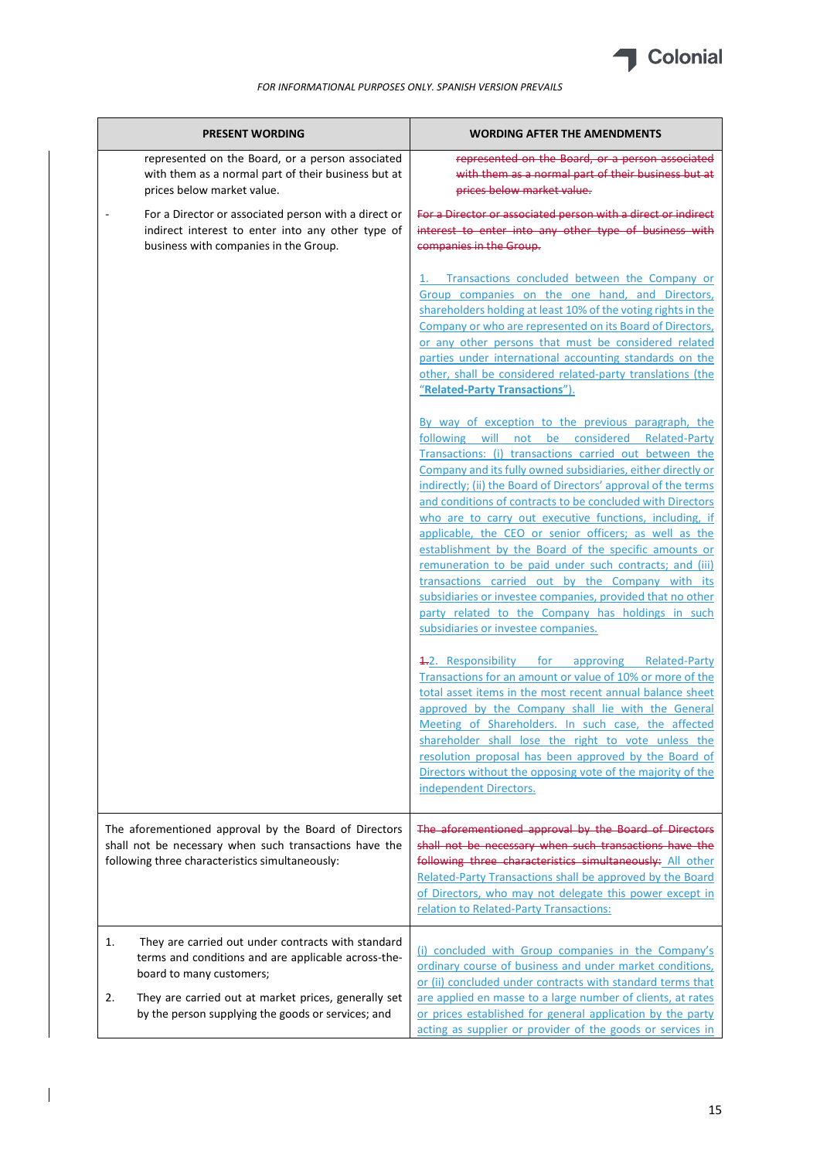

| <b>PRESENT WORDING</b>                                                                                                                                             | <b>WORDING AFTER THE AMENDMENTS</b>                                                                                                                                                                                                                                                                                                                                                                                                                                                                                                                                                                                                                                                                                                                                                                                   |
|--------------------------------------------------------------------------------------------------------------------------------------------------------------------|-----------------------------------------------------------------------------------------------------------------------------------------------------------------------------------------------------------------------------------------------------------------------------------------------------------------------------------------------------------------------------------------------------------------------------------------------------------------------------------------------------------------------------------------------------------------------------------------------------------------------------------------------------------------------------------------------------------------------------------------------------------------------------------------------------------------------|
| represented on the Board, or a person associated<br>with them as a normal part of their business but at<br>prices below market value.                              | represented on the Board, or a person associated<br>with them as a normal part of their business but at<br>prices below market value.                                                                                                                                                                                                                                                                                                                                                                                                                                                                                                                                                                                                                                                                                 |
| For a Director or associated person with a direct or<br>indirect interest to enter into any other type of<br>business with companies in the Group.                 | For a Director or associated person with a direct or indirect<br>interest to enter into any other type of business with<br>companies in the Group.                                                                                                                                                                                                                                                                                                                                                                                                                                                                                                                                                                                                                                                                    |
|                                                                                                                                                                    | Transactions concluded between the Company or<br>Group companies on the one hand, and Directors,<br>shareholders holding at least 10% of the voting rights in the<br>Company or who are represented on its Board of Directors,<br>or any other persons that must be considered related<br>parties under international accounting standards on the<br>other, shall be considered related-party translations (the<br>"Related-Party Transactions").                                                                                                                                                                                                                                                                                                                                                                     |
|                                                                                                                                                                    | By way of exception to the previous paragraph, the<br>following will not be considered Related-Party<br>Transactions: (i) transactions carried out between the<br>Company and its fully owned subsidiaries, either directly or<br>indirectly; (ii) the Board of Directors' approval of the terms<br>and conditions of contracts to be concluded with Directors<br>who are to carry out executive functions, including, if<br>applicable, the CEO or senior officers; as well as the<br>establishment by the Board of the specific amounts or<br>remuneration to be paid under such contracts; and (iii)<br>transactions carried out by the Company with its<br>subsidiaries or investee companies, provided that no other<br>party related to the Company has holdings in such<br>subsidiaries or investee companies. |
|                                                                                                                                                                    | 4.2. Responsibility for approving Related-Party<br>Transactions for an amount or value of 10% or more of the<br>total asset items in the most recent annual balance sheet<br>approved by the Company shall lie with the General<br>Meeting of Shareholders. In such case, the affected<br>shareholder shall lose the right to vote unless the<br>resolution proposal has been approved by the Board of<br>Directors without the opposing vote of the majority of the<br>independent Directors.                                                                                                                                                                                                                                                                                                                        |
| The aforementioned approval by the Board of Directors<br>shall not be necessary when such transactions have the<br>following three characteristics simultaneously: | The aforementioned approval by the Board of Directors<br>shall not be necessary when such transactions have the<br>following three characteristics simultaneously: All other<br>Related-Party Transactions shall be approved by the Board<br>of Directors, who may not delegate this power except in<br>relation to Related-Party Transactions:                                                                                                                                                                                                                                                                                                                                                                                                                                                                       |
| They are carried out under contracts with standard<br>1.<br>terms and conditions and are applicable across-the-<br>board to many customers;                        | (i) concluded with Group companies in the Company's<br>ordinary course of business and under market conditions,<br>or (ii) concluded under contracts with standard terms that                                                                                                                                                                                                                                                                                                                                                                                                                                                                                                                                                                                                                                         |
| 2.<br>They are carried out at market prices, generally set<br>by the person supplying the goods or services; and                                                   | are applied en masse to a large number of clients, at rates<br>or prices established for general application by the party<br>acting as supplier or provider of the goods or services in                                                                                                                                                                                                                                                                                                                                                                                                                                                                                                                                                                                                                               |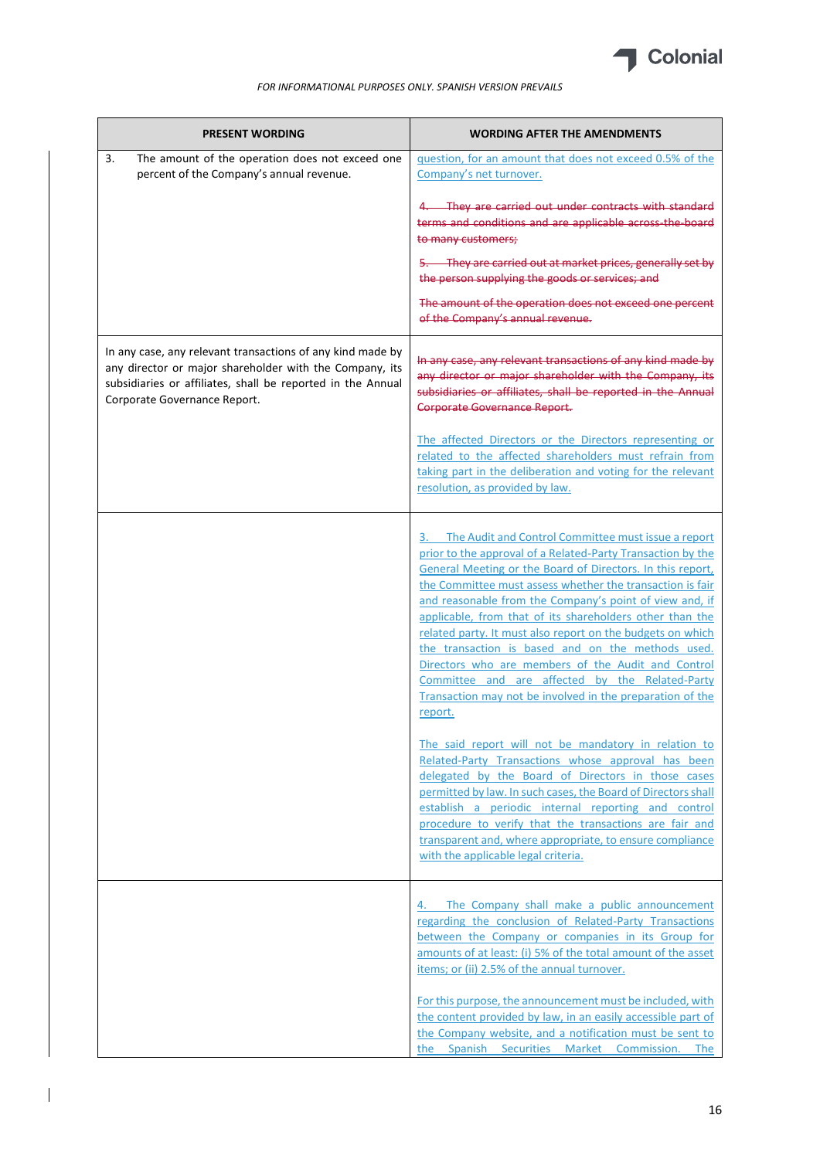

| <b>PRESENT WORDING</b>                                                                                                                                                                                               | <b>WORDING AFTER THE AMENDMENTS</b>                                                                                                                                                                                                                                                                                                                                                                                                                                                                                                                                                                                                                                         |
|----------------------------------------------------------------------------------------------------------------------------------------------------------------------------------------------------------------------|-----------------------------------------------------------------------------------------------------------------------------------------------------------------------------------------------------------------------------------------------------------------------------------------------------------------------------------------------------------------------------------------------------------------------------------------------------------------------------------------------------------------------------------------------------------------------------------------------------------------------------------------------------------------------------|
| 3.<br>The amount of the operation does not exceed one<br>percent of the Company's annual revenue.                                                                                                                    | question, for an amount that does not exceed 0.5% of the<br>Company's net turnover.                                                                                                                                                                                                                                                                                                                                                                                                                                                                                                                                                                                         |
|                                                                                                                                                                                                                      | They are carried out under contracts with standard<br>terms and conditions and are applicable across the board<br>to many customers;                                                                                                                                                                                                                                                                                                                                                                                                                                                                                                                                        |
|                                                                                                                                                                                                                      | 5. They are carried out at market prices, generally set by<br>the person supplying the goods or services; and                                                                                                                                                                                                                                                                                                                                                                                                                                                                                                                                                               |
|                                                                                                                                                                                                                      | The amount of the operation does not exceed one percent<br>of the Company's annual revenue.                                                                                                                                                                                                                                                                                                                                                                                                                                                                                                                                                                                 |
| In any case, any relevant transactions of any kind made by<br>any director or major shareholder with the Company, its<br>subsidiaries or affiliates, shall be reported in the Annual<br>Corporate Governance Report. | In any case, any relevant transactions of any kind made by<br>any director or major shareholder with the Company, its<br>subsidiaries or affiliates, shall be reported in the Annual<br>Corporate Governance Report.                                                                                                                                                                                                                                                                                                                                                                                                                                                        |
|                                                                                                                                                                                                                      | The affected Directors or the Directors representing or<br>related to the affected shareholders must refrain from<br>taking part in the deliberation and voting for the relevant<br>resolution, as provided by law.                                                                                                                                                                                                                                                                                                                                                                                                                                                         |
|                                                                                                                                                                                                                      | 3. The Audit and Control Committee must issue a report<br>prior to the approval of a Related-Party Transaction by the<br>General Meeting or the Board of Directors. In this report,<br>the Committee must assess whether the transaction is fair<br>and reasonable from the Company's point of view and, if<br>applicable, from that of its shareholders other than the<br>related party. It must also report on the budgets on which<br>the transaction is based and on the methods used.<br>Directors who are members of the Audit and Control<br>Committee and are affected by the Related-Party<br>Transaction may not be involved in the preparation of the<br>report. |
|                                                                                                                                                                                                                      | The said report will not be mandatory in relation to<br>Related-Party Transactions whose approval has been<br>delegated by the Board of Directors in those cases<br>permitted by law. In such cases, the Board of Directors shall<br>establish a periodic internal reporting and control<br>procedure to verify that the transactions are fair and<br>transparent and, where appropriate, to ensure compliance<br>with the applicable legal criteria.                                                                                                                                                                                                                       |
|                                                                                                                                                                                                                      | The Company shall make a public announcement<br>4.<br>regarding the conclusion of Related-Party Transactions<br>between the Company or companies in its Group for<br>amounts of at least: (i) 5% of the total amount of the asset<br>items; or (ii) 2.5% of the annual turnover.                                                                                                                                                                                                                                                                                                                                                                                            |
|                                                                                                                                                                                                                      | For this purpose, the announcement must be included, with<br>the content provided by law, in an easily accessible part of<br>the Company website, and a notification must be sent to<br>the Spanish Securities Market Commission. The                                                                                                                                                                                                                                                                                                                                                                                                                                       |

 $\overline{1}$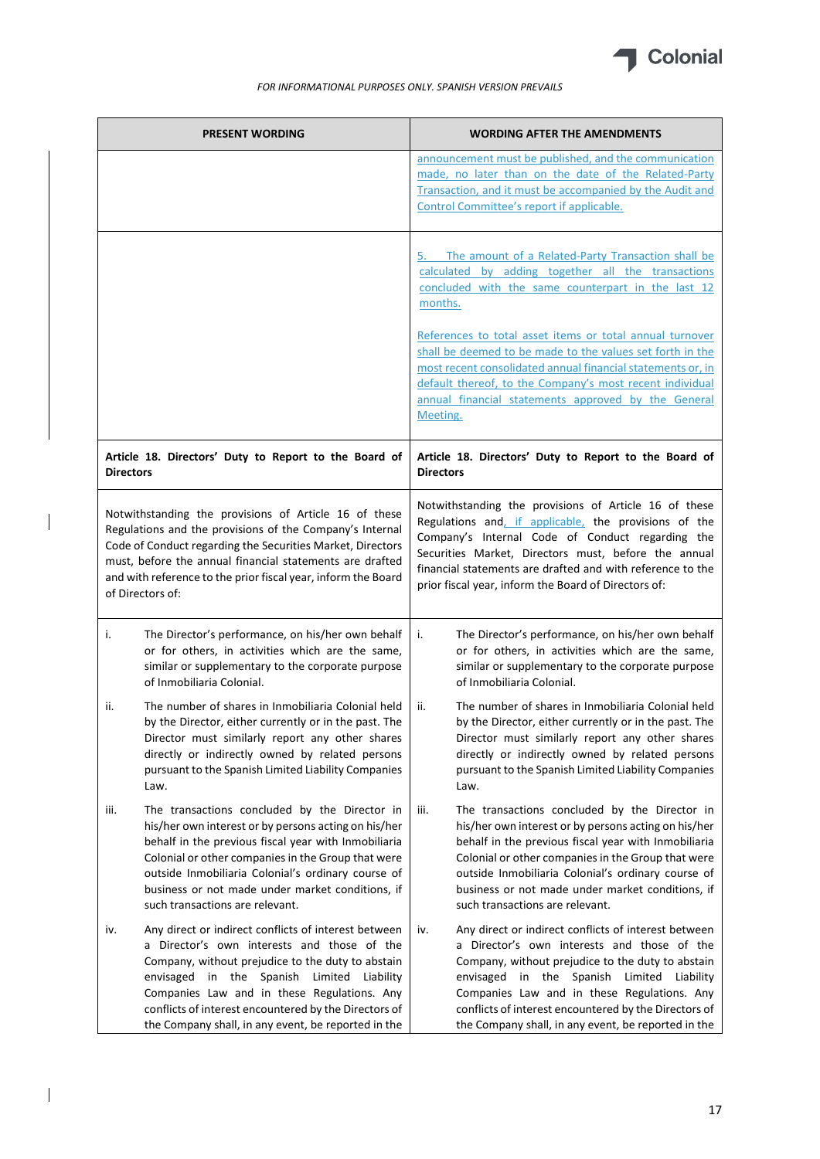

|                  | <b>PRESENT WORDING</b>                                                                                                                                                                                                                                                                                                                                                | <b>WORDING AFTER THE AMENDMENTS</b>                                                                                                                                                                                                                                                                                                                                                                                                                                                                    |
|------------------|-----------------------------------------------------------------------------------------------------------------------------------------------------------------------------------------------------------------------------------------------------------------------------------------------------------------------------------------------------------------------|--------------------------------------------------------------------------------------------------------------------------------------------------------------------------------------------------------------------------------------------------------------------------------------------------------------------------------------------------------------------------------------------------------------------------------------------------------------------------------------------------------|
|                  |                                                                                                                                                                                                                                                                                                                                                                       | announcement must be published, and the communication<br>made, no later than on the date of the Related-Party<br>Transaction, and it must be accompanied by the Audit and<br>Control Committee's report if applicable.                                                                                                                                                                                                                                                                                 |
|                  |                                                                                                                                                                                                                                                                                                                                                                       | The amount of a Related-Party Transaction shall be<br>5.<br>calculated by adding together all the transactions<br>concluded with the same counterpart in the last 12<br>months.<br>References to total asset items or total annual turnover<br>shall be deemed to be made to the values set forth in the<br>most recent consolidated annual financial statements or, in<br>default thereof, to the Company's most recent individual<br>annual financial statements approved by the General<br>Meeting. |
| <b>Directors</b> | Article 18. Directors' Duty to Report to the Board of                                                                                                                                                                                                                                                                                                                 | Article 18. Directors' Duty to Report to the Board of<br><b>Directors</b>                                                                                                                                                                                                                                                                                                                                                                                                                              |
|                  | Notwithstanding the provisions of Article 16 of these<br>Regulations and the provisions of the Company's Internal<br>Code of Conduct regarding the Securities Market, Directors<br>must, before the annual financial statements are drafted<br>and with reference to the prior fiscal year, inform the Board<br>of Directors of:                                      | Notwithstanding the provisions of Article 16 of these<br>Regulations and, if applicable, the provisions of the<br>Company's Internal Code of Conduct regarding the<br>Securities Market, Directors must, before the annual<br>financial statements are drafted and with reference to the<br>prior fiscal year, inform the Board of Directors of:                                                                                                                                                       |
| j.               | The Director's performance, on his/her own behalf<br>or for others, in activities which are the same,<br>similar or supplementary to the corporate purpose<br>of Inmobiliaria Colonial.                                                                                                                                                                               | The Director's performance, on his/her own behalf<br>i.<br>or for others, in activities which are the same,<br>similar or supplementary to the corporate purpose<br>of Inmobiliaria Colonial.                                                                                                                                                                                                                                                                                                          |
| ii.              | The number of shares in Inmobiliaria Colonial held<br>by the Director, either currently or in the past. The<br>Director must similarly report any other shares<br>directly or indirectly owned by related persons<br>pursuant to the Spanish Limited Liability Companies<br>Law.                                                                                      | ii.<br>The number of shares in Inmobiliaria Colonial held<br>by the Director, either currently or in the past. The<br>Director must similarly report any other shares<br>directly or indirectly owned by related persons<br>pursuant to the Spanish Limited Liability Companies<br>Law.                                                                                                                                                                                                                |
| iii.             | The transactions concluded by the Director in<br>his/her own interest or by persons acting on his/her<br>behalf in the previous fiscal year with Inmobiliaria<br>Colonial or other companies in the Group that were<br>outside Inmobiliaria Colonial's ordinary course of<br>business or not made under market conditions, if<br>such transactions are relevant.      | The transactions concluded by the Director in<br>iii.<br>his/her own interest or by persons acting on his/her<br>behalf in the previous fiscal year with Inmobiliaria<br>Colonial or other companies in the Group that were<br>outside Inmobiliaria Colonial's ordinary course of<br>business or not made under market conditions, if<br>such transactions are relevant.                                                                                                                               |
| iv.              | Any direct or indirect conflicts of interest between<br>a Director's own interests and those of the<br>Company, without prejudice to the duty to abstain<br>envisaged in the Spanish Limited Liability<br>Companies Law and in these Regulations. Any<br>conflicts of interest encountered by the Directors of<br>the Company shall, in any event, be reported in the | Any direct or indirect conflicts of interest between<br>iv.<br>a Director's own interests and those of the<br>Company, without prejudice to the duty to abstain<br>envisaged in the Spanish Limited Liability<br>Companies Law and in these Regulations. Any<br>conflicts of interest encountered by the Directors of<br>the Company shall, in any event, be reported in the                                                                                                                           |

 $\overline{\phantom{a}}$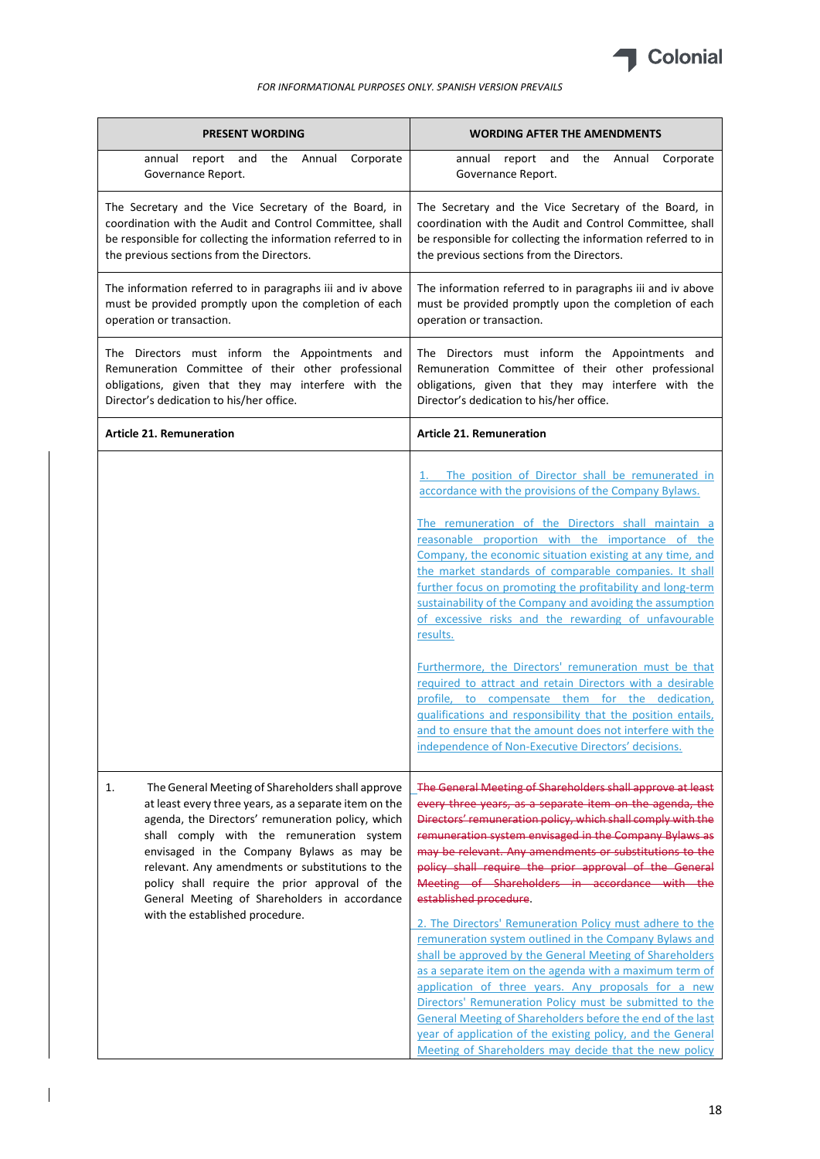

| <b>PRESENT WORDING</b>                                                                                                                                                                                                                                                                                                                                                                                                                                    | <b>WORDING AFTER THE AMENDMENTS</b>                                                                                                                                                                                                                                                                                                                                                                                                                                                                                                                                                                                                                                                                                                                                                                                                                                                                                                                                                                    |
|-----------------------------------------------------------------------------------------------------------------------------------------------------------------------------------------------------------------------------------------------------------------------------------------------------------------------------------------------------------------------------------------------------------------------------------------------------------|--------------------------------------------------------------------------------------------------------------------------------------------------------------------------------------------------------------------------------------------------------------------------------------------------------------------------------------------------------------------------------------------------------------------------------------------------------------------------------------------------------------------------------------------------------------------------------------------------------------------------------------------------------------------------------------------------------------------------------------------------------------------------------------------------------------------------------------------------------------------------------------------------------------------------------------------------------------------------------------------------------|
| annual report and<br>the<br>Annual<br>Corporate<br>Governance Report.                                                                                                                                                                                                                                                                                                                                                                                     | annual report and the Annual<br>Corporate<br>Governance Report.                                                                                                                                                                                                                                                                                                                                                                                                                                                                                                                                                                                                                                                                                                                                                                                                                                                                                                                                        |
| The Secretary and the Vice Secretary of the Board, in<br>coordination with the Audit and Control Committee, shall<br>be responsible for collecting the information referred to in<br>the previous sections from the Directors.                                                                                                                                                                                                                            | The Secretary and the Vice Secretary of the Board, in<br>coordination with the Audit and Control Committee, shall<br>be responsible for collecting the information referred to in<br>the previous sections from the Directors.                                                                                                                                                                                                                                                                                                                                                                                                                                                                                                                                                                                                                                                                                                                                                                         |
| The information referred to in paragraphs iii and iv above<br>must be provided promptly upon the completion of each<br>operation or transaction.                                                                                                                                                                                                                                                                                                          | The information referred to in paragraphs iii and iv above<br>must be provided promptly upon the completion of each<br>operation or transaction.                                                                                                                                                                                                                                                                                                                                                                                                                                                                                                                                                                                                                                                                                                                                                                                                                                                       |
| The Directors must inform the Appointments and<br>Remuneration Committee of their other professional<br>obligations, given that they may interfere with the<br>Director's dedication to his/her office.                                                                                                                                                                                                                                                   | The Directors must inform the Appointments and<br>Remuneration Committee of their other professional<br>obligations, given that they may interfere with the<br>Director's dedication to his/her office.                                                                                                                                                                                                                                                                                                                                                                                                                                                                                                                                                                                                                                                                                                                                                                                                |
| <b>Article 21. Remuneration</b>                                                                                                                                                                                                                                                                                                                                                                                                                           | <b>Article 21. Remuneration</b>                                                                                                                                                                                                                                                                                                                                                                                                                                                                                                                                                                                                                                                                                                                                                                                                                                                                                                                                                                        |
|                                                                                                                                                                                                                                                                                                                                                                                                                                                           | 1. The position of Director shall be remunerated in<br>accordance with the provisions of the Company Bylaws.<br>The remuneration of the Directors shall maintain a<br>reasonable proportion with the importance of the<br>Company, the economic situation existing at any time, and<br>the market standards of comparable companies. It shall<br>further focus on promoting the profitability and long-term<br>sustainability of the Company and avoiding the assumption<br>of excessive risks and the rewarding of unfavourable<br>results.<br>Furthermore, the Directors' remuneration must be that<br>required to attract and retain Directors with a desirable<br>profile, to compensate them for the dedication,<br>qualifications and responsibility that the position entails,<br>and to ensure that the amount does not interfere with the<br>independence of Non-Executive Directors' decisions.                                                                                              |
| The General Meeting of Shareholders shall approve<br>1.<br>at least every three years, as a separate item on the<br>agenda, the Directors' remuneration policy, which<br>shall comply with the remuneration system<br>envisaged in the Company Bylaws as may be<br>relevant. Any amendments or substitutions to the<br>policy shall require the prior approval of the<br>General Meeting of Shareholders in accordance<br>with the established procedure. | The General Meeting of Shareholders shall approve at least<br>every three years, as a separate item on the agenda, the<br>Directors' remuneration policy, which shall comply with the<br>remuneration system envisaged in the Company Bylaws as<br>may be relevant. Any amendments or substitutions to the<br>policy shall require the prior approval of the General<br>Meeting of Shareholders in accordance with the<br>established procedure.<br>2. The Directors' Remuneration Policy must adhere to the<br>remuneration system outlined in the Company Bylaws and<br>shall be approved by the General Meeting of Shareholders<br>as a separate item on the agenda with a maximum term of<br>application of three years. Any proposals for a new<br>Directors' Remuneration Policy must be submitted to the<br>General Meeting of Shareholders before the end of the last<br>year of application of the existing policy, and the General<br>Meeting of Shareholders may decide that the new policy |

 $\overline{1}$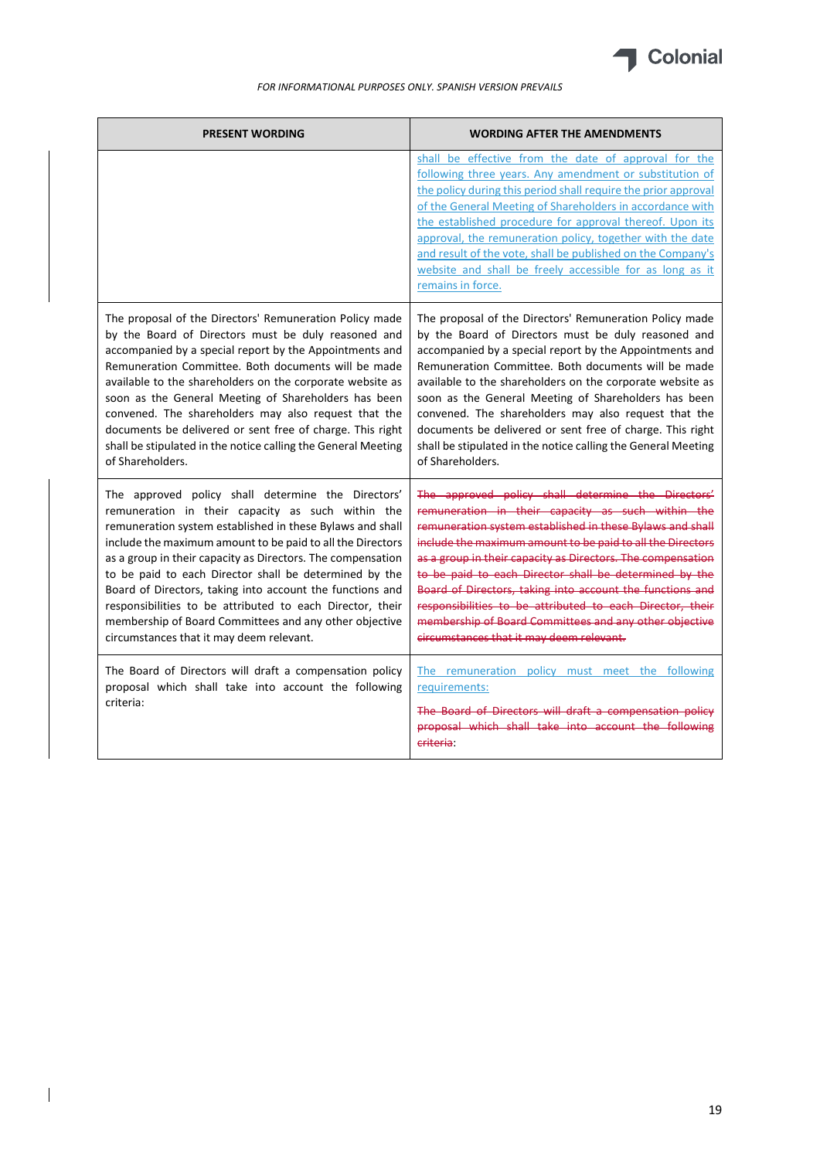

| <b>PRESENT WORDING</b>                                                                                                                                                                                                                                                                                                                                                                                                                                                                                                                                                                      | <b>WORDING AFTER THE AMENDMENTS</b>                                                                                                                                                                                                                                                                                                                                                                                                                                                                                                                                                         |
|---------------------------------------------------------------------------------------------------------------------------------------------------------------------------------------------------------------------------------------------------------------------------------------------------------------------------------------------------------------------------------------------------------------------------------------------------------------------------------------------------------------------------------------------------------------------------------------------|---------------------------------------------------------------------------------------------------------------------------------------------------------------------------------------------------------------------------------------------------------------------------------------------------------------------------------------------------------------------------------------------------------------------------------------------------------------------------------------------------------------------------------------------------------------------------------------------|
|                                                                                                                                                                                                                                                                                                                                                                                                                                                                                                                                                                                             | shall be effective from the date of approval for the<br>following three years. Any amendment or substitution of<br>the policy during this period shall require the prior approval<br>of the General Meeting of Shareholders in accordance with<br>the established procedure for approval thereof. Upon its<br>approval, the remuneration policy, together with the date<br>and result of the vote, shall be published on the Company's<br>website and shall be freely accessible for as long as it<br>remains in force.                                                                     |
| The proposal of the Directors' Remuneration Policy made<br>by the Board of Directors must be duly reasoned and<br>accompanied by a special report by the Appointments and<br>Remuneration Committee. Both documents will be made<br>available to the shareholders on the corporate website as<br>soon as the General Meeting of Shareholders has been<br>convened. The shareholders may also request that the<br>documents be delivered or sent free of charge. This right<br>shall be stipulated in the notice calling the General Meeting<br>of Shareholders.                             | The proposal of the Directors' Remuneration Policy made<br>by the Board of Directors must be duly reasoned and<br>accompanied by a special report by the Appointments and<br>Remuneration Committee. Both documents will be made<br>available to the shareholders on the corporate website as<br>soon as the General Meeting of Shareholders has been<br>convened. The shareholders may also request that the<br>documents be delivered or sent free of charge. This right<br>shall be stipulated in the notice calling the General Meeting<br>of Shareholders.                             |
| The approved policy shall determine the Directors'<br>remuneration in their capacity as such within the<br>remuneration system established in these Bylaws and shall<br>include the maximum amount to be paid to all the Directors<br>as a group in their capacity as Directors. The compensation<br>to be paid to each Director shall be determined by the<br>Board of Directors, taking into account the functions and<br>responsibilities to be attributed to each Director, their<br>membership of Board Committees and any other objective<br>circumstances that it may deem relevant. | The approved policy shall determine the Directors'<br>remuneration in their capacity as such within the<br>remuneration system established in these Bylaws and shall<br>include the maximum amount to be paid to all the Directors<br>as a group in their capacity as Directors. The compensation<br>to be paid to each Director shall be determined by the<br>Board of Directors, taking into account the functions and<br>responsibilities to be attributed to each Director, their<br>membership of Board Committees and any other objective<br>circumstances that it may deem relevant. |
| The Board of Directors will draft a compensation policy<br>proposal which shall take into account the following<br>criteria:                                                                                                                                                                                                                                                                                                                                                                                                                                                                | The remuneration policy must meet the following<br>requirements:<br>The Board of Directors will draft a compensation policy<br>proposal which shall take into account the following<br>criteria:                                                                                                                                                                                                                                                                                                                                                                                            |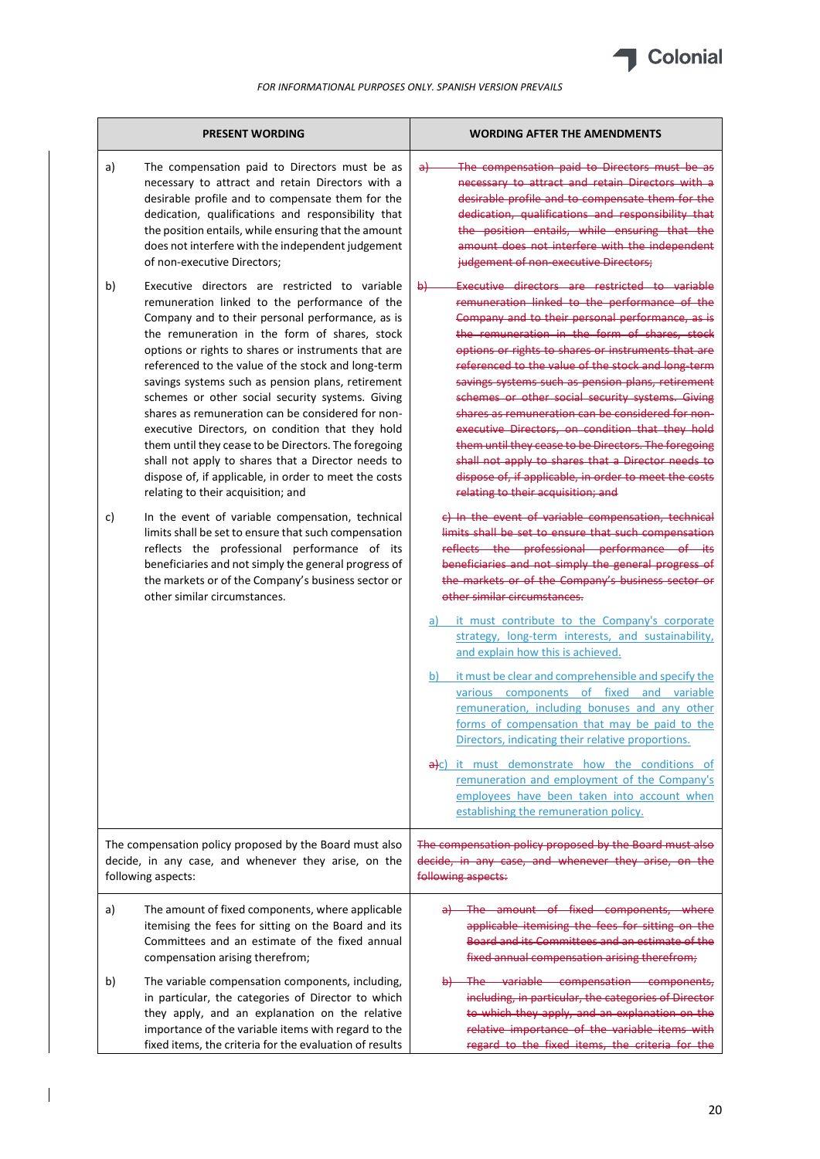

|    | <b>PRESENT WORDING</b>                                                                                                                                                                                                                                                                                                                                                                                                                                                                                                                                                                                                                                                                                                                           | <b>WORDING AFTER THE AMENDMENTS</b>                                                                                                                                                                                                                                                                                                                                                                                                                                                                                                                                                                                                                                                                                                                                                 |
|----|--------------------------------------------------------------------------------------------------------------------------------------------------------------------------------------------------------------------------------------------------------------------------------------------------------------------------------------------------------------------------------------------------------------------------------------------------------------------------------------------------------------------------------------------------------------------------------------------------------------------------------------------------------------------------------------------------------------------------------------------------|-------------------------------------------------------------------------------------------------------------------------------------------------------------------------------------------------------------------------------------------------------------------------------------------------------------------------------------------------------------------------------------------------------------------------------------------------------------------------------------------------------------------------------------------------------------------------------------------------------------------------------------------------------------------------------------------------------------------------------------------------------------------------------------|
| a) | The compensation paid to Directors must be as<br>necessary to attract and retain Directors with a<br>desirable profile and to compensate them for the<br>dedication, qualifications and responsibility that<br>the position entails, while ensuring that the amount<br>does not interfere with the independent judgement<br>of non-executive Directors;                                                                                                                                                                                                                                                                                                                                                                                          | The compensation paid to Directors must be as<br>$\partial +$<br>necessary to attract and retain Directors with a<br>desirable profile and to compensate them for the<br>dedication, qualifications and responsibility that<br>the position entails, while ensuring that the<br>amount does not interfere with the independent<br>judgement of non executive Directors;                                                                                                                                                                                                                                                                                                                                                                                                             |
| b) | Executive directors are restricted to variable<br>remuneration linked to the performance of the<br>Company and to their personal performance, as is<br>the remuneration in the form of shares, stock<br>options or rights to shares or instruments that are<br>referenced to the value of the stock and long-term<br>savings systems such as pension plans, retirement<br>schemes or other social security systems. Giving<br>shares as remuneration can be considered for non-<br>executive Directors, on condition that they hold<br>them until they cease to be Directors. The foregoing<br>shall not apply to shares that a Director needs to<br>dispose of, if applicable, in order to meet the costs<br>relating to their acquisition; and | Executive directors are restricted to variable<br>$\theta$<br>remuneration linked to the performance of the<br>Company and to their personal performance, as is<br>the remuneration in the form of shares, stock<br>options or rights to shares or instruments that are<br>referenced to the value of the stock and long term<br>savings systems such as pension plans, retirement<br>schemes or other social security systems. Giving<br>shares as remuneration can be considered for non-<br>executive Directors, on condition that they hold<br>them until they cease to be Directors. The foregoing<br>shall not apply to shares that a Director needs to<br>dispose of, if applicable, in order to meet the costs<br>relating to their acquisition; and                        |
| c) | In the event of variable compensation, technical<br>limits shall be set to ensure that such compensation<br>reflects the professional performance of its<br>beneficiaries and not simply the general progress of<br>the markets or of the Company's business sector or<br>other similar circumstances.                                                                                                                                                                                                                                                                                                                                                                                                                                           | c) In the event of variable compensation, technical<br>limits shall be set to ensure that such compensation<br>reflects the professional performance of its<br>beneficiaries and not simply the general progress of<br>the markets or of the Company's business sector or<br>other similar circumstances.<br>it must contribute to the Company's corporate<br>a)<br>strategy, long-term interests, and sustainability,<br>and explain how this is achieved.<br>it must be clear and comprehensible and specify the<br>b)<br>various components<br>of fixed<br>and variable<br>remuneration, including bonuses and any other<br>forms of compensation that may be paid to the<br>Directors, indicating their relative proportions.<br>a)c) it must demonstrate how the conditions of |
|    |                                                                                                                                                                                                                                                                                                                                                                                                                                                                                                                                                                                                                                                                                                                                                  | remuneration and employment of the Company's<br>employees have been taken into account when<br>establishing the remuneration policy.                                                                                                                                                                                                                                                                                                                                                                                                                                                                                                                                                                                                                                                |
|    | The compensation policy proposed by the Board must also<br>decide, in any case, and whenever they arise, on the<br>following aspects:                                                                                                                                                                                                                                                                                                                                                                                                                                                                                                                                                                                                            | The compensation policy proposed by the Board must also<br>decide, in any case, and whenever they arise, on the<br>following aspects:                                                                                                                                                                                                                                                                                                                                                                                                                                                                                                                                                                                                                                               |
| a) | The amount of fixed components, where applicable<br>itemising the fees for sitting on the Board and its<br>Committees and an estimate of the fixed annual<br>compensation arising therefrom;                                                                                                                                                                                                                                                                                                                                                                                                                                                                                                                                                     | The amount of fixed components, where<br>applicable itemising the fees for sitting on the<br>Board and its Committees and an estimate of the<br>fixed annual compensation arising therefrom;                                                                                                                                                                                                                                                                                                                                                                                                                                                                                                                                                                                        |
| b) | The variable compensation components, including,<br>in particular, the categories of Director to which<br>they apply, and an explanation on the relative<br>importance of the variable items with regard to the<br>fixed items, the criteria for the evaluation of results                                                                                                                                                                                                                                                                                                                                                                                                                                                                       | The variable compensation components,<br>including, in particular, the categories of Director<br>to which they apply, and an explanation on the<br>relative importance of the variable items with<br>regard to the fixed items, the criteria for the                                                                                                                                                                                                                                                                                                                                                                                                                                                                                                                                |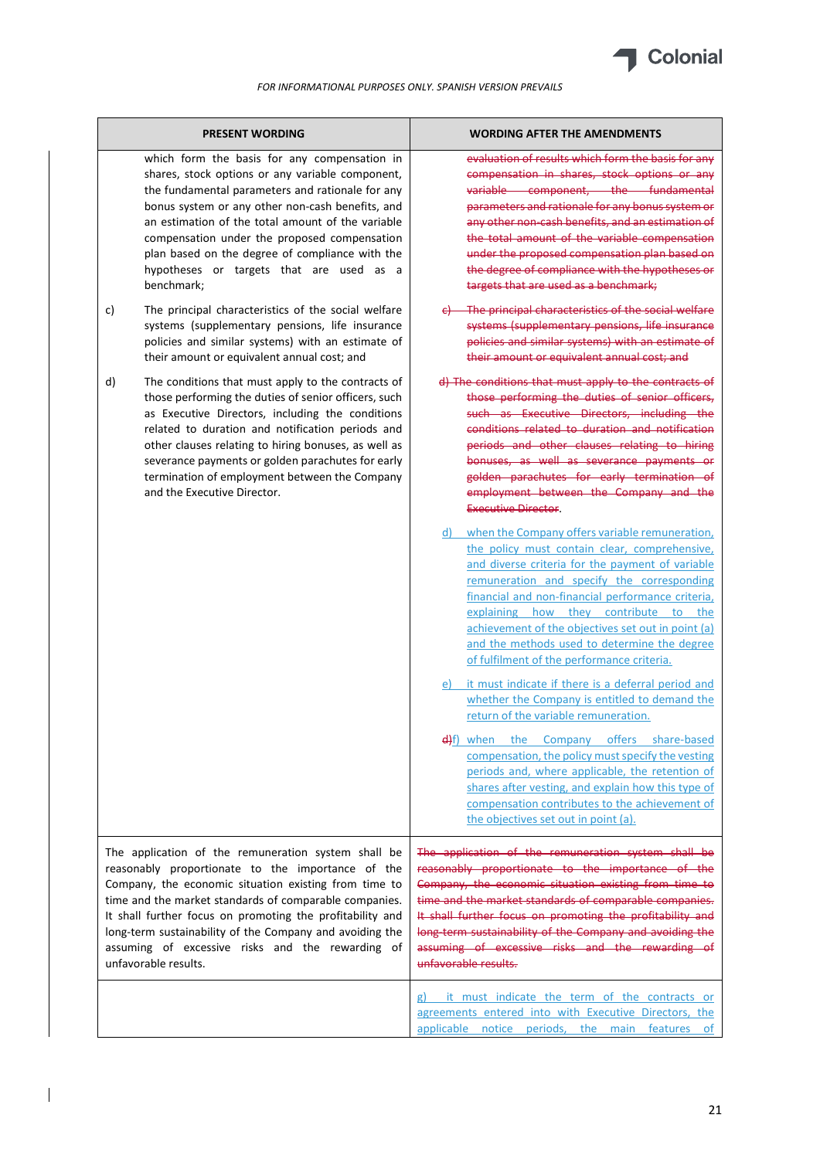

| <b>PRESENT WORDING</b>                                                                                                                                                                                                                                                                                                                                                                                                           | WORDING AFTER THE AMENDMENTS                                                                                                                                                                                                                                                                                                                                                                                                                                    |
|----------------------------------------------------------------------------------------------------------------------------------------------------------------------------------------------------------------------------------------------------------------------------------------------------------------------------------------------------------------------------------------------------------------------------------|-----------------------------------------------------------------------------------------------------------------------------------------------------------------------------------------------------------------------------------------------------------------------------------------------------------------------------------------------------------------------------------------------------------------------------------------------------------------|
| which form the basis for any compensation in<br>shares, stock options or any variable component,<br>the fundamental parameters and rationale for any<br>bonus system or any other non-cash benefits, and<br>an estimation of the total amount of the variable<br>compensation under the proposed compensation<br>plan based on the degree of compliance with the<br>hypotheses or targets that are used as a<br>benchmark;       | evaluation of results which form the basis for any<br>compensation in shares, stock options or any<br>variable component, the fundamental<br>parameters and rationale for any bonus system or<br>any other non-cash benefits, and an estimation of<br>the total amount of the variable compensation<br>under the proposed compensation plan based on<br>the degree of compliance with the hypotheses or<br>targets that are used as a benchmark;                |
| The principal characteristics of the social welfare<br>c)<br>systems (supplementary pensions, life insurance<br>policies and similar systems) with an estimate of<br>their amount or equivalent annual cost; and                                                                                                                                                                                                                 | The principal characteristics of the social welfare<br>systems (supplementary pensions, life insurance<br>policies and similar systems) with an estimate of<br>their amount or equivalent annual cost; and                                                                                                                                                                                                                                                      |
| The conditions that must apply to the contracts of<br>d)<br>those performing the duties of senior officers, such<br>as Executive Directors, including the conditions<br>related to duration and notification periods and<br>other clauses relating to hiring bonuses, as well as<br>severance payments or golden parachutes for early<br>termination of employment between the Company<br>and the Executive Director.            | d) The conditions that must apply to the contracts of<br>those performing the duties of senior officers,<br>such as Executive Directors, including the<br>conditions related to duration and notification<br>periods and other clauses relating to hiring<br>bonuses, as well as severance payments or<br>golden parachutes for early termination of<br>employment between the Company and the<br><b>Executive Director.</b>                                    |
|                                                                                                                                                                                                                                                                                                                                                                                                                                  | when the Company offers variable remuneration,<br>d)<br>the policy must contain clear, comprehensive,<br>and diverse criteria for the payment of variable<br>remuneration and specify the corresponding<br>financial and non-financial performance criteria,<br>explaining how they contribute<br>the<br>to<br>achievement of the objectives set out in point (a)<br>and the methods used to determine the degree<br>of fulfilment of the performance criteria. |
|                                                                                                                                                                                                                                                                                                                                                                                                                                  | it must indicate if there is a deferral period and<br>e)<br>whether the Company is entitled to demand the<br>return of the variable remuneration.<br>e) f) when the Company offers share-based<br>compensation, the policy must specify the vesting<br>periods and, where applicable, the retention of<br>shares after vesting, and explain how this type of<br>compensation contributes to the achievement of<br>the objectives set out in point (a).          |
| The application of the remuneration system shall be<br>reasonably proportionate to the importance of the<br>Company, the economic situation existing from time to<br>time and the market standards of comparable companies.<br>It shall further focus on promoting the profitability and<br>long-term sustainability of the Company and avoiding the<br>assuming of excessive risks and the rewarding of<br>unfavorable results. | The application of the remuneration system shall be<br>reasonably proportionate to the importance of the<br>Company, the economic situation existing from time to<br>time and the market standards of comparable companies.<br>It shall further focus on promoting the profitability and<br>long-term sustainability of the Company and avoiding the<br>assuming of excessive risks and the rewarding of<br>unfavorable results.                                |
|                                                                                                                                                                                                                                                                                                                                                                                                                                  | g) it must indicate the term of the contracts or<br>agreements entered into with Executive Directors, the<br>applicable notice periods, the main<br>features<br>of                                                                                                                                                                                                                                                                                              |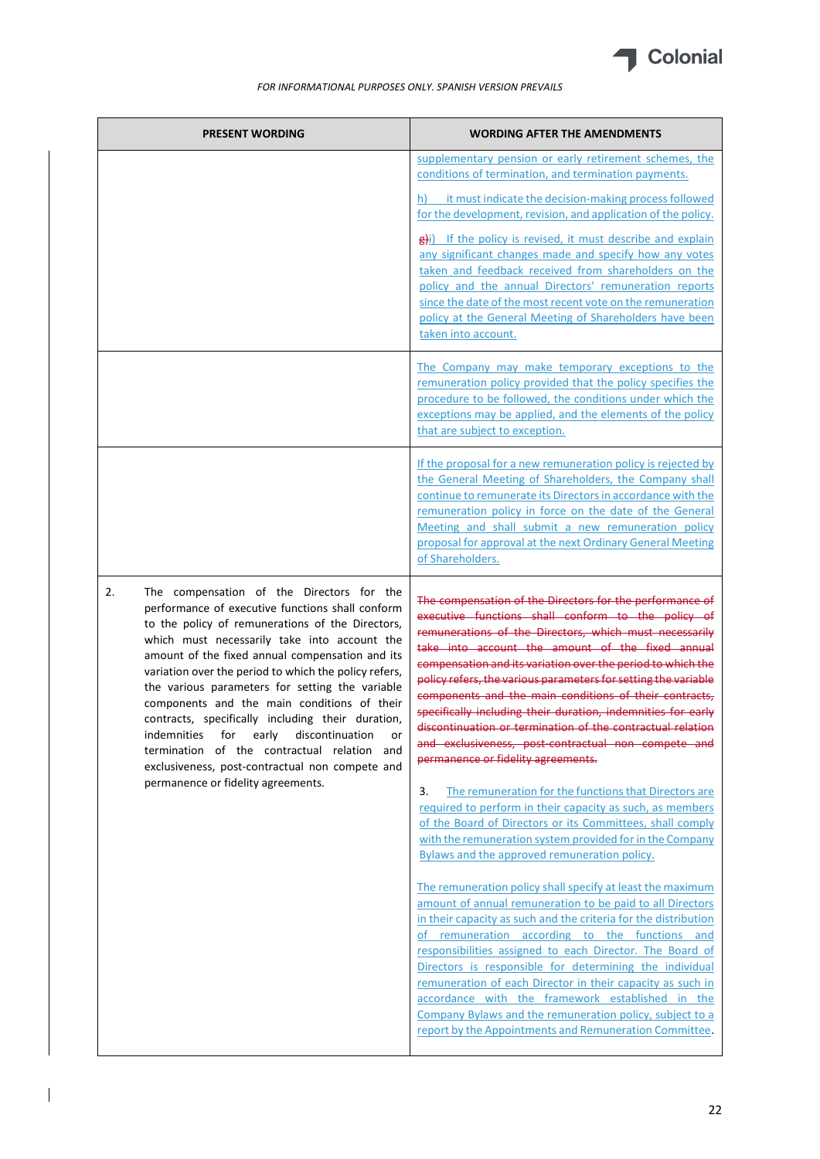

| <b>PRESENT WORDING</b>                                                                                                                                                                                                                                                                                                                                                                                                                                                                                                                                                                                                      | <b>WORDING AFTER THE AMENDMENTS</b>                                                                                                                                                                                                                                                                                                                                                                                                                                                                                                                                                                                                                |
|-----------------------------------------------------------------------------------------------------------------------------------------------------------------------------------------------------------------------------------------------------------------------------------------------------------------------------------------------------------------------------------------------------------------------------------------------------------------------------------------------------------------------------------------------------------------------------------------------------------------------------|----------------------------------------------------------------------------------------------------------------------------------------------------------------------------------------------------------------------------------------------------------------------------------------------------------------------------------------------------------------------------------------------------------------------------------------------------------------------------------------------------------------------------------------------------------------------------------------------------------------------------------------------------|
|                                                                                                                                                                                                                                                                                                                                                                                                                                                                                                                                                                                                                             | supplementary pension or early retirement schemes, the<br>conditions of termination, and termination payments.                                                                                                                                                                                                                                                                                                                                                                                                                                                                                                                                     |
|                                                                                                                                                                                                                                                                                                                                                                                                                                                                                                                                                                                                                             | it must indicate the decision-making process followed<br>for the development, revision, and application of the policy.                                                                                                                                                                                                                                                                                                                                                                                                                                                                                                                             |
|                                                                                                                                                                                                                                                                                                                                                                                                                                                                                                                                                                                                                             | Bi) If the policy is revised, it must describe and explain<br>any significant changes made and specify how any votes<br>taken and feedback received from shareholders on the<br>policy and the annual Directors' remuneration reports<br>since the date of the most recent vote on the remuneration<br>policy at the General Meeting of Shareholders have been<br>taken into account.                                                                                                                                                                                                                                                              |
|                                                                                                                                                                                                                                                                                                                                                                                                                                                                                                                                                                                                                             | The Company may make temporary exceptions to the<br>remuneration policy provided that the policy specifies the<br>procedure to be followed, the conditions under which the<br>exceptions may be applied, and the elements of the policy<br>that are subject to exception.                                                                                                                                                                                                                                                                                                                                                                          |
|                                                                                                                                                                                                                                                                                                                                                                                                                                                                                                                                                                                                                             | If the proposal for a new remuneration policy is rejected by<br>the General Meeting of Shareholders, the Company shall<br>continue to remunerate its Directors in accordance with the<br>remuneration policy in force on the date of the General<br>Meeting and shall submit a new remuneration policy<br>proposal for approval at the next Ordinary General Meeting<br>of Shareholders.                                                                                                                                                                                                                                                           |
| 2.<br>The compensation of the Directors for the<br>performance of executive functions shall conform<br>to the policy of remunerations of the Directors,<br>which must necessarily take into account the<br>amount of the fixed annual compensation and its<br>variation over the period to which the policy refers,<br>the various parameters for setting the variable<br>components and the main conditions of their<br>contracts, specifically including their duration,<br>indemnities for early discontinuation<br>or<br>termination of the contractual relation and<br>exclusiveness, post-contractual non compete and | The compensation of the Directors for the performance of<br>executive functions shall conform to the policy of<br>remunerations of the Directors, which must necessarily<br>take into account the amount of the fixed annual<br>compensation and its variation over the period to which the<br>policy refers, the various parameters for setting the variable<br>components and the main conditions of their contracts,<br>specifically including their duration, indemnities for early<br>discontinuation or termination of the contractual relation<br>and exclusiveness, post-contractual non compete and<br>permanence or fidelity agreements. |
| permanence or fidelity agreements.                                                                                                                                                                                                                                                                                                                                                                                                                                                                                                                                                                                          | 3.<br>The remuneration for the functions that Directors are<br>required to perform in their capacity as such, as members<br>of the Board of Directors or its Committees, shall comply<br>with the remuneration system provided for in the Company<br>Bylaws and the approved remuneration policy.                                                                                                                                                                                                                                                                                                                                                  |
|                                                                                                                                                                                                                                                                                                                                                                                                                                                                                                                                                                                                                             | The remuneration policy shall specify at least the maximum<br>amount of annual remuneration to be paid to all Directors<br>in their capacity as such and the criteria for the distribution<br>of remuneration according to the functions and<br>responsibilities assigned to each Director. The Board of<br>Directors is responsible for determining the individual<br>remuneration of each Director in their capacity as such in<br>accordance with the framework established in the<br>Company Bylaws and the remuneration policy, subject to a<br>report by the Appointments and Remuneration Committee.                                        |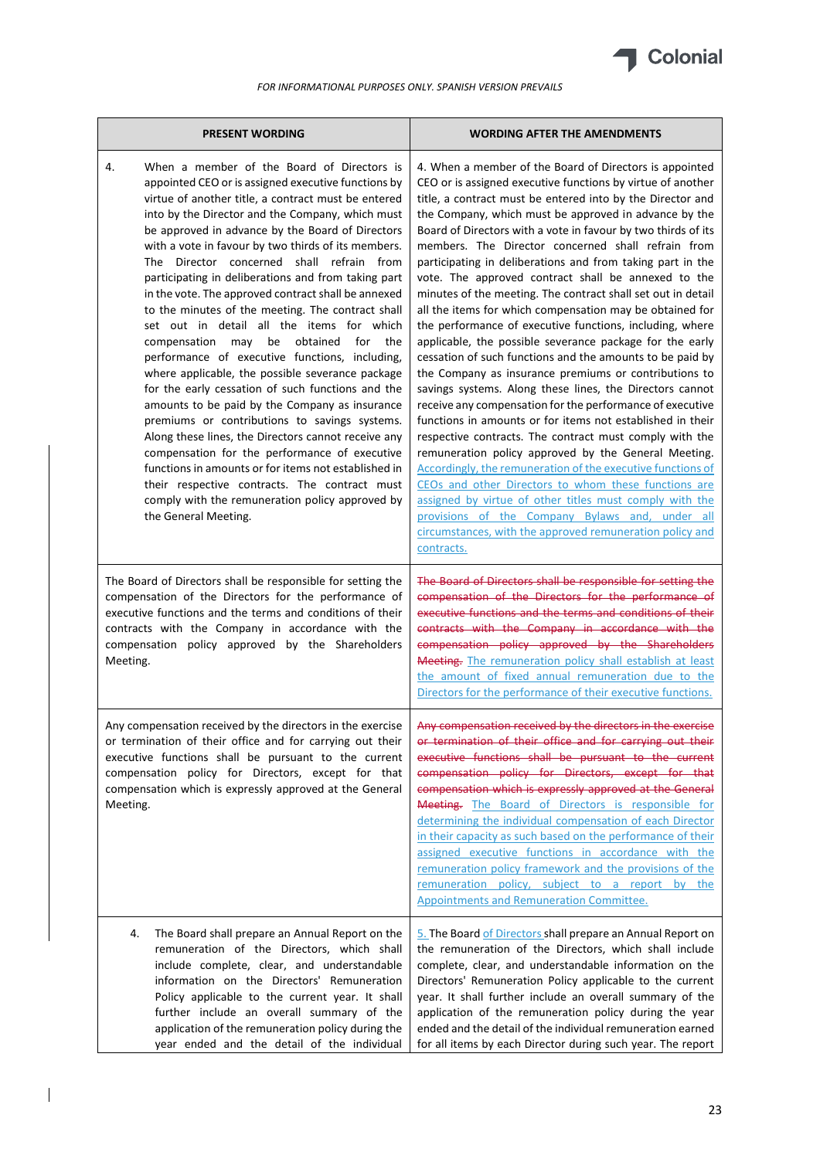

| <b>PRESENT WORDING</b>                                                                                                                                                                                                                                                                                                                                                                                                                                                                                                                                                                                                                                                                                                                                                                                                                                                                                                                                                                                                                                                                                                                                                                                   | <b>WORDING AFTER THE AMENDMENTS</b>                                                                                                                                                                                                                                                                                                                                                                                                                                                                                                                                                                                                                                                                                                                                                                                                                                                                                                                                                                                                                                                                                                                                                                                                                                                                                                                                                                                                                                                          |
|----------------------------------------------------------------------------------------------------------------------------------------------------------------------------------------------------------------------------------------------------------------------------------------------------------------------------------------------------------------------------------------------------------------------------------------------------------------------------------------------------------------------------------------------------------------------------------------------------------------------------------------------------------------------------------------------------------------------------------------------------------------------------------------------------------------------------------------------------------------------------------------------------------------------------------------------------------------------------------------------------------------------------------------------------------------------------------------------------------------------------------------------------------------------------------------------------------|----------------------------------------------------------------------------------------------------------------------------------------------------------------------------------------------------------------------------------------------------------------------------------------------------------------------------------------------------------------------------------------------------------------------------------------------------------------------------------------------------------------------------------------------------------------------------------------------------------------------------------------------------------------------------------------------------------------------------------------------------------------------------------------------------------------------------------------------------------------------------------------------------------------------------------------------------------------------------------------------------------------------------------------------------------------------------------------------------------------------------------------------------------------------------------------------------------------------------------------------------------------------------------------------------------------------------------------------------------------------------------------------------------------------------------------------------------------------------------------------|
| When a member of the Board of Directors is<br>4.<br>appointed CEO or is assigned executive functions by<br>virtue of another title, a contract must be entered<br>into by the Director and the Company, which must<br>be approved in advance by the Board of Directors<br>with a vote in favour by two thirds of its members.<br>The Director concerned shall refrain from<br>participating in deliberations and from taking part<br>in the vote. The approved contract shall be annexed<br>to the minutes of the meeting. The contract shall<br>set out in detail all the items for which<br>compensation may<br>obtained<br>the<br>be<br>for<br>performance of executive functions, including,<br>where applicable, the possible severance package<br>for the early cessation of such functions and the<br>amounts to be paid by the Company as insurance<br>premiums or contributions to savings systems.<br>Along these lines, the Directors cannot receive any<br>compensation for the performance of executive<br>functions in amounts or for items not established in<br>their respective contracts. The contract must<br>comply with the remuneration policy approved by<br>the General Meeting. | 4. When a member of the Board of Directors is appointed<br>CEO or is assigned executive functions by virtue of another<br>title, a contract must be entered into by the Director and<br>the Company, which must be approved in advance by the<br>Board of Directors with a vote in favour by two thirds of its<br>members. The Director concerned shall refrain from<br>participating in deliberations and from taking part in the<br>vote. The approved contract shall be annexed to the<br>minutes of the meeting. The contract shall set out in detail<br>all the items for which compensation may be obtained for<br>the performance of executive functions, including, where<br>applicable, the possible severance package for the early<br>cessation of such functions and the amounts to be paid by<br>the Company as insurance premiums or contributions to<br>savings systems. Along these lines, the Directors cannot<br>receive any compensation for the performance of executive<br>functions in amounts or for items not established in their<br>respective contracts. The contract must comply with the<br>remuneration policy approved by the General Meeting.<br>Accordingly, the remuneration of the executive functions of<br>CEOs and other Directors to whom these functions are<br>assigned by virtue of other titles must comply with the<br>provisions of the Company Bylaws and, under all<br>circumstances, with the approved remuneration policy and<br>contracts. |
| The Board of Directors shall be responsible for setting the<br>compensation of the Directors for the performance of<br>executive functions and the terms and conditions of their<br>contracts with the Company in accordance with the<br>compensation policy approved by the Shareholders<br>Meeting.                                                                                                                                                                                                                                                                                                                                                                                                                                                                                                                                                                                                                                                                                                                                                                                                                                                                                                    | The Board of Directors shall be responsible for setting the<br>compensation of the Directors for the performance of<br>executive functions and the terms and conditions of their<br>contracts with the Company in accordance with the<br>compensation policy approved by the Shareholders<br>Meeting. The remuneration policy shall establish at least<br>the amount of fixed annual remuneration due to the<br>Directors for the performance of their executive functions.                                                                                                                                                                                                                                                                                                                                                                                                                                                                                                                                                                                                                                                                                                                                                                                                                                                                                                                                                                                                                  |
| Any compensation received by the directors in the exercise<br>or termination of their office and for carrying out their<br>executive functions shall be pursuant to the current<br>compensation policy for Directors, except for that<br>compensation which is expressly approved at the General<br>Meeting.                                                                                                                                                                                                                                                                                                                                                                                                                                                                                                                                                                                                                                                                                                                                                                                                                                                                                             | Any compensation received by the directors in the exercise<br>or termination of their office and for carrying out their<br>executive functions shall be pursuant to the current<br>compensation policy for Directors, except for that<br>compensation which is expressly approved at the General<br>Meeting. The Board of Directors is responsible for<br>determining the individual compensation of each Director<br>in their capacity as such based on the performance of their<br>assigned executive functions in accordance with the<br>remuneration policy framework and the provisions of the<br>remuneration policy, subject to a report by the<br><b>Appointments and Remuneration Committee.</b>                                                                                                                                                                                                                                                                                                                                                                                                                                                                                                                                                                                                                                                                                                                                                                                    |
| 4.<br>The Board shall prepare an Annual Report on the<br>remuneration of the Directors, which shall<br>include complete, clear, and understandable<br>information on the Directors' Remuneration<br>Policy applicable to the current year. It shall<br>further include an overall summary of the<br>application of the remuneration policy during the<br>year ended and the detail of the individual                                                                                                                                                                                                                                                                                                                                                                                                                                                                                                                                                                                                                                                                                                                                                                                                     | 5. The Board of Directors shall prepare an Annual Report on<br>the remuneration of the Directors, which shall include<br>complete, clear, and understandable information on the<br>Directors' Remuneration Policy applicable to the current<br>year. It shall further include an overall summary of the<br>application of the remuneration policy during the year<br>ended and the detail of the individual remuneration earned<br>for all items by each Director during such year. The report                                                                                                                                                                                                                                                                                                                                                                                                                                                                                                                                                                                                                                                                                                                                                                                                                                                                                                                                                                                               |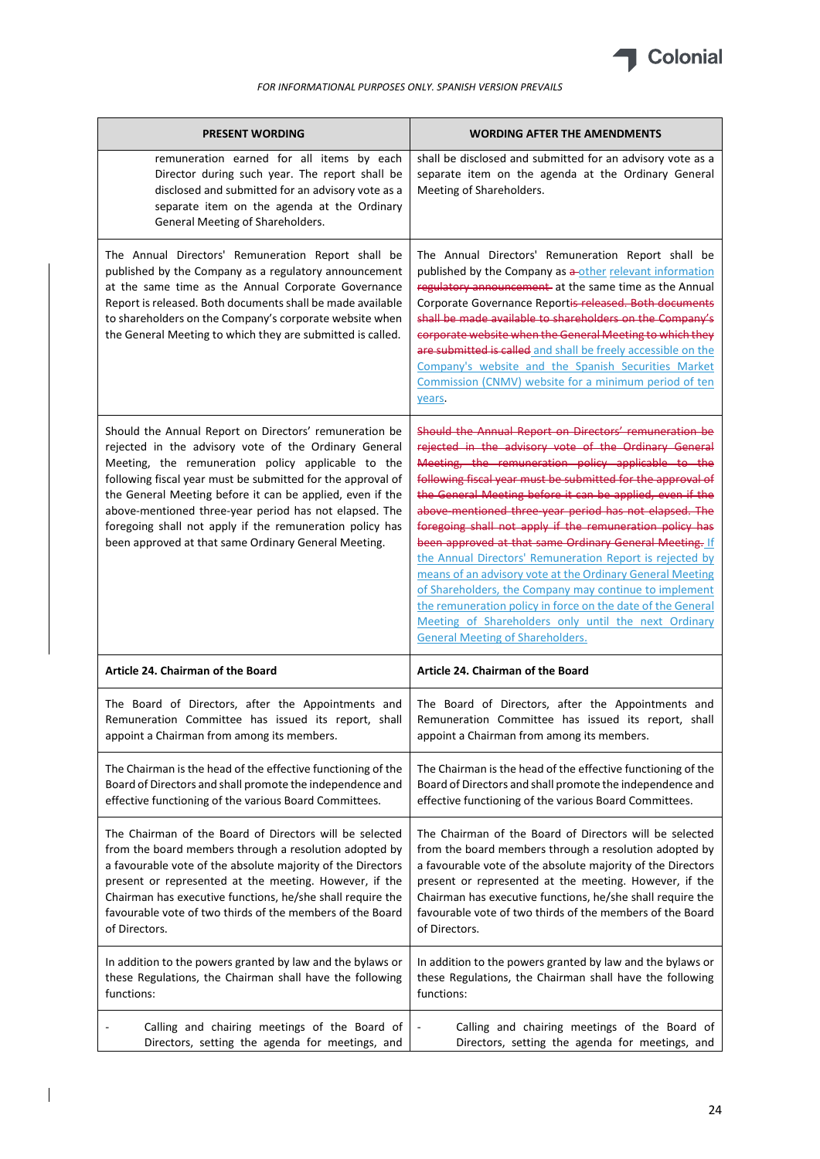

| <b>PRESENT WORDING</b>                                                                                                                                                                                                                                                                                                                                                                                                                                                          | <b>WORDING AFTER THE AMENDMENTS</b>                                                                                                                                                                                                                                                                                                                                                                                                                                                                                                                                                                                                                                                                                                                                                                                                     |
|---------------------------------------------------------------------------------------------------------------------------------------------------------------------------------------------------------------------------------------------------------------------------------------------------------------------------------------------------------------------------------------------------------------------------------------------------------------------------------|-----------------------------------------------------------------------------------------------------------------------------------------------------------------------------------------------------------------------------------------------------------------------------------------------------------------------------------------------------------------------------------------------------------------------------------------------------------------------------------------------------------------------------------------------------------------------------------------------------------------------------------------------------------------------------------------------------------------------------------------------------------------------------------------------------------------------------------------|
| remuneration earned for all items by each<br>Director during such year. The report shall be<br>disclosed and submitted for an advisory vote as a<br>separate item on the agenda at the Ordinary<br>General Meeting of Shareholders.                                                                                                                                                                                                                                             | shall be disclosed and submitted for an advisory vote as a<br>separate item on the agenda at the Ordinary General<br>Meeting of Shareholders.                                                                                                                                                                                                                                                                                                                                                                                                                                                                                                                                                                                                                                                                                           |
| The Annual Directors' Remuneration Report shall be<br>published by the Company as a regulatory announcement<br>at the same time as the Annual Corporate Governance<br>Report is released. Both documents shall be made available<br>to shareholders on the Company's corporate website when<br>the General Meeting to which they are submitted is called.                                                                                                                       | The Annual Directors' Remuneration Report shall be<br>published by the Company as a-other relevant information<br>regulatory announcement at the same time as the Annual<br>Corporate Governance Reportis released. Both documents<br>shall be made available to shareholders on the Company's<br>corporate website when the General Meeting to which they<br>are submitted is called and shall be freely accessible on the<br>Company's website and the Spanish Securities Market<br>Commission (CNMV) website for a minimum period of ten<br>years.                                                                                                                                                                                                                                                                                   |
| Should the Annual Report on Directors' remuneration be<br>rejected in the advisory vote of the Ordinary General<br>Meeting, the remuneration policy applicable to the<br>following fiscal year must be submitted for the approval of<br>the General Meeting before it can be applied, even if the<br>above-mentioned three-year period has not elapsed. The<br>foregoing shall not apply if the remuneration policy has<br>been approved at that same Ordinary General Meeting. | Should the Annual Report on Directors' remuneration be<br>rejected in the advisory vote of the Ordinary General<br>Meeting, the remuneration policy applicable to the<br>following fiscal year must be submitted for the approval of<br>the General Meeting before it can be applied, even if the<br>above-mentioned three-year period has not elapsed. The<br>foregoing shall not apply if the remuneration policy has<br>been approved at that same Ordinary General Meeting. If<br>the Annual Directors' Remuneration Report is rejected by<br>means of an advisory vote at the Ordinary General Meeting<br>of Shareholders, the Company may continue to implement<br>the remuneration policy in force on the date of the General<br>Meeting of Shareholders only until the next Ordinary<br><b>General Meeting of Shareholders.</b> |
| Article 24. Chairman of the Board                                                                                                                                                                                                                                                                                                                                                                                                                                               | Article 24. Chairman of the Board                                                                                                                                                                                                                                                                                                                                                                                                                                                                                                                                                                                                                                                                                                                                                                                                       |
| The Board of Directors, after the Appointments and                                                                                                                                                                                                                                                                                                                                                                                                                              | The Board of Directors, after the Appointments and                                                                                                                                                                                                                                                                                                                                                                                                                                                                                                                                                                                                                                                                                                                                                                                      |
| Remuneration Committee has issued its report, shall                                                                                                                                                                                                                                                                                                                                                                                                                             | Remuneration Committee has issued its report, shall                                                                                                                                                                                                                                                                                                                                                                                                                                                                                                                                                                                                                                                                                                                                                                                     |
| appoint a Chairman from among its members.                                                                                                                                                                                                                                                                                                                                                                                                                                      | appoint a Chairman from among its members.                                                                                                                                                                                                                                                                                                                                                                                                                                                                                                                                                                                                                                                                                                                                                                                              |
| The Chairman is the head of the effective functioning of the                                                                                                                                                                                                                                                                                                                                                                                                                    | The Chairman is the head of the effective functioning of the                                                                                                                                                                                                                                                                                                                                                                                                                                                                                                                                                                                                                                                                                                                                                                            |
| Board of Directors and shall promote the independence and                                                                                                                                                                                                                                                                                                                                                                                                                       | Board of Directors and shall promote the independence and                                                                                                                                                                                                                                                                                                                                                                                                                                                                                                                                                                                                                                                                                                                                                                               |
| effective functioning of the various Board Committees.                                                                                                                                                                                                                                                                                                                                                                                                                          | effective functioning of the various Board Committees.                                                                                                                                                                                                                                                                                                                                                                                                                                                                                                                                                                                                                                                                                                                                                                                  |
| The Chairman of the Board of Directors will be selected                                                                                                                                                                                                                                                                                                                                                                                                                         | The Chairman of the Board of Directors will be selected                                                                                                                                                                                                                                                                                                                                                                                                                                                                                                                                                                                                                                                                                                                                                                                 |
| from the board members through a resolution adopted by                                                                                                                                                                                                                                                                                                                                                                                                                          | from the board members through a resolution adopted by                                                                                                                                                                                                                                                                                                                                                                                                                                                                                                                                                                                                                                                                                                                                                                                  |
| a favourable vote of the absolute majority of the Directors                                                                                                                                                                                                                                                                                                                                                                                                                     | a favourable vote of the absolute majority of the Directors                                                                                                                                                                                                                                                                                                                                                                                                                                                                                                                                                                                                                                                                                                                                                                             |
| present or represented at the meeting. However, if the                                                                                                                                                                                                                                                                                                                                                                                                                          | present or represented at the meeting. However, if the                                                                                                                                                                                                                                                                                                                                                                                                                                                                                                                                                                                                                                                                                                                                                                                  |
| Chairman has executive functions, he/she shall require the                                                                                                                                                                                                                                                                                                                                                                                                                      | Chairman has executive functions, he/she shall require the                                                                                                                                                                                                                                                                                                                                                                                                                                                                                                                                                                                                                                                                                                                                                                              |
| favourable vote of two thirds of the members of the Board                                                                                                                                                                                                                                                                                                                                                                                                                       | favourable vote of two thirds of the members of the Board                                                                                                                                                                                                                                                                                                                                                                                                                                                                                                                                                                                                                                                                                                                                                                               |
| of Directors.                                                                                                                                                                                                                                                                                                                                                                                                                                                                   | of Directors.                                                                                                                                                                                                                                                                                                                                                                                                                                                                                                                                                                                                                                                                                                                                                                                                                           |
| In addition to the powers granted by law and the bylaws or                                                                                                                                                                                                                                                                                                                                                                                                                      | In addition to the powers granted by law and the bylaws or                                                                                                                                                                                                                                                                                                                                                                                                                                                                                                                                                                                                                                                                                                                                                                              |
| these Regulations, the Chairman shall have the following                                                                                                                                                                                                                                                                                                                                                                                                                        | these Regulations, the Chairman shall have the following                                                                                                                                                                                                                                                                                                                                                                                                                                                                                                                                                                                                                                                                                                                                                                                |
| functions:                                                                                                                                                                                                                                                                                                                                                                                                                                                                      | functions:                                                                                                                                                                                                                                                                                                                                                                                                                                                                                                                                                                                                                                                                                                                                                                                                                              |
| Calling and chairing meetings of the Board of                                                                                                                                                                                                                                                                                                                                                                                                                                   | Calling and chairing meetings of the Board of                                                                                                                                                                                                                                                                                                                                                                                                                                                                                                                                                                                                                                                                                                                                                                                           |
| Directors, setting the agenda for meetings, and                                                                                                                                                                                                                                                                                                                                                                                                                                 | Directors, setting the agenda for meetings, and                                                                                                                                                                                                                                                                                                                                                                                                                                                                                                                                                                                                                                                                                                                                                                                         |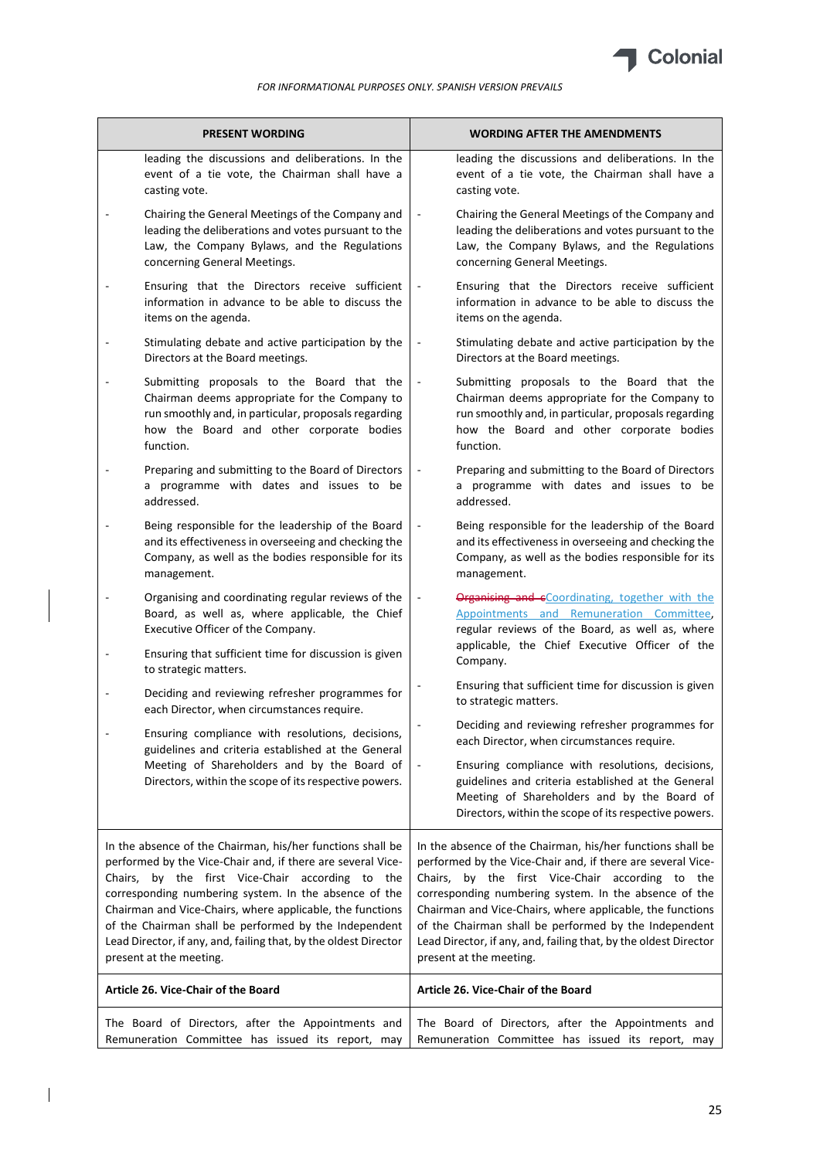

| <b>PRESENT WORDING</b>                                                                                                                                                                                       | <b>WORDING AFTER THE AMENDMENTS</b>                                                                                                                                                                                                      |  |
|--------------------------------------------------------------------------------------------------------------------------------------------------------------------------------------------------------------|------------------------------------------------------------------------------------------------------------------------------------------------------------------------------------------------------------------------------------------|--|
| leading the discussions and deliberations. In the                                                                                                                                                            | leading the discussions and deliberations. In the                                                                                                                                                                                        |  |
| event of a tie vote, the Chairman shall have a                                                                                                                                                               | event of a tie vote, the Chairman shall have a                                                                                                                                                                                           |  |
| casting vote.                                                                                                                                                                                                | casting vote.                                                                                                                                                                                                                            |  |
| Chairing the General Meetings of the Company and                                                                                                                                                             | Chairing the General Meetings of the Company and                                                                                                                                                                                         |  |
| leading the deliberations and votes pursuant to the                                                                                                                                                          | leading the deliberations and votes pursuant to the                                                                                                                                                                                      |  |
| Law, the Company Bylaws, and the Regulations                                                                                                                                                                 | Law, the Company Bylaws, and the Regulations                                                                                                                                                                                             |  |
| concerning General Meetings.                                                                                                                                                                                 | concerning General Meetings.                                                                                                                                                                                                             |  |
| Ensuring that the Directors receive sufficient<br>information in advance to be able to discuss the<br>items on the agenda.                                                                                   | Ensuring that the Directors receive sufficient<br>$\overline{\phantom{a}}$<br>information in advance to be able to discuss the<br>items on the agenda.                                                                                   |  |
| Stimulating debate and active participation by the                                                                                                                                                           | Stimulating debate and active participation by the                                                                                                                                                                                       |  |
| $\overline{a}$                                                                                                                                                                                               | $\overline{\phantom{a}}$                                                                                                                                                                                                                 |  |
| Directors at the Board meetings.                                                                                                                                                                             | Directors at the Board meetings.                                                                                                                                                                                                         |  |
| Submitting proposals to the Board that the<br>Chairman deems appropriate for the Company to<br>run smoothly and, in particular, proposals regarding<br>how the Board and other corporate bodies<br>function. | Submitting proposals to the Board that the<br>$\overline{\phantom{a}}$<br>Chairman deems appropriate for the Company to<br>run smoothly and, in particular, proposals regarding<br>how the Board and other corporate bodies<br>function. |  |
| Preparing and submitting to the Board of Directors                                                                                                                                                           | Preparing and submitting to the Board of Directors                                                                                                                                                                                       |  |
| a programme with dates and issues to be                                                                                                                                                                      | a programme with dates and issues to be                                                                                                                                                                                                  |  |
| addressed.                                                                                                                                                                                                   | addressed.                                                                                                                                                                                                                               |  |
| Being responsible for the leadership of the Board                                                                                                                                                            | Being responsible for the leadership of the Board                                                                                                                                                                                        |  |
| and its effectiveness in overseeing and checking the                                                                                                                                                         | and its effectiveness in overseeing and checking the                                                                                                                                                                                     |  |
| Company, as well as the bodies responsible for its                                                                                                                                                           | Company, as well as the bodies responsible for its                                                                                                                                                                                       |  |
| management.                                                                                                                                                                                                  | management.                                                                                                                                                                                                                              |  |
| Organising and coordinating regular reviews of the<br>Board, as well as, where applicable, the Chief<br>Executive Officer of the Company.<br>Ensuring that sufficient time for discussion is given           | Organising and eCoordinating, together with the<br>$\overline{\phantom{a}}$<br>Appointments and Remuneration Committee,<br>regular reviews of the Board, as well as, where<br>applicable, the Chief Executive Officer of the             |  |
| to strategic matters.<br>Deciding and reviewing refresher programmes for                                                                                                                                     | Company.<br>Ensuring that sufficient time for discussion is given<br>to strategic matters.                                                                                                                                               |  |
| each Director, when circumstances require.                                                                                                                                                                   | Deciding and reviewing refresher programmes for                                                                                                                                                                                          |  |
| Ensuring compliance with resolutions, decisions,                                                                                                                                                             | each Director, when circumstances require.                                                                                                                                                                                               |  |
| guidelines and criteria established at the General<br>Meeting of Shareholders and by the Board of<br>Directors, within the scope of its respective powers.                                                   | Ensuring compliance with resolutions, decisions,<br>guidelines and criteria established at the General<br>Meeting of Shareholders and by the Board of<br>Directors, within the scope of its respective powers.                           |  |
| In the absence of the Chairman, his/her functions shall be                                                                                                                                                   | In the absence of the Chairman, his/her functions shall be                                                                                                                                                                               |  |
| performed by the Vice-Chair and, if there are several Vice-                                                                                                                                                  | performed by the Vice-Chair and, if there are several Vice-                                                                                                                                                                              |  |
| Chairs, by the first Vice-Chair according to the                                                                                                                                                             | Chairs, by the first Vice-Chair according to the                                                                                                                                                                                         |  |
| corresponding numbering system. In the absence of the                                                                                                                                                        | corresponding numbering system. In the absence of the                                                                                                                                                                                    |  |
| Chairman and Vice-Chairs, where applicable, the functions                                                                                                                                                    | Chairman and Vice-Chairs, where applicable, the functions                                                                                                                                                                                |  |
| of the Chairman shall be performed by the Independent                                                                                                                                                        | of the Chairman shall be performed by the Independent                                                                                                                                                                                    |  |
| Lead Director, if any, and, failing that, by the oldest Director                                                                                                                                             | Lead Director, if any, and, failing that, by the oldest Director                                                                                                                                                                         |  |
| present at the meeting.                                                                                                                                                                                      | present at the meeting.                                                                                                                                                                                                                  |  |
| Article 26. Vice-Chair of the Board                                                                                                                                                                          | Article 26. Vice-Chair of the Board                                                                                                                                                                                                      |  |
| The Board of Directors, after the Appointments and                                                                                                                                                           | The Board of Directors, after the Appointments and                                                                                                                                                                                       |  |
| Remuneration Committee has issued its report, may                                                                                                                                                            | Remuneration Committee has issued its report, may                                                                                                                                                                                        |  |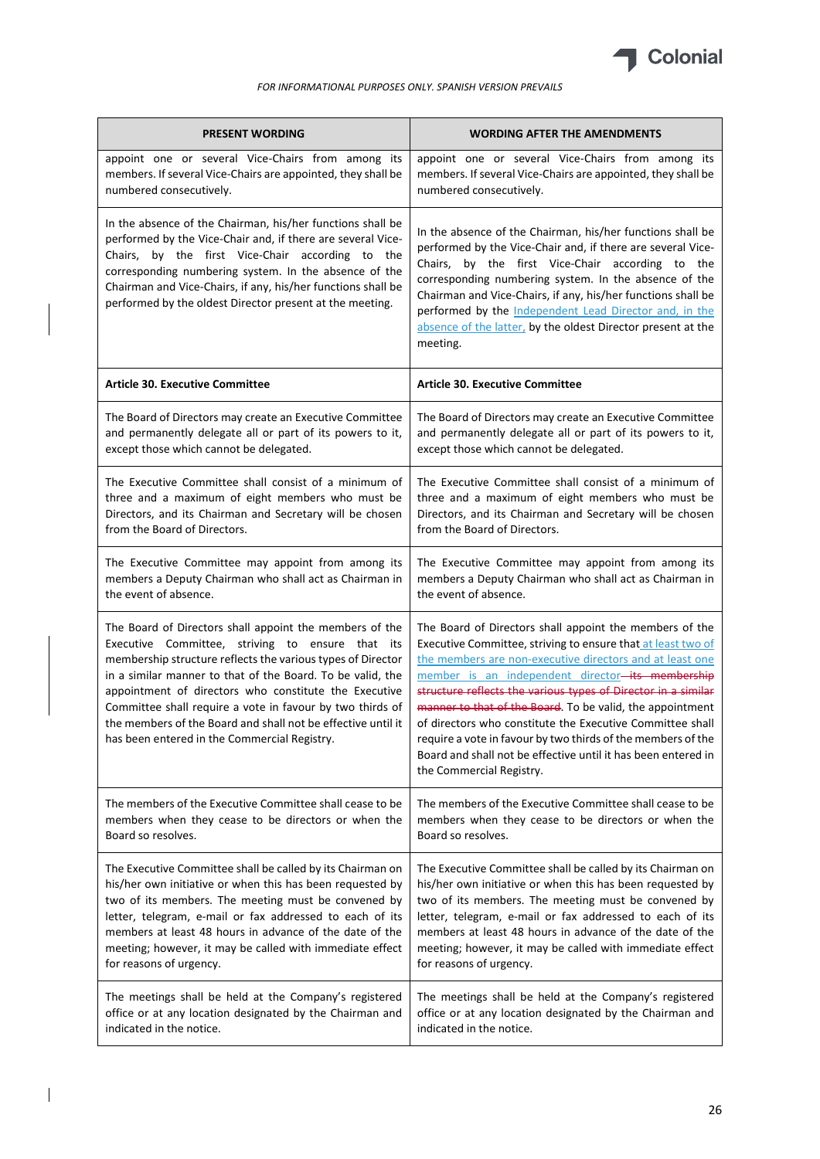

| <b>PRESENT WORDING</b>                                                                                                                                                                                                                                                                                                                                                                                                                                                         | <b>WORDING AFTER THE AMENDMENTS</b>                                                                                                                                                                                                                                                                                                                                                                                                                                                                                                                                                             |  |
|--------------------------------------------------------------------------------------------------------------------------------------------------------------------------------------------------------------------------------------------------------------------------------------------------------------------------------------------------------------------------------------------------------------------------------------------------------------------------------|-------------------------------------------------------------------------------------------------------------------------------------------------------------------------------------------------------------------------------------------------------------------------------------------------------------------------------------------------------------------------------------------------------------------------------------------------------------------------------------------------------------------------------------------------------------------------------------------------|--|
| appoint one or several Vice-Chairs from among its                                                                                                                                                                                                                                                                                                                                                                                                                              | appoint one or several Vice-Chairs from among its                                                                                                                                                                                                                                                                                                                                                                                                                                                                                                                                               |  |
| members. If several Vice-Chairs are appointed, they shall be                                                                                                                                                                                                                                                                                                                                                                                                                   | members. If several Vice-Chairs are appointed, they shall be                                                                                                                                                                                                                                                                                                                                                                                                                                                                                                                                    |  |
| numbered consecutively.                                                                                                                                                                                                                                                                                                                                                                                                                                                        | numbered consecutively.                                                                                                                                                                                                                                                                                                                                                                                                                                                                                                                                                                         |  |
| In the absence of the Chairman, his/her functions shall be<br>performed by the Vice-Chair and, if there are several Vice-<br>Chairs, by the first Vice-Chair according to the<br>corresponding numbering system. In the absence of the<br>Chairman and Vice-Chairs, if any, his/her functions shall be<br>performed by the oldest Director present at the meeting.                                                                                                             | In the absence of the Chairman, his/her functions shall be<br>performed by the Vice-Chair and, if there are several Vice-<br>Chairs, by the first Vice-Chair according to the<br>corresponding numbering system. In the absence of the<br>Chairman and Vice-Chairs, if any, his/her functions shall be<br>performed by the Independent Lead Director and, in the<br>absence of the latter, by the oldest Director present at the<br>meeting.                                                                                                                                                    |  |
| <b>Article 30. Executive Committee</b>                                                                                                                                                                                                                                                                                                                                                                                                                                         | <b>Article 30. Executive Committee</b>                                                                                                                                                                                                                                                                                                                                                                                                                                                                                                                                                          |  |
| The Board of Directors may create an Executive Committee                                                                                                                                                                                                                                                                                                                                                                                                                       | The Board of Directors may create an Executive Committee                                                                                                                                                                                                                                                                                                                                                                                                                                                                                                                                        |  |
| and permanently delegate all or part of its powers to it,                                                                                                                                                                                                                                                                                                                                                                                                                      | and permanently delegate all or part of its powers to it,                                                                                                                                                                                                                                                                                                                                                                                                                                                                                                                                       |  |
| except those which cannot be delegated.                                                                                                                                                                                                                                                                                                                                                                                                                                        | except those which cannot be delegated.                                                                                                                                                                                                                                                                                                                                                                                                                                                                                                                                                         |  |
| The Executive Committee shall consist of a minimum of                                                                                                                                                                                                                                                                                                                                                                                                                          | The Executive Committee shall consist of a minimum of                                                                                                                                                                                                                                                                                                                                                                                                                                                                                                                                           |  |
| three and a maximum of eight members who must be                                                                                                                                                                                                                                                                                                                                                                                                                               | three and a maximum of eight members who must be                                                                                                                                                                                                                                                                                                                                                                                                                                                                                                                                                |  |
| Directors, and its Chairman and Secretary will be chosen                                                                                                                                                                                                                                                                                                                                                                                                                       | Directors, and its Chairman and Secretary will be chosen                                                                                                                                                                                                                                                                                                                                                                                                                                                                                                                                        |  |
| from the Board of Directors.                                                                                                                                                                                                                                                                                                                                                                                                                                                   | from the Board of Directors.                                                                                                                                                                                                                                                                                                                                                                                                                                                                                                                                                                    |  |
| The Executive Committee may appoint from among its                                                                                                                                                                                                                                                                                                                                                                                                                             | The Executive Committee may appoint from among its                                                                                                                                                                                                                                                                                                                                                                                                                                                                                                                                              |  |
| members a Deputy Chairman who shall act as Chairman in                                                                                                                                                                                                                                                                                                                                                                                                                         | members a Deputy Chairman who shall act as Chairman in                                                                                                                                                                                                                                                                                                                                                                                                                                                                                                                                          |  |
| the event of absence.                                                                                                                                                                                                                                                                                                                                                                                                                                                          | the event of absence.                                                                                                                                                                                                                                                                                                                                                                                                                                                                                                                                                                           |  |
| The Board of Directors shall appoint the members of the<br>Executive Committee, striving to ensure that its<br>membership structure reflects the various types of Director<br>in a similar manner to that of the Board. To be valid, the<br>appointment of directors who constitute the Executive<br>Committee shall require a vote in favour by two thirds of<br>the members of the Board and shall not be effective until it<br>has been entered in the Commercial Registry. | The Board of Directors shall appoint the members of the<br>Executive Committee, striving to ensure that at least two of<br>the members are non-executive directors and at least one<br>member is an independent director-its membership<br>structure reflects the various types of Director in a similar<br>manner to that of the Board. To be valid, the appointment<br>of directors who constitute the Executive Committee shall<br>require a vote in favour by two thirds of the members of the<br>Board and shall not be effective until it has been entered in<br>the Commercial Registry. |  |
| The members of the Executive Committee shall cease to be                                                                                                                                                                                                                                                                                                                                                                                                                       | The members of the Executive Committee shall cease to be                                                                                                                                                                                                                                                                                                                                                                                                                                                                                                                                        |  |
| members when they cease to be directors or when the                                                                                                                                                                                                                                                                                                                                                                                                                            | members when they cease to be directors or when the                                                                                                                                                                                                                                                                                                                                                                                                                                                                                                                                             |  |
| Board so resolves.                                                                                                                                                                                                                                                                                                                                                                                                                                                             | Board so resolves.                                                                                                                                                                                                                                                                                                                                                                                                                                                                                                                                                                              |  |
| The Executive Committee shall be called by its Chairman on                                                                                                                                                                                                                                                                                                                                                                                                                     | The Executive Committee shall be called by its Chairman on                                                                                                                                                                                                                                                                                                                                                                                                                                                                                                                                      |  |
| his/her own initiative or when this has been requested by                                                                                                                                                                                                                                                                                                                                                                                                                      | his/her own initiative or when this has been requested by                                                                                                                                                                                                                                                                                                                                                                                                                                                                                                                                       |  |
| two of its members. The meeting must be convened by                                                                                                                                                                                                                                                                                                                                                                                                                            | two of its members. The meeting must be convened by                                                                                                                                                                                                                                                                                                                                                                                                                                                                                                                                             |  |
| letter, telegram, e-mail or fax addressed to each of its                                                                                                                                                                                                                                                                                                                                                                                                                       | letter, telegram, e-mail or fax addressed to each of its                                                                                                                                                                                                                                                                                                                                                                                                                                                                                                                                        |  |
| members at least 48 hours in advance of the date of the                                                                                                                                                                                                                                                                                                                                                                                                                        | members at least 48 hours in advance of the date of the                                                                                                                                                                                                                                                                                                                                                                                                                                                                                                                                         |  |
| meeting; however, it may be called with immediate effect                                                                                                                                                                                                                                                                                                                                                                                                                       | meeting; however, it may be called with immediate effect                                                                                                                                                                                                                                                                                                                                                                                                                                                                                                                                        |  |
| for reasons of urgency.                                                                                                                                                                                                                                                                                                                                                                                                                                                        | for reasons of urgency.                                                                                                                                                                                                                                                                                                                                                                                                                                                                                                                                                                         |  |
| The meetings shall be held at the Company's registered                                                                                                                                                                                                                                                                                                                                                                                                                         | The meetings shall be held at the Company's registered                                                                                                                                                                                                                                                                                                                                                                                                                                                                                                                                          |  |
| office or at any location designated by the Chairman and                                                                                                                                                                                                                                                                                                                                                                                                                       | office or at any location designated by the Chairman and                                                                                                                                                                                                                                                                                                                                                                                                                                                                                                                                        |  |
| indicated in the notice.                                                                                                                                                                                                                                                                                                                                                                                                                                                       | indicated in the notice.                                                                                                                                                                                                                                                                                                                                                                                                                                                                                                                                                                        |  |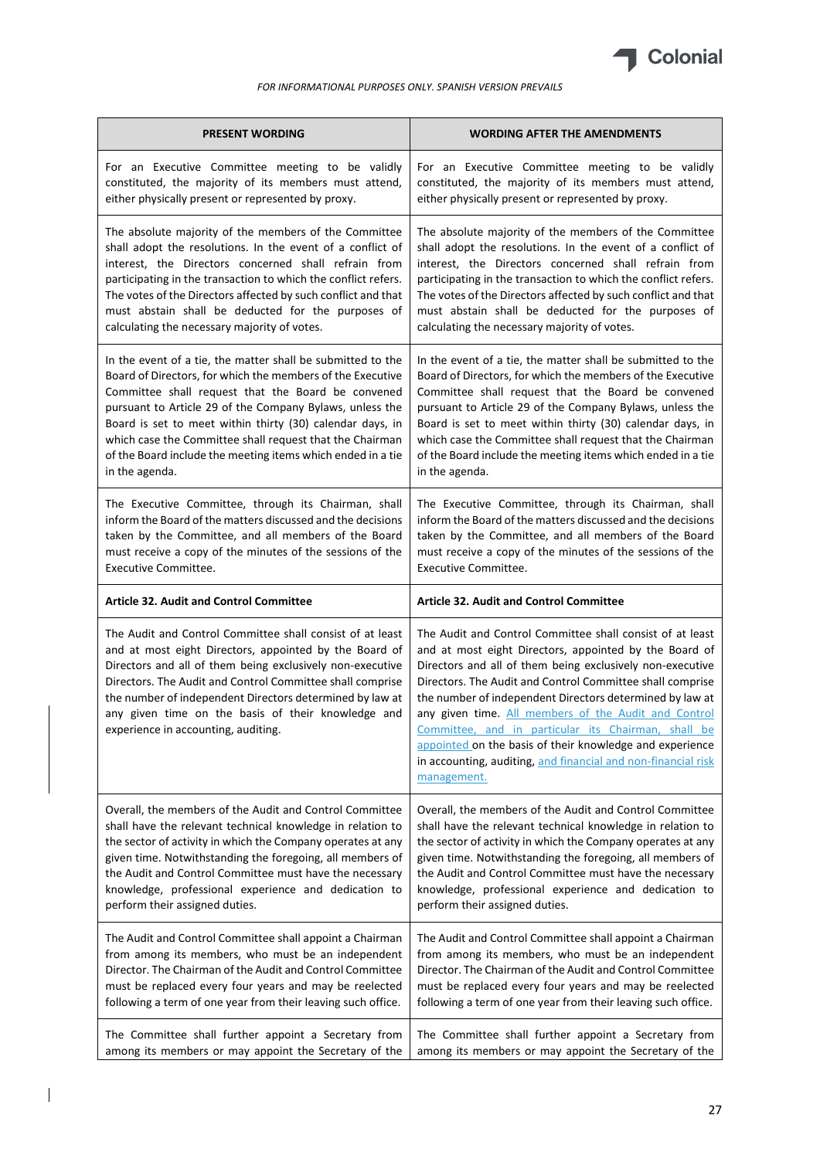

| <b>PRESENT WORDING</b>                                                                                                                                                                                                                                                                                                                                                                                 | <b>WORDING AFTER THE AMENDMENTS</b>                                                                                                                                                                                                                                                                                                                                                                                                                                                                                                                                  |  |
|--------------------------------------------------------------------------------------------------------------------------------------------------------------------------------------------------------------------------------------------------------------------------------------------------------------------------------------------------------------------------------------------------------|----------------------------------------------------------------------------------------------------------------------------------------------------------------------------------------------------------------------------------------------------------------------------------------------------------------------------------------------------------------------------------------------------------------------------------------------------------------------------------------------------------------------------------------------------------------------|--|
| For an Executive Committee meeting to be validly                                                                                                                                                                                                                                                                                                                                                       | For an Executive Committee meeting to be validly                                                                                                                                                                                                                                                                                                                                                                                                                                                                                                                     |  |
| constituted, the majority of its members must attend,                                                                                                                                                                                                                                                                                                                                                  | constituted, the majority of its members must attend,                                                                                                                                                                                                                                                                                                                                                                                                                                                                                                                |  |
| either physically present or represented by proxy.                                                                                                                                                                                                                                                                                                                                                     | either physically present or represented by proxy.                                                                                                                                                                                                                                                                                                                                                                                                                                                                                                                   |  |
| The absolute majority of the members of the Committee                                                                                                                                                                                                                                                                                                                                                  | The absolute majority of the members of the Committee                                                                                                                                                                                                                                                                                                                                                                                                                                                                                                                |  |
| shall adopt the resolutions. In the event of a conflict of                                                                                                                                                                                                                                                                                                                                             | shall adopt the resolutions. In the event of a conflict of                                                                                                                                                                                                                                                                                                                                                                                                                                                                                                           |  |
| interest, the Directors concerned shall refrain from                                                                                                                                                                                                                                                                                                                                                   | interest, the Directors concerned shall refrain from                                                                                                                                                                                                                                                                                                                                                                                                                                                                                                                 |  |
| participating in the transaction to which the conflict refers.                                                                                                                                                                                                                                                                                                                                         | participating in the transaction to which the conflict refers.                                                                                                                                                                                                                                                                                                                                                                                                                                                                                                       |  |
| The votes of the Directors affected by such conflict and that                                                                                                                                                                                                                                                                                                                                          | The votes of the Directors affected by such conflict and that                                                                                                                                                                                                                                                                                                                                                                                                                                                                                                        |  |
| must abstain shall be deducted for the purposes of                                                                                                                                                                                                                                                                                                                                                     | must abstain shall be deducted for the purposes of                                                                                                                                                                                                                                                                                                                                                                                                                                                                                                                   |  |
| calculating the necessary majority of votes.                                                                                                                                                                                                                                                                                                                                                           | calculating the necessary majority of votes.                                                                                                                                                                                                                                                                                                                                                                                                                                                                                                                         |  |
| In the event of a tie, the matter shall be submitted to the                                                                                                                                                                                                                                                                                                                                            | In the event of a tie, the matter shall be submitted to the                                                                                                                                                                                                                                                                                                                                                                                                                                                                                                          |  |
| Board of Directors, for which the members of the Executive                                                                                                                                                                                                                                                                                                                                             | Board of Directors, for which the members of the Executive                                                                                                                                                                                                                                                                                                                                                                                                                                                                                                           |  |
| Committee shall request that the Board be convened                                                                                                                                                                                                                                                                                                                                                     | Committee shall request that the Board be convened                                                                                                                                                                                                                                                                                                                                                                                                                                                                                                                   |  |
| pursuant to Article 29 of the Company Bylaws, unless the                                                                                                                                                                                                                                                                                                                                               | pursuant to Article 29 of the Company Bylaws, unless the                                                                                                                                                                                                                                                                                                                                                                                                                                                                                                             |  |
| Board is set to meet within thirty (30) calendar days, in                                                                                                                                                                                                                                                                                                                                              | Board is set to meet within thirty (30) calendar days, in                                                                                                                                                                                                                                                                                                                                                                                                                                                                                                            |  |
| which case the Committee shall request that the Chairman                                                                                                                                                                                                                                                                                                                                               | which case the Committee shall request that the Chairman                                                                                                                                                                                                                                                                                                                                                                                                                                                                                                             |  |
| of the Board include the meeting items which ended in a tie                                                                                                                                                                                                                                                                                                                                            | of the Board include the meeting items which ended in a tie                                                                                                                                                                                                                                                                                                                                                                                                                                                                                                          |  |
| in the agenda.                                                                                                                                                                                                                                                                                                                                                                                         | in the agenda.                                                                                                                                                                                                                                                                                                                                                                                                                                                                                                                                                       |  |
| The Executive Committee, through its Chairman, shall                                                                                                                                                                                                                                                                                                                                                   | The Executive Committee, through its Chairman, shall                                                                                                                                                                                                                                                                                                                                                                                                                                                                                                                 |  |
| inform the Board of the matters discussed and the decisions                                                                                                                                                                                                                                                                                                                                            | inform the Board of the matters discussed and the decisions                                                                                                                                                                                                                                                                                                                                                                                                                                                                                                          |  |
| taken by the Committee, and all members of the Board                                                                                                                                                                                                                                                                                                                                                   | taken by the Committee, and all members of the Board                                                                                                                                                                                                                                                                                                                                                                                                                                                                                                                 |  |
| must receive a copy of the minutes of the sessions of the                                                                                                                                                                                                                                                                                                                                              | must receive a copy of the minutes of the sessions of the                                                                                                                                                                                                                                                                                                                                                                                                                                                                                                            |  |
| <b>Executive Committee.</b>                                                                                                                                                                                                                                                                                                                                                                            | Executive Committee.                                                                                                                                                                                                                                                                                                                                                                                                                                                                                                                                                 |  |
| <b>Article 32. Audit and Control Committee</b>                                                                                                                                                                                                                                                                                                                                                         | <b>Article 32. Audit and Control Committee</b>                                                                                                                                                                                                                                                                                                                                                                                                                                                                                                                       |  |
| The Audit and Control Committee shall consist of at least<br>and at most eight Directors, appointed by the Board of<br>Directors and all of them being exclusively non-executive<br>Directors. The Audit and Control Committee shall comprise<br>the number of independent Directors determined by law at<br>any given time on the basis of their knowledge and<br>experience in accounting, auditing. | The Audit and Control Committee shall consist of at least<br>and at most eight Directors, appointed by the Board of<br>Directors and all of them being exclusively non-executive<br>Directors. The Audit and Control Committee shall comprise<br>the number of independent Directors determined by law at<br>any given time. All members of the Audit and Control<br>Committee, and in particular its Chairman, shall be<br>appointed on the basis of their knowledge and experience<br>in accounting, auditing, and financial and non-financial risk<br>management. |  |
| Overall, the members of the Audit and Control Committee                                                                                                                                                                                                                                                                                                                                                | Overall, the members of the Audit and Control Committee                                                                                                                                                                                                                                                                                                                                                                                                                                                                                                              |  |
| shall have the relevant technical knowledge in relation to                                                                                                                                                                                                                                                                                                                                             | shall have the relevant technical knowledge in relation to                                                                                                                                                                                                                                                                                                                                                                                                                                                                                                           |  |
| the sector of activity in which the Company operates at any                                                                                                                                                                                                                                                                                                                                            | the sector of activity in which the Company operates at any                                                                                                                                                                                                                                                                                                                                                                                                                                                                                                          |  |
| given time. Notwithstanding the foregoing, all members of                                                                                                                                                                                                                                                                                                                                              | given time. Notwithstanding the foregoing, all members of                                                                                                                                                                                                                                                                                                                                                                                                                                                                                                            |  |
| the Audit and Control Committee must have the necessary                                                                                                                                                                                                                                                                                                                                                | the Audit and Control Committee must have the necessary                                                                                                                                                                                                                                                                                                                                                                                                                                                                                                              |  |
| knowledge, professional experience and dedication to                                                                                                                                                                                                                                                                                                                                                   | knowledge, professional experience and dedication to                                                                                                                                                                                                                                                                                                                                                                                                                                                                                                                 |  |
| perform their assigned duties.                                                                                                                                                                                                                                                                                                                                                                         | perform their assigned duties.                                                                                                                                                                                                                                                                                                                                                                                                                                                                                                                                       |  |
| The Audit and Control Committee shall appoint a Chairman                                                                                                                                                                                                                                                                                                                                               | The Audit and Control Committee shall appoint a Chairman                                                                                                                                                                                                                                                                                                                                                                                                                                                                                                             |  |
| from among its members, who must be an independent                                                                                                                                                                                                                                                                                                                                                     | from among its members, who must be an independent                                                                                                                                                                                                                                                                                                                                                                                                                                                                                                                   |  |
| Director. The Chairman of the Audit and Control Committee                                                                                                                                                                                                                                                                                                                                              | Director. The Chairman of the Audit and Control Committee                                                                                                                                                                                                                                                                                                                                                                                                                                                                                                            |  |
| must be replaced every four years and may be reelected                                                                                                                                                                                                                                                                                                                                                 | must be replaced every four years and may be reelected                                                                                                                                                                                                                                                                                                                                                                                                                                                                                                               |  |
| following a term of one year from their leaving such office.                                                                                                                                                                                                                                                                                                                                           | following a term of one year from their leaving such office.                                                                                                                                                                                                                                                                                                                                                                                                                                                                                                         |  |
| The Committee shall further appoint a Secretary from                                                                                                                                                                                                                                                                                                                                                   | The Committee shall further appoint a Secretary from                                                                                                                                                                                                                                                                                                                                                                                                                                                                                                                 |  |
| among its members or may appoint the Secretary of the                                                                                                                                                                                                                                                                                                                                                  | among its members or may appoint the Secretary of the                                                                                                                                                                                                                                                                                                                                                                                                                                                                                                                |  |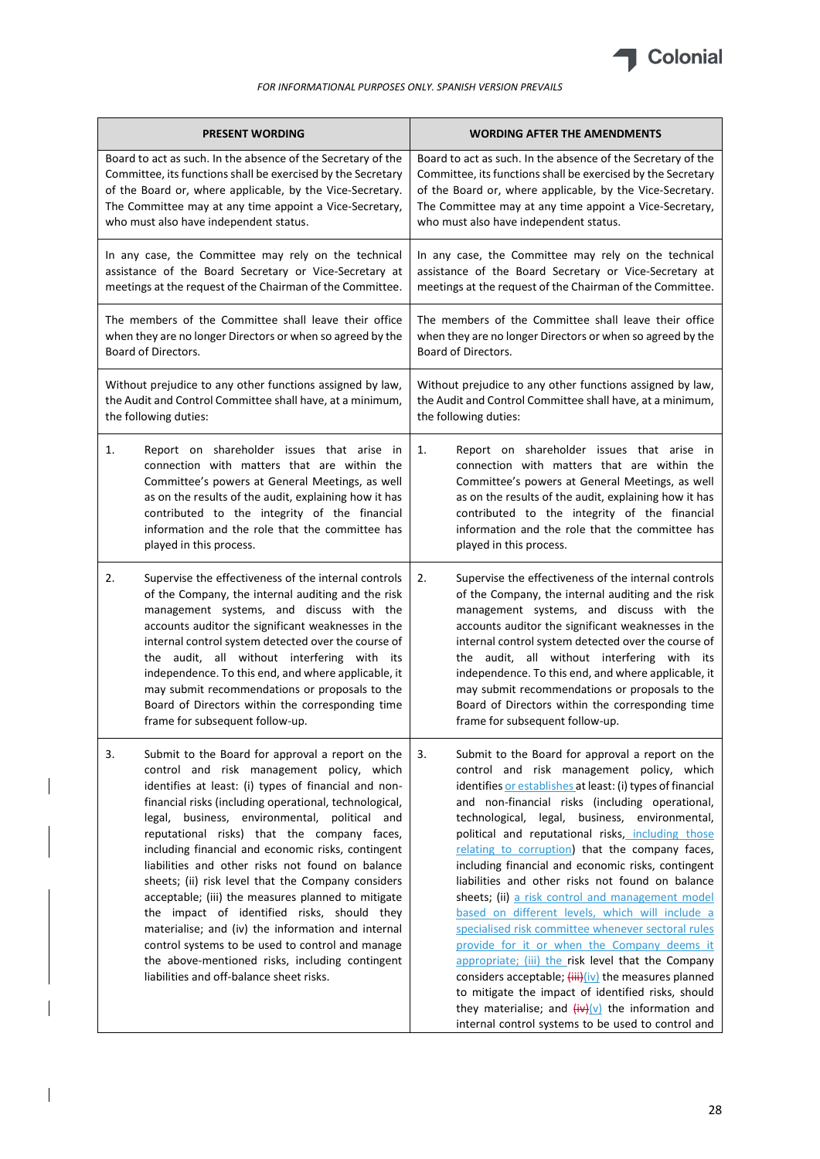

| <b>PRESENT WORDING</b> |                                                                                                                                                                                                                                                                                                                                                                                                                                                                                                                                                                                                                                                                                                                                                                                               | <b>WORDING AFTER THE AMENDMENTS</b>                                                                                                                                                                                                                                                                                                                                                                                                                                                                                                                                                                                                                                                                                                                                                                                                                                                                                                                                                          |  |
|------------------------|-----------------------------------------------------------------------------------------------------------------------------------------------------------------------------------------------------------------------------------------------------------------------------------------------------------------------------------------------------------------------------------------------------------------------------------------------------------------------------------------------------------------------------------------------------------------------------------------------------------------------------------------------------------------------------------------------------------------------------------------------------------------------------------------------|----------------------------------------------------------------------------------------------------------------------------------------------------------------------------------------------------------------------------------------------------------------------------------------------------------------------------------------------------------------------------------------------------------------------------------------------------------------------------------------------------------------------------------------------------------------------------------------------------------------------------------------------------------------------------------------------------------------------------------------------------------------------------------------------------------------------------------------------------------------------------------------------------------------------------------------------------------------------------------------------|--|
|                        | Board to act as such. In the absence of the Secretary of the<br>Committee, its functions shall be exercised by the Secretary<br>of the Board or, where applicable, by the Vice-Secretary.<br>The Committee may at any time appoint a Vice-Secretary,<br>who must also have independent status.                                                                                                                                                                                                                                                                                                                                                                                                                                                                                                | Board to act as such. In the absence of the Secretary of the<br>Committee, its functions shall be exercised by the Secretary<br>of the Board or, where applicable, by the Vice-Secretary.<br>The Committee may at any time appoint a Vice-Secretary,<br>who must also have independent status.                                                                                                                                                                                                                                                                                                                                                                                                                                                                                                                                                                                                                                                                                               |  |
|                        | In any case, the Committee may rely on the technical<br>assistance of the Board Secretary or Vice-Secretary at<br>meetings at the request of the Chairman of the Committee.                                                                                                                                                                                                                                                                                                                                                                                                                                                                                                                                                                                                                   | In any case, the Committee may rely on the technical<br>assistance of the Board Secretary or Vice-Secretary at<br>meetings at the request of the Chairman of the Committee.                                                                                                                                                                                                                                                                                                                                                                                                                                                                                                                                                                                                                                                                                                                                                                                                                  |  |
|                        | The members of the Committee shall leave their office<br>when they are no longer Directors or when so agreed by the<br>Board of Directors.                                                                                                                                                                                                                                                                                                                                                                                                                                                                                                                                                                                                                                                    | The members of the Committee shall leave their office<br>when they are no longer Directors or when so agreed by the<br>Board of Directors.                                                                                                                                                                                                                                                                                                                                                                                                                                                                                                                                                                                                                                                                                                                                                                                                                                                   |  |
|                        | Without prejudice to any other functions assigned by law,<br>the Audit and Control Committee shall have, at a minimum,<br>the following duties:                                                                                                                                                                                                                                                                                                                                                                                                                                                                                                                                                                                                                                               | Without prejudice to any other functions assigned by law,<br>the Audit and Control Committee shall have, at a minimum,<br>the following duties:                                                                                                                                                                                                                                                                                                                                                                                                                                                                                                                                                                                                                                                                                                                                                                                                                                              |  |
| 1.                     | Report on shareholder issues that arise in<br>connection with matters that are within the<br>Committee's powers at General Meetings, as well<br>as on the results of the audit, explaining how it has<br>contributed to the integrity of the financial<br>information and the role that the committee has<br>played in this process.                                                                                                                                                                                                                                                                                                                                                                                                                                                          | Report on shareholder issues that arise in<br>1.<br>connection with matters that are within the<br>Committee's powers at General Meetings, as well<br>as on the results of the audit, explaining how it has<br>contributed to the integrity of the financial<br>information and the role that the committee has<br>played in this process.                                                                                                                                                                                                                                                                                                                                                                                                                                                                                                                                                                                                                                                   |  |
| 2.                     | Supervise the effectiveness of the internal controls<br>of the Company, the internal auditing and the risk<br>management systems, and discuss with the<br>accounts auditor the significant weaknesses in the<br>internal control system detected over the course of<br>the audit, all without interfering with its<br>independence. To this end, and where applicable, it<br>may submit recommendations or proposals to the<br>Board of Directors within the corresponding time<br>frame for subsequent follow-up.                                                                                                                                                                                                                                                                            | 2.<br>Supervise the effectiveness of the internal controls<br>of the Company, the internal auditing and the risk<br>management systems, and discuss with the<br>accounts auditor the significant weaknesses in the<br>internal control system detected over the course of<br>the audit, all without interfering with its<br>independence. To this end, and where applicable, it<br>may submit recommendations or proposals to the<br>Board of Directors within the corresponding time<br>frame for subsequent follow-up.                                                                                                                                                                                                                                                                                                                                                                                                                                                                     |  |
| 3.                     | Submit to the Board for approval a report on the<br>control and risk management policy, which<br>identifies at least: (i) types of financial and non-<br>financial risks (including operational, technological,<br>legal, business, environmental, political and<br>reputational risks) that the company faces,<br>including financial and economic risks, contingent<br>liabilities and other risks not found on balance<br>sheets; (ii) risk level that the Company considers<br>acceptable; (iii) the measures planned to mitigate<br>the impact of identified risks, should they<br>materialise; and (iv) the information and internal<br>control systems to be used to control and manage<br>the above-mentioned risks, including contingent<br>liabilities and off-balance sheet risks. | Submit to the Board for approval a report on the<br>3.<br>control and risk management policy, which<br>identifies or establishes at least: (i) types of financial<br>and non-financial risks (including operational,<br>technological, legal, business, environmental,<br>political and reputational risks, including those<br>relating to corruption) that the company faces,<br>including financial and economic risks, contingent<br>liabilities and other risks not found on balance<br>sheets; (ii) a risk control and management model<br>based on different levels, which will include a<br>specialised risk committee whenever sectoral rules<br>provide for it or when the Company deems it<br>appropriate; (iii) the risk level that the Company<br>considers acceptable; (iii)(iv) the measures planned<br>to mitigate the impact of identified risks, should<br>they materialise; and $\frac{f(v)}{v}$ the information and<br>internal control systems to be used to control and |  |

 $\overline{\phantom{a}}$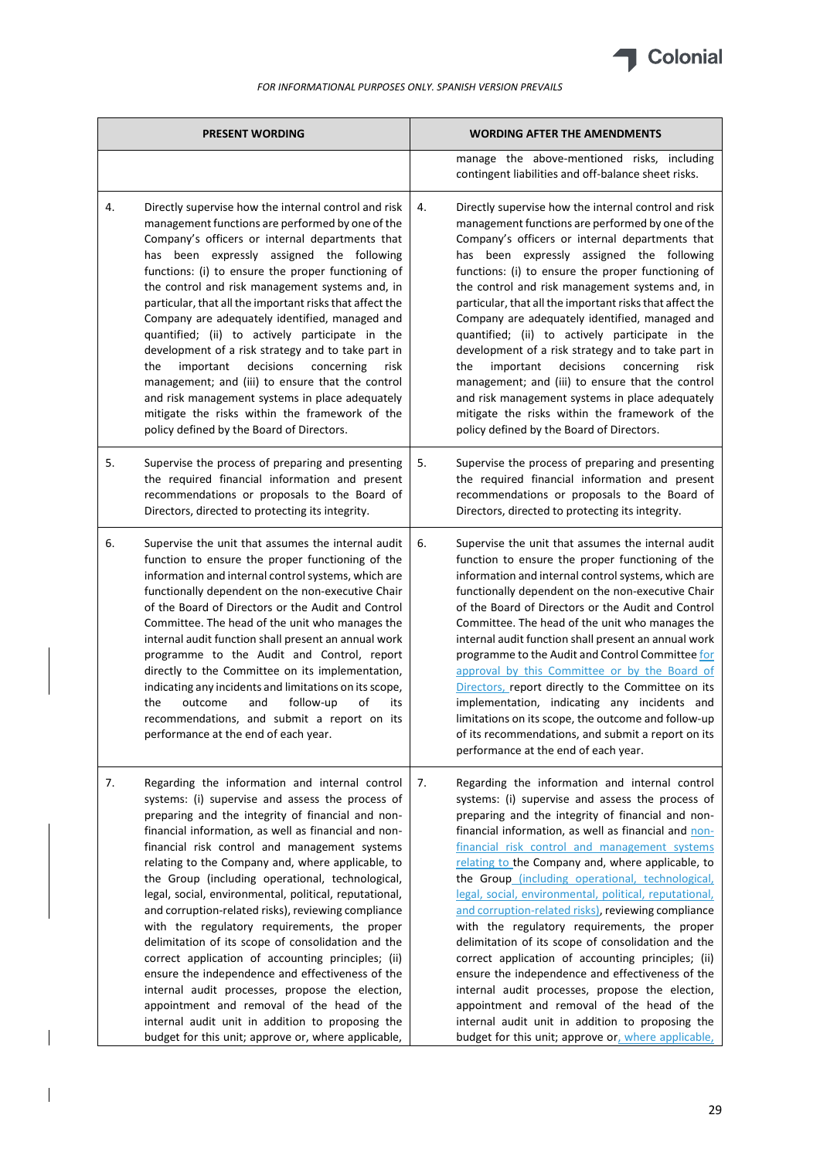

| <b>PRESENT WORDING</b>                                                                                                                                                                                                                                                                                                                                                                                                                                                                                                                                                                                                                                                                                                                                                                                                                                                                                                       | <b>WORDING AFTER THE AMENDMENTS</b>                                                                                                                                                                                                                                                                                                                                                                                                                                                                                                                                                                                                                                                                                                                                                                                                                                                                                          |  |
|------------------------------------------------------------------------------------------------------------------------------------------------------------------------------------------------------------------------------------------------------------------------------------------------------------------------------------------------------------------------------------------------------------------------------------------------------------------------------------------------------------------------------------------------------------------------------------------------------------------------------------------------------------------------------------------------------------------------------------------------------------------------------------------------------------------------------------------------------------------------------------------------------------------------------|------------------------------------------------------------------------------------------------------------------------------------------------------------------------------------------------------------------------------------------------------------------------------------------------------------------------------------------------------------------------------------------------------------------------------------------------------------------------------------------------------------------------------------------------------------------------------------------------------------------------------------------------------------------------------------------------------------------------------------------------------------------------------------------------------------------------------------------------------------------------------------------------------------------------------|--|
|                                                                                                                                                                                                                                                                                                                                                                                                                                                                                                                                                                                                                                                                                                                                                                                                                                                                                                                              | manage the above-mentioned risks, including<br>contingent liabilities and off-balance sheet risks.                                                                                                                                                                                                                                                                                                                                                                                                                                                                                                                                                                                                                                                                                                                                                                                                                           |  |
| 4.<br>Directly supervise how the internal control and risk<br>management functions are performed by one of the<br>Company's officers or internal departments that<br>has been expressly assigned the following<br>functions: (i) to ensure the proper functioning of<br>the control and risk management systems and, in<br>particular, that all the important risks that affect the<br>Company are adequately identified, managed and<br>quantified; (ii) to actively participate in the<br>development of a risk strategy and to take part in<br>decisions<br>the<br>important<br>concerning<br>management; and (iii) to ensure that the control<br>and risk management systems in place adequately<br>mitigate the risks within the framework of the<br>policy defined by the Board of Directors.                                                                                                                          | Directly supervise how the internal control and risk<br>4.<br>management functions are performed by one of the<br>Company's officers or internal departments that<br>has been expressly assigned the following<br>functions: (i) to ensure the proper functioning of<br>the control and risk management systems and, in<br>particular, that all the important risks that affect the<br>Company are adequately identified, managed and<br>quantified; (ii) to actively participate in the<br>development of a risk strategy and to take part in<br>decisions<br>the<br>important<br>concerning<br>risk<br>risk<br>management; and (iii) to ensure that the control<br>and risk management systems in place adequately<br>mitigate the risks within the framework of the<br>policy defined by the Board of Directors.                                                                                                          |  |
| 5.<br>Supervise the process of preparing and presenting<br>the required financial information and present<br>recommendations or proposals to the Board of<br>Directors, directed to protecting its integrity.                                                                                                                                                                                                                                                                                                                                                                                                                                                                                                                                                                                                                                                                                                                | 5.<br>Supervise the process of preparing and presenting<br>the required financial information and present<br>recommendations or proposals to the Board of<br>Directors, directed to protecting its integrity.                                                                                                                                                                                                                                                                                                                                                                                                                                                                                                                                                                                                                                                                                                                |  |
| 6.<br>Supervise the unit that assumes the internal audit<br>function to ensure the proper functioning of the<br>information and internal control systems, which are<br>functionally dependent on the non-executive Chair<br>of the Board of Directors or the Audit and Control<br>Committee. The head of the unit who manages the<br>internal audit function shall present an annual work<br>programme to the Audit and Control, report<br>directly to the Committee on its implementation,<br>indicating any incidents and limitations on its scope,<br>the<br>follow-up<br>of<br>outcome<br>and<br>recommendations, and submit a report on its<br>performance at the end of each year.                                                                                                                                                                                                                                     | Supervise the unit that assumes the internal audit<br>6.<br>function to ensure the proper functioning of the<br>information and internal control systems, which are<br>functionally dependent on the non-executive Chair<br>of the Board of Directors or the Audit and Control<br>Committee. The head of the unit who manages the<br>internal audit function shall present an annual work<br>programme to the Audit and Control Committee for<br>approval by this Committee or by the Board of<br>Directors, report directly to the Committee on its<br>implementation, indicating any incidents and<br>its<br>limitations on its scope, the outcome and follow-up<br>of its recommendations, and submit a report on its<br>performance at the end of each year.                                                                                                                                                             |  |
| 7.<br>Regarding the information and internal control<br>systems: (i) supervise and assess the process of<br>preparing and the integrity of financial and non-<br>financial information, as well as financial and non-<br>financial risk control and management systems<br>relating to the Company and, where applicable, to<br>the Group (including operational, technological,<br>legal, social, environmental, political, reputational,<br>and corruption-related risks), reviewing compliance<br>with the regulatory requirements, the proper<br>delimitation of its scope of consolidation and the<br>correct application of accounting principles; (ii)<br>ensure the independence and effectiveness of the<br>internal audit processes, propose the election,<br>appointment and removal of the head of the<br>internal audit unit in addition to proposing the<br>budget for this unit; approve or, where applicable, | 7.<br>Regarding the information and internal control<br>systems: (i) supervise and assess the process of<br>preparing and the integrity of financial and non-<br>financial information, as well as financial and non-<br>financial risk control and management systems<br>relating to the Company and, where applicable, to<br>the Group (including operational, technological,<br>legal, social, environmental, political, reputational,<br>and corruption-related risks), reviewing compliance<br>with the regulatory requirements, the proper<br>delimitation of its scope of consolidation and the<br>correct application of accounting principles; (ii)<br>ensure the independence and effectiveness of the<br>internal audit processes, propose the election,<br>appointment and removal of the head of the<br>internal audit unit in addition to proposing the<br>budget for this unit; approve or, where applicable, |  |

 $\overline{\phantom{a}}$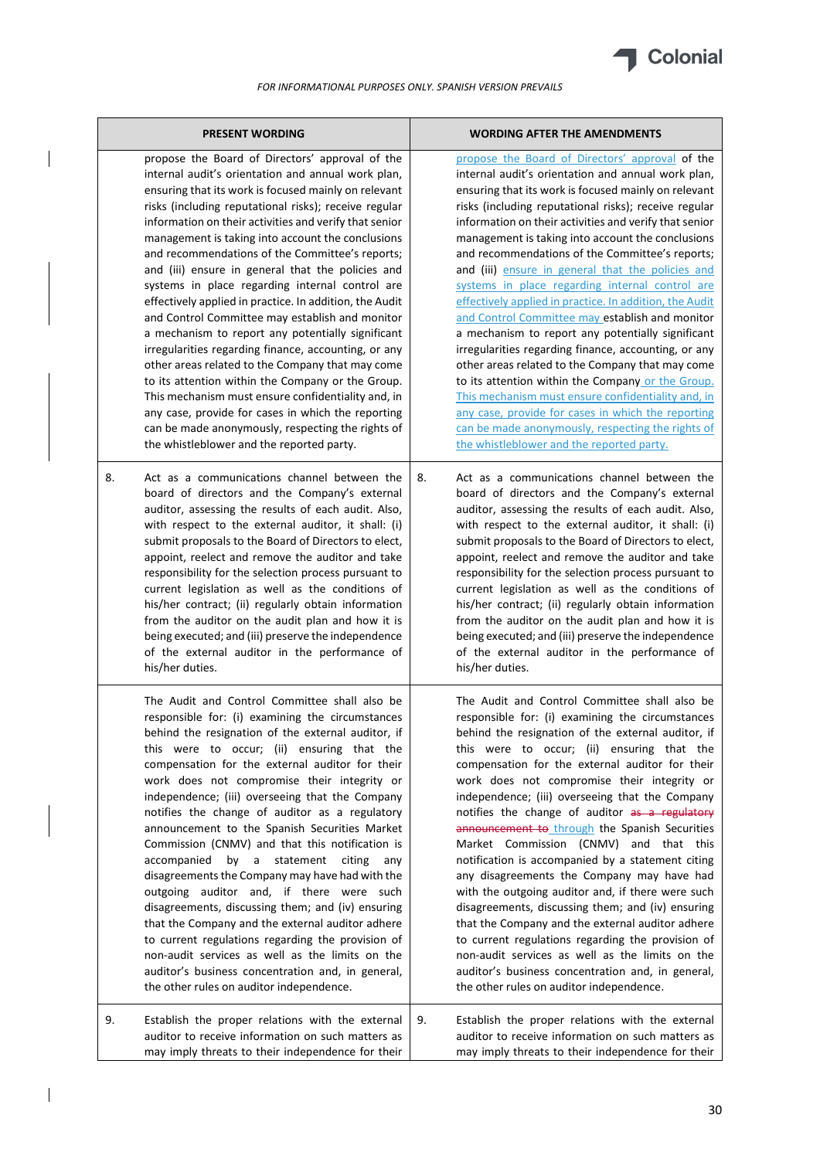

 $\overline{\phantom{a}}$ 

 $\begin{array}{c} \hline \end{array}$ 

| <b>PRESENT WORDING</b>                                                                                                                                                                                                                                                                                                                                                                                                                                                                                                                                                                                                                                                                                                                                                                                                                                                                                                                                                                                                                             | <b>WORDING AFTER THE AMENDMENTS</b>                                                                                                                                                                                                                                                                                                                                                                                                                                                                                                                                                                                                                                                                                                                                                                                                                                                                                                                                                                                                                |  |
|----------------------------------------------------------------------------------------------------------------------------------------------------------------------------------------------------------------------------------------------------------------------------------------------------------------------------------------------------------------------------------------------------------------------------------------------------------------------------------------------------------------------------------------------------------------------------------------------------------------------------------------------------------------------------------------------------------------------------------------------------------------------------------------------------------------------------------------------------------------------------------------------------------------------------------------------------------------------------------------------------------------------------------------------------|----------------------------------------------------------------------------------------------------------------------------------------------------------------------------------------------------------------------------------------------------------------------------------------------------------------------------------------------------------------------------------------------------------------------------------------------------------------------------------------------------------------------------------------------------------------------------------------------------------------------------------------------------------------------------------------------------------------------------------------------------------------------------------------------------------------------------------------------------------------------------------------------------------------------------------------------------------------------------------------------------------------------------------------------------|--|
| propose the Board of Directors' approval of the<br>internal audit's orientation and annual work plan,<br>ensuring that its work is focused mainly on relevant<br>risks (including reputational risks); receive regular<br>information on their activities and verify that senior<br>management is taking into account the conclusions<br>and recommendations of the Committee's reports;<br>and (iii) ensure in general that the policies and<br>systems in place regarding internal control are<br>effectively applied in practice. In addition, the Audit<br>and Control Committee may establish and monitor<br>a mechanism to report any potentially significant<br>irregularities regarding finance, accounting, or any<br>other areas related to the Company that may come<br>to its attention within the Company or the Group.<br>This mechanism must ensure confidentiality and, in<br>any case, provide for cases in which the reporting<br>can be made anonymously, respecting the rights of<br>the whistleblower and the reported party. | propose the Board of Directors' approval of the<br>internal audit's orientation and annual work plan,<br>ensuring that its work is focused mainly on relevant<br>risks (including reputational risks); receive regular<br>information on their activities and verify that senior<br>management is taking into account the conclusions<br>and recommendations of the Committee's reports;<br>and (iii) ensure in general that the policies and<br>systems in place regarding internal control are<br>effectively applied in practice. In addition, the Audit<br>and Control Committee may establish and monitor<br>a mechanism to report any potentially significant<br>irregularities regarding finance, accounting, or any<br>other areas related to the Company that may come<br>to its attention within the Company or the Group.<br>This mechanism must ensure confidentiality and, in<br>any case, provide for cases in which the reporting<br>can be made anonymously, respecting the rights of<br>the whistleblower and the reported party. |  |
| 8.<br>Act as a communications channel between the<br>board of directors and the Company's external<br>auditor, assessing the results of each audit. Also,<br>with respect to the external auditor, it shall: (i)<br>submit proposals to the Board of Directors to elect,<br>appoint, reelect and remove the auditor and take<br>responsibility for the selection process pursuant to<br>current legislation as well as the conditions of<br>his/her contract; (ii) regularly obtain information<br>from the auditor on the audit plan and how it is<br>being executed; and (iii) preserve the independence<br>of the external auditor in the performance of<br>his/her duties.                                                                                                                                                                                                                                                                                                                                                                     | 8.<br>Act as a communications channel between the<br>board of directors and the Company's external<br>auditor, assessing the results of each audit. Also,<br>with respect to the external auditor, it shall: (i)<br>submit proposals to the Board of Directors to elect,<br>appoint, reelect and remove the auditor and take<br>responsibility for the selection process pursuant to<br>current legislation as well as the conditions of<br>his/her contract; (ii) regularly obtain information<br>from the auditor on the audit plan and how it is<br>being executed; and (iii) preserve the independence<br>of the external auditor in the performance of<br>his/her duties.                                                                                                                                                                                                                                                                                                                                                                     |  |
| The Audit and Control Committee shall also be<br>responsible for: (i) examining the circumstances<br>behind the resignation of the external auditor, if<br>this were to occur; (ii) ensuring that the<br>compensation for the external auditor for their<br>work does not compromise their integrity or<br>independence; (iii) overseeing that the Company<br>notifies the change of auditor as a regulatory<br>announcement to the Spanish Securities Market<br>Commission (CNMV) and that this notification is<br>accompanied<br>by<br>a<br>statement<br>citing<br>any<br>disagreements the Company may have had with the<br>outgoing auditor and, if there were such<br>disagreements, discussing them; and (iv) ensuring<br>that the Company and the external auditor adhere<br>to current regulations regarding the provision of<br>non-audit services as well as the limits on the<br>auditor's business concentration and, in general,<br>the other rules on auditor independence.                                                          | The Audit and Control Committee shall also be<br>responsible for: (i) examining the circumstances<br>behind the resignation of the external auditor, if<br>this were to occur; (ii) ensuring that the<br>compensation for the external auditor for their<br>work does not compromise their integrity or<br>independence; (iii) overseeing that the Company<br>notifies the change of auditor as a regulatory<br>announcement to through the Spanish Securities<br>Market Commission (CNMV) and that this<br>notification is accompanied by a statement citing<br>any disagreements the Company may have had<br>with the outgoing auditor and, if there were such<br>disagreements, discussing them; and (iv) ensuring<br>that the Company and the external auditor adhere<br>to current regulations regarding the provision of<br>non-audit services as well as the limits on the<br>auditor's business concentration and, in general,<br>the other rules on auditor independence.                                                                 |  |
| 9.<br>Establish the proper relations with the external<br>auditor to receive information on such matters as<br>may imply threats to their independence for their                                                                                                                                                                                                                                                                                                                                                                                                                                                                                                                                                                                                                                                                                                                                                                                                                                                                                   | 9.<br>Establish the proper relations with the external<br>auditor to receive information on such matters as<br>may imply threats to their independence for their                                                                                                                                                                                                                                                                                                                                                                                                                                                                                                                                                                                                                                                                                                                                                                                                                                                                                   |  |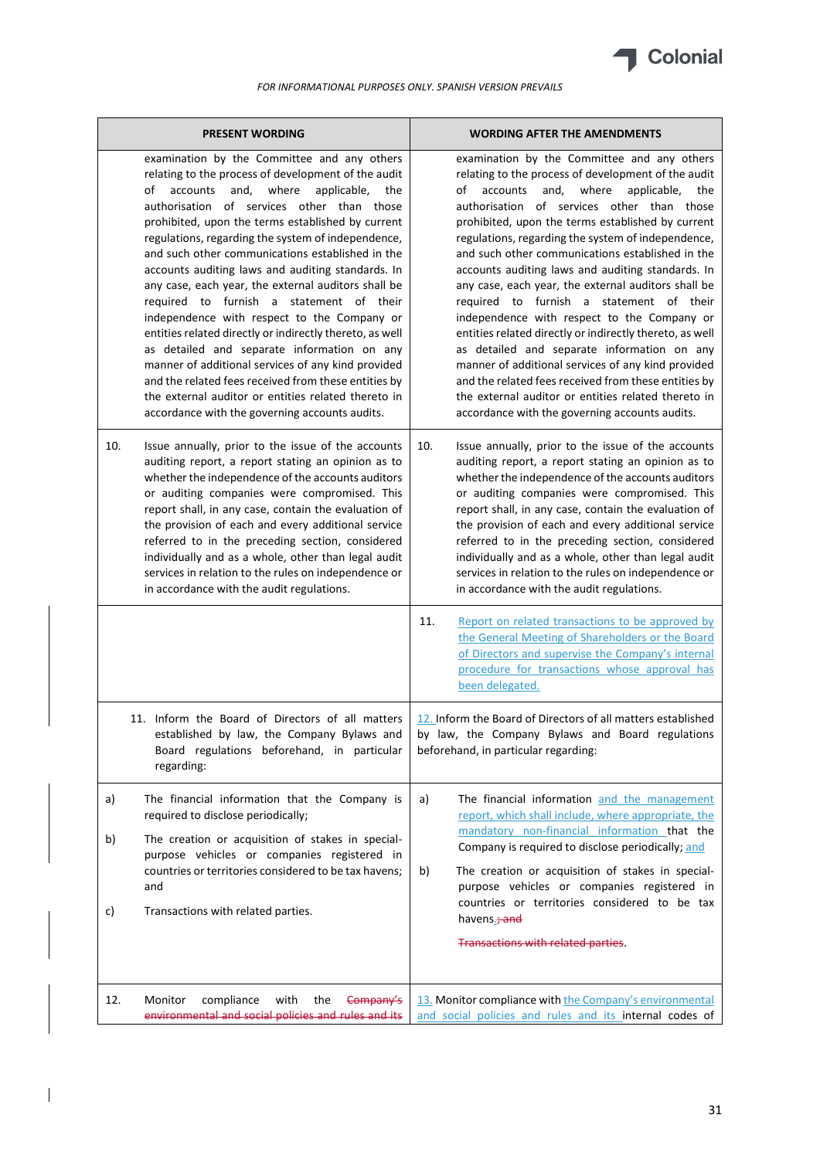

| <b>PRESENT WORDING</b> |                                                                                                                                                                                                                                                                                                                                                                                                                                                                                                                                                                                                                                                                                                                                                                                                                                                                                                                   | <b>WORDING AFTER THE AMENDMENTS</b>                                                                                                                                                                                                                                                                                                                                                                                                                                                                                                                                                                                                                                                                                                                                                                                                                                                                               |  |
|------------------------|-------------------------------------------------------------------------------------------------------------------------------------------------------------------------------------------------------------------------------------------------------------------------------------------------------------------------------------------------------------------------------------------------------------------------------------------------------------------------------------------------------------------------------------------------------------------------------------------------------------------------------------------------------------------------------------------------------------------------------------------------------------------------------------------------------------------------------------------------------------------------------------------------------------------|-------------------------------------------------------------------------------------------------------------------------------------------------------------------------------------------------------------------------------------------------------------------------------------------------------------------------------------------------------------------------------------------------------------------------------------------------------------------------------------------------------------------------------------------------------------------------------------------------------------------------------------------------------------------------------------------------------------------------------------------------------------------------------------------------------------------------------------------------------------------------------------------------------------------|--|
|                        | examination by the Committee and any others<br>relating to the process of development of the audit<br>accounts<br>and,<br>where<br>applicable,<br>οf<br>the<br>authorisation of services other than those<br>prohibited, upon the terms established by current<br>regulations, regarding the system of independence,<br>and such other communications established in the<br>accounts auditing laws and auditing standards. In<br>any case, each year, the external auditors shall be<br>required to furnish a statement of their<br>independence with respect to the Company or<br>entities related directly or indirectly thereto, as well<br>as detailed and separate information on any<br>manner of additional services of any kind provided<br>and the related fees received from these entities by<br>the external auditor or entities related thereto in<br>accordance with the governing accounts audits. | examination by the Committee and any others<br>relating to the process of development of the audit<br>of<br>accounts<br>and.<br>where<br>applicable,<br>the<br>authorisation of services other than those<br>prohibited, upon the terms established by current<br>regulations, regarding the system of independence,<br>and such other communications established in the<br>accounts auditing laws and auditing standards. In<br>any case, each year, the external auditors shall be<br>required to furnish a statement of their<br>independence with respect to the Company or<br>entities related directly or indirectly thereto, as well<br>as detailed and separate information on any<br>manner of additional services of any kind provided<br>and the related fees received from these entities by<br>the external auditor or entities related thereto in<br>accordance with the governing accounts audits. |  |
| 10.                    | Issue annually, prior to the issue of the accounts<br>auditing report, a report stating an opinion as to<br>whether the independence of the accounts auditors<br>or auditing companies were compromised. This<br>report shall, in any case, contain the evaluation of<br>the provision of each and every additional service<br>referred to in the preceding section, considered<br>individually and as a whole, other than legal audit<br>services in relation to the rules on independence or<br>in accordance with the audit regulations.                                                                                                                                                                                                                                                                                                                                                                       | 10.<br>Issue annually, prior to the issue of the accounts<br>auditing report, a report stating an opinion as to<br>whether the independence of the accounts auditors<br>or auditing companies were compromised. This<br>report shall, in any case, contain the evaluation of<br>the provision of each and every additional service<br>referred to in the preceding section, considered<br>individually and as a whole, other than legal audit<br>services in relation to the rules on independence or<br>in accordance with the audit regulations.                                                                                                                                                                                                                                                                                                                                                                |  |
|                        |                                                                                                                                                                                                                                                                                                                                                                                                                                                                                                                                                                                                                                                                                                                                                                                                                                                                                                                   | Report on related transactions to be approved by<br>11.<br>the General Meeting of Shareholders or the Board<br>of Directors and supervise the Company's internal<br>procedure for transactions whose approval has<br>been delegated.                                                                                                                                                                                                                                                                                                                                                                                                                                                                                                                                                                                                                                                                              |  |
|                        | 11. Inform the Board of Directors of all matters<br>established by law, the Company Bylaws and  <br>Board regulations beforehand, in particular<br>regarding:                                                                                                                                                                                                                                                                                                                                                                                                                                                                                                                                                                                                                                                                                                                                                     | 12. Inform the Board of Directors of all matters established<br>by law, the Company Bylaws and Board regulations<br>beforehand, in particular regarding:                                                                                                                                                                                                                                                                                                                                                                                                                                                                                                                                                                                                                                                                                                                                                          |  |
| a)                     | The financial information that the Company is<br>required to disclose periodically;                                                                                                                                                                                                                                                                                                                                                                                                                                                                                                                                                                                                                                                                                                                                                                                                                               | The financial information and the management<br>a)<br>report, which shall include, where appropriate, the<br>mandatory non-financial information that the                                                                                                                                                                                                                                                                                                                                                                                                                                                                                                                                                                                                                                                                                                                                                         |  |
| b)<br>c)               | The creation or acquisition of stakes in special-<br>purpose vehicles or companies registered in<br>countries or territories considered to be tax havens;<br>and<br>Transactions with related parties.                                                                                                                                                                                                                                                                                                                                                                                                                                                                                                                                                                                                                                                                                                            | Company is required to disclose periodically; and<br>The creation or acquisition of stakes in special-<br>b)<br>purpose vehicles or companies registered in<br>countries or territories considered to be tax<br>havens.; and                                                                                                                                                                                                                                                                                                                                                                                                                                                                                                                                                                                                                                                                                      |  |
|                        |                                                                                                                                                                                                                                                                                                                                                                                                                                                                                                                                                                                                                                                                                                                                                                                                                                                                                                                   | Transactions with related parties.                                                                                                                                                                                                                                                                                                                                                                                                                                                                                                                                                                                                                                                                                                                                                                                                                                                                                |  |
| 12.                    | Monitor<br>compliance<br>with<br>the<br>Company's<br>environmental and social policies and rules and its                                                                                                                                                                                                                                                                                                                                                                                                                                                                                                                                                                                                                                                                                                                                                                                                          | 13. Monitor compliance with the Company's environmental<br>and social policies and rules and its internal codes of                                                                                                                                                                                                                                                                                                                                                                                                                                                                                                                                                                                                                                                                                                                                                                                                |  |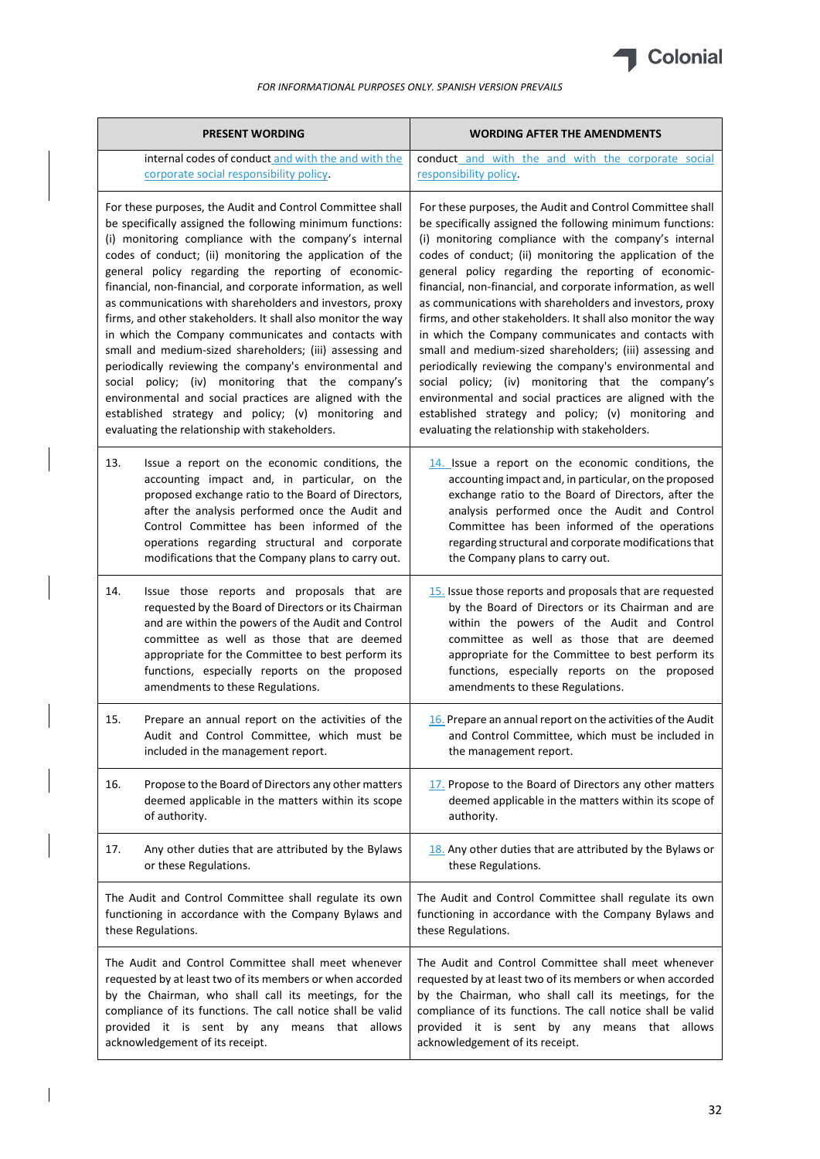

|                                                                                                                                                                                                                                                                                                                                                                                                                                                                                                                                                                                                                                                                                                                                                                                                                                                                                                      | <b>PRESENT WORDING</b>                                                                                                                                                                                                                                                                                                                                       | <b>WORDING AFTER THE AMENDMENTS</b>                                                                                                                                                                                                                                                                                                                                                                                                                                                                                                                                                                                                                                                                                                                                                                                                                                                                  |  |
|------------------------------------------------------------------------------------------------------------------------------------------------------------------------------------------------------------------------------------------------------------------------------------------------------------------------------------------------------------------------------------------------------------------------------------------------------------------------------------------------------------------------------------------------------------------------------------------------------------------------------------------------------------------------------------------------------------------------------------------------------------------------------------------------------------------------------------------------------------------------------------------------------|--------------------------------------------------------------------------------------------------------------------------------------------------------------------------------------------------------------------------------------------------------------------------------------------------------------------------------------------------------------|------------------------------------------------------------------------------------------------------------------------------------------------------------------------------------------------------------------------------------------------------------------------------------------------------------------------------------------------------------------------------------------------------------------------------------------------------------------------------------------------------------------------------------------------------------------------------------------------------------------------------------------------------------------------------------------------------------------------------------------------------------------------------------------------------------------------------------------------------------------------------------------------------|--|
|                                                                                                                                                                                                                                                                                                                                                                                                                                                                                                                                                                                                                                                                                                                                                                                                                                                                                                      | internal codes of conduct and with the and with the<br>corporate social responsibility policy.                                                                                                                                                                                                                                                               | conduct and with the and with the corporate social<br>responsibility policy.                                                                                                                                                                                                                                                                                                                                                                                                                                                                                                                                                                                                                                                                                                                                                                                                                         |  |
| For these purposes, the Audit and Control Committee shall<br>be specifically assigned the following minimum functions:<br>(i) monitoring compliance with the company's internal<br>codes of conduct; (ii) monitoring the application of the<br>general policy regarding the reporting of economic-<br>financial, non-financial, and corporate information, as well<br>as communications with shareholders and investors, proxy<br>firms, and other stakeholders. It shall also monitor the way<br>in which the Company communicates and contacts with<br>small and medium-sized shareholders; (iii) assessing and<br>periodically reviewing the company's environmental and<br>social policy; (iv) monitoring that the company's<br>environmental and social practices are aligned with the<br>established strategy and policy; (v) monitoring and<br>evaluating the relationship with stakeholders. |                                                                                                                                                                                                                                                                                                                                                              | For these purposes, the Audit and Control Committee shall<br>be specifically assigned the following minimum functions:<br>(i) monitoring compliance with the company's internal<br>codes of conduct; (ii) monitoring the application of the<br>general policy regarding the reporting of economic-<br>financial, non-financial, and corporate information, as well<br>as communications with shareholders and investors, proxy<br>firms, and other stakeholders. It shall also monitor the way<br>in which the Company communicates and contacts with<br>small and medium-sized shareholders; (iii) assessing and<br>periodically reviewing the company's environmental and<br>social policy; (iv) monitoring that the company's<br>environmental and social practices are aligned with the<br>established strategy and policy; (v) monitoring and<br>evaluating the relationship with stakeholders. |  |
| 13.                                                                                                                                                                                                                                                                                                                                                                                                                                                                                                                                                                                                                                                                                                                                                                                                                                                                                                  | Issue a report on the economic conditions, the<br>accounting impact and, in particular, on the<br>proposed exchange ratio to the Board of Directors,<br>after the analysis performed once the Audit and<br>Control Committee has been informed of the<br>operations regarding structural and corporate<br>modifications that the Company plans to carry out. | 14. Issue a report on the economic conditions, the<br>accounting impact and, in particular, on the proposed<br>exchange ratio to the Board of Directors, after the<br>analysis performed once the Audit and Control<br>Committee has been informed of the operations<br>regarding structural and corporate modifications that<br>the Company plans to carry out.                                                                                                                                                                                                                                                                                                                                                                                                                                                                                                                                     |  |
| 14.                                                                                                                                                                                                                                                                                                                                                                                                                                                                                                                                                                                                                                                                                                                                                                                                                                                                                                  | Issue those reports and proposals that are<br>requested by the Board of Directors or its Chairman<br>and are within the powers of the Audit and Control<br>committee as well as those that are deemed<br>appropriate for the Committee to best perform its<br>functions, especially reports on the proposed<br>amendments to these Regulations.              | 15. Issue those reports and proposals that are requested<br>by the Board of Directors or its Chairman and are<br>within the powers of the Audit and Control<br>committee as well as those that are deemed<br>appropriate for the Committee to best perform its<br>functions, especially reports on the proposed<br>amendments to these Regulations.                                                                                                                                                                                                                                                                                                                                                                                                                                                                                                                                                  |  |
| 15.                                                                                                                                                                                                                                                                                                                                                                                                                                                                                                                                                                                                                                                                                                                                                                                                                                                                                                  | Prepare an annual report on the activities of the<br>Audit and Control Committee, which must be<br>included in the management report.                                                                                                                                                                                                                        | 16. Prepare an annual report on the activities of the Audit<br>and Control Committee, which must be included in<br>the management report.                                                                                                                                                                                                                                                                                                                                                                                                                                                                                                                                                                                                                                                                                                                                                            |  |
| 16.                                                                                                                                                                                                                                                                                                                                                                                                                                                                                                                                                                                                                                                                                                                                                                                                                                                                                                  | Propose to the Board of Directors any other matters<br>deemed applicable in the matters within its scope<br>of authority.                                                                                                                                                                                                                                    | 17. Propose to the Board of Directors any other matters<br>deemed applicable in the matters within its scope of<br>authority.                                                                                                                                                                                                                                                                                                                                                                                                                                                                                                                                                                                                                                                                                                                                                                        |  |
| 17.                                                                                                                                                                                                                                                                                                                                                                                                                                                                                                                                                                                                                                                                                                                                                                                                                                                                                                  | Any other duties that are attributed by the Bylaws<br>or these Regulations.                                                                                                                                                                                                                                                                                  | 18. Any other duties that are attributed by the Bylaws or<br>these Regulations.                                                                                                                                                                                                                                                                                                                                                                                                                                                                                                                                                                                                                                                                                                                                                                                                                      |  |
|                                                                                                                                                                                                                                                                                                                                                                                                                                                                                                                                                                                                                                                                                                                                                                                                                                                                                                      | The Audit and Control Committee shall regulate its own<br>functioning in accordance with the Company Bylaws and<br>these Regulations.                                                                                                                                                                                                                        | The Audit and Control Committee shall regulate its own<br>functioning in accordance with the Company Bylaws and<br>these Regulations.                                                                                                                                                                                                                                                                                                                                                                                                                                                                                                                                                                                                                                                                                                                                                                |  |
|                                                                                                                                                                                                                                                                                                                                                                                                                                                                                                                                                                                                                                                                                                                                                                                                                                                                                                      | The Audit and Control Committee shall meet whenever<br>requested by at least two of its members or when accorded<br>by the Chairman, who shall call its meetings, for the<br>compliance of its functions. The call notice shall be valid<br>provided it is sent by any means that allows<br>acknowledgement of its receipt.                                  | The Audit and Control Committee shall meet whenever<br>requested by at least two of its members or when accorded<br>by the Chairman, who shall call its meetings, for the<br>compliance of its functions. The call notice shall be valid<br>provided it is sent by any means that allows<br>acknowledgement of its receipt.                                                                                                                                                                                                                                                                                                                                                                                                                                                                                                                                                                          |  |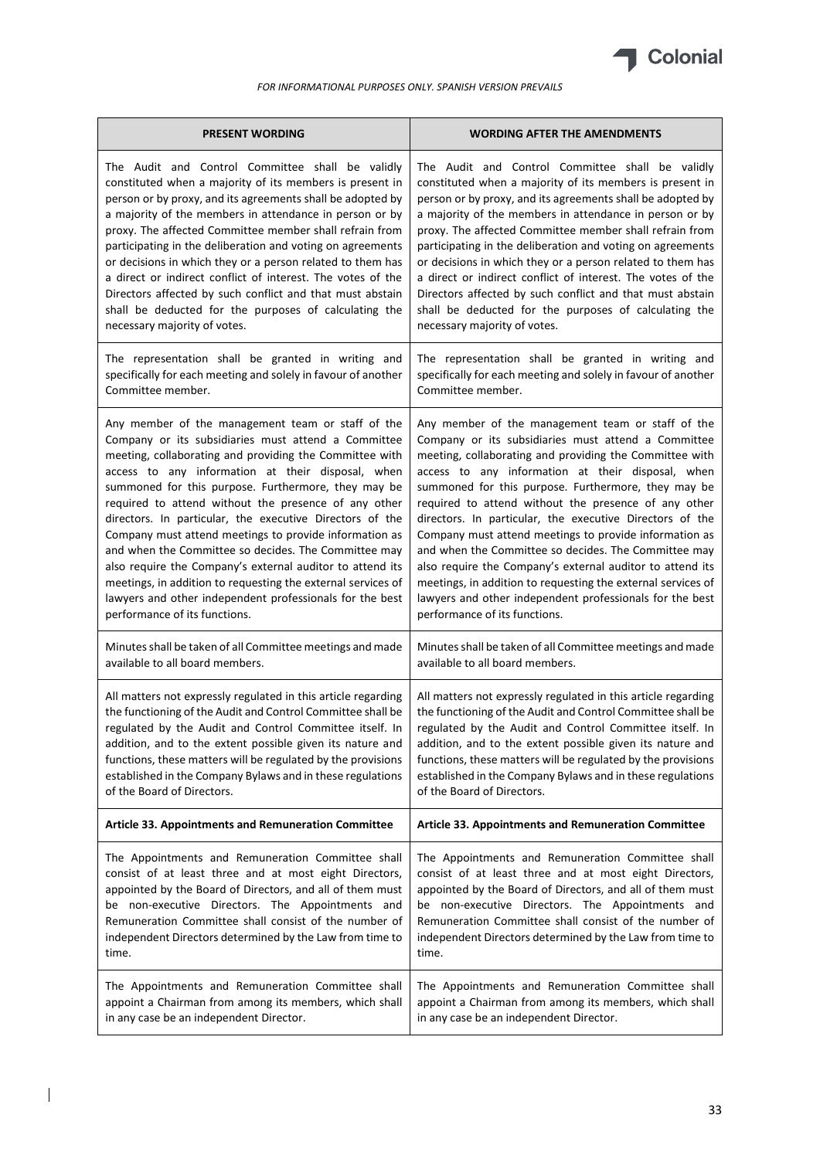

| <b>PRESENT WORDING</b>                                        | <b>WORDING AFTER THE AMENDMENTS</b>                           |  |
|---------------------------------------------------------------|---------------------------------------------------------------|--|
| The Audit and Control Committee shall be validly              | The Audit and Control Committee shall be validly              |  |
| constituted when a majority of its members is present in      | constituted when a majority of its members is present in      |  |
| person or by proxy, and its agreements shall be adopted by    | person or by proxy, and its agreements shall be adopted by    |  |
| a majority of the members in attendance in person or by       | a majority of the members in attendance in person or by       |  |
| proxy. The affected Committee member shall refrain from       | proxy. The affected Committee member shall refrain from       |  |
| participating in the deliberation and voting on agreements    | participating in the deliberation and voting on agreements    |  |
| or decisions in which they or a person related to them has    | or decisions in which they or a person related to them has    |  |
| a direct or indirect conflict of interest. The votes of the   | a direct or indirect conflict of interest. The votes of the   |  |
| Directors affected by such conflict and that must abstain     | Directors affected by such conflict and that must abstain     |  |
| shall be deducted for the purposes of calculating the         | shall be deducted for the purposes of calculating the         |  |
| necessary majority of votes.                                  | necessary majority of votes.                                  |  |
| The representation shall be granted in writing and            | The representation shall be granted in writing and            |  |
| specifically for each meeting and solely in favour of another | specifically for each meeting and solely in favour of another |  |
| Committee member.                                             | Committee member.                                             |  |
| Any member of the management team or staff of the             | Any member of the management team or staff of the             |  |
| Company or its subsidiaries must attend a Committee           | Company or its subsidiaries must attend a Committee           |  |
| meeting, collaborating and providing the Committee with       | meeting, collaborating and providing the Committee with       |  |
| access to any information at their disposal, when             | access to any information at their disposal, when             |  |
| summoned for this purpose. Furthermore, they may be           | summoned for this purpose. Furthermore, they may be           |  |
| required to attend without the presence of any other          | required to attend without the presence of any other          |  |
| directors. In particular, the executive Directors of the      | directors. In particular, the executive Directors of the      |  |
| Company must attend meetings to provide information as        | Company must attend meetings to provide information as        |  |
| and when the Committee so decides. The Committee may          | and when the Committee so decides. The Committee may          |  |
| also require the Company's external auditor to attend its     | also require the Company's external auditor to attend its     |  |
| meetings, in addition to requesting the external services of  | meetings, in addition to requesting the external services of  |  |
| lawyers and other independent professionals for the best      | lawyers and other independent professionals for the best      |  |
| performance of its functions.                                 | performance of its functions.                                 |  |
| Minutes shall be taken of all Committee meetings and made     | Minutes shall be taken of all Committee meetings and made     |  |
| available to all board members.                               | available to all board members.                               |  |
| All matters not expressly regulated in this article regarding | All matters not expressly regulated in this article regarding |  |
| the functioning of the Audit and Control Committee shall be   | the functioning of the Audit and Control Committee shall be   |  |
| regulated by the Audit and Control Committee itself. In       | regulated by the Audit and Control Committee itself. In       |  |
| addition, and to the extent possible given its nature and     | addition, and to the extent possible given its nature and     |  |
| functions, these matters will be regulated by the provisions  | functions, these matters will be regulated by the provisions  |  |
| established in the Company Bylaws and in these regulations    | established in the Company Bylaws and in these regulations    |  |
| of the Board of Directors.                                    | of the Board of Directors.                                    |  |
| <b>Article 33. Appointments and Remuneration Committee</b>    | Article 33. Appointments and Remuneration Committee           |  |
| The Appointments and Remuneration Committee shall             | The Appointments and Remuneration Committee shall             |  |
| consist of at least three and at most eight Directors,        | consist of at least three and at most eight Directors,        |  |
| appointed by the Board of Directors, and all of them must     | appointed by the Board of Directors, and all of them must     |  |
| be non-executive Directors. The Appointments and              | be non-executive Directors. The Appointments and              |  |
| Remuneration Committee shall consist of the number of         | Remuneration Committee shall consist of the number of         |  |
| independent Directors determined by the Law from time to      | independent Directors determined by the Law from time to      |  |
| time.                                                         | time.                                                         |  |
| The Appointments and Remuneration Committee shall             | The Appointments and Remuneration Committee shall             |  |
| appoint a Chairman from among its members, which shall        | appoint a Chairman from among its members, which shall        |  |
| in any case be an independent Director.                       | in any case be an independent Director.                       |  |

 $\begin{array}{c} \hline \end{array}$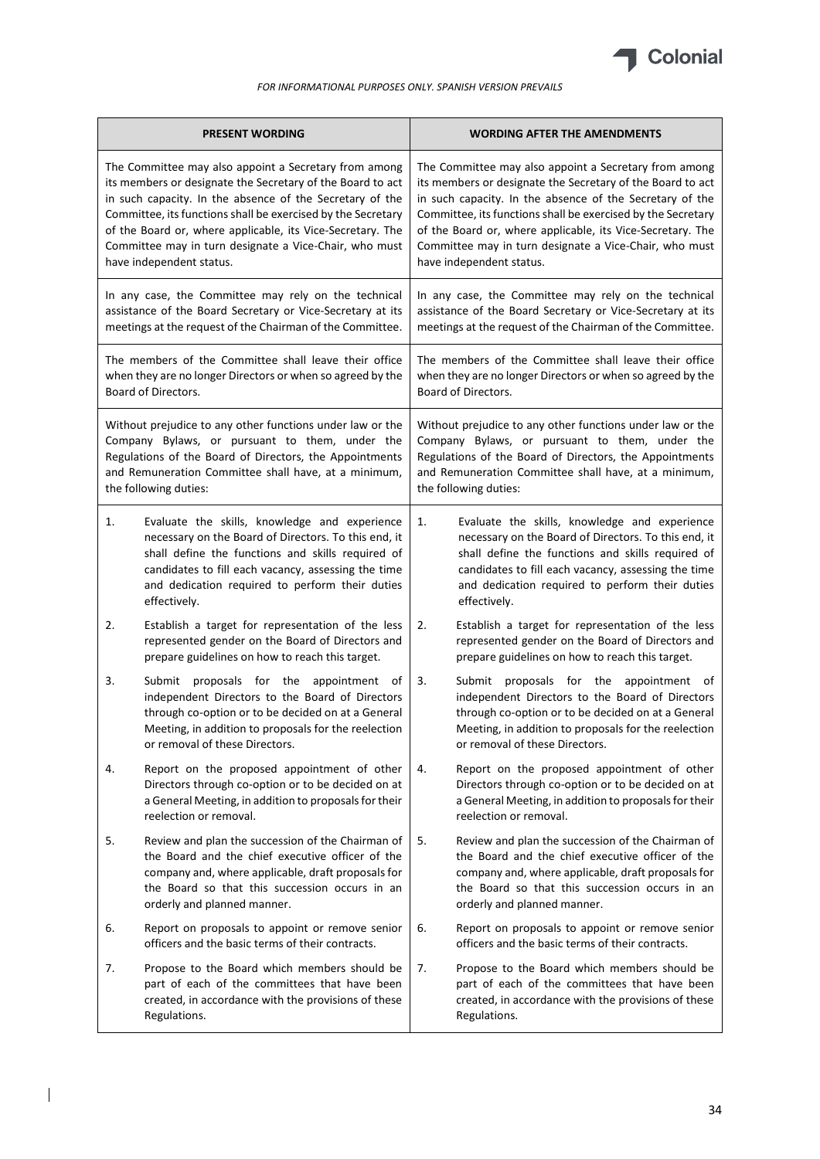

| <b>PRESENT WORDING</b>                                       | <b>WORDING AFTER THE AMENDMENTS</b>                          |  |
|--------------------------------------------------------------|--------------------------------------------------------------|--|
| The Committee may also appoint a Secretary from among        | The Committee may also appoint a Secretary from among        |  |
| its members or designate the Secretary of the Board to act   | its members or designate the Secretary of the Board to act   |  |
| in such capacity. In the absence of the Secretary of the     | in such capacity. In the absence of the Secretary of the     |  |
| Committee, its functions shall be exercised by the Secretary | Committee, its functions shall be exercised by the Secretary |  |
| of the Board or, where applicable, its Vice-Secretary. The   | of the Board or, where applicable, its Vice-Secretary. The   |  |
| Committee may in turn designate a Vice-Chair, who must       | Committee may in turn designate a Vice-Chair, who must       |  |
| have independent status.                                     | have independent status.                                     |  |
| In any case, the Committee may rely on the technical         | In any case, the Committee may rely on the technical         |  |
| assistance of the Board Secretary or Vice-Secretary at its   | assistance of the Board Secretary or Vice-Secretary at its   |  |
| meetings at the request of the Chairman of the Committee.    | meetings at the request of the Chairman of the Committee.    |  |
| The members of the Committee shall leave their office        | The members of the Committee shall leave their office        |  |
| when they are no longer Directors or when so agreed by the   | when they are no longer Directors or when so agreed by the   |  |
| Board of Directors.                                          | Board of Directors.                                          |  |
| Without prejudice to any other functions under law or the    | Without prejudice to any other functions under law or the    |  |
| Company Bylaws, or pursuant to them, under the               | Company Bylaws, or pursuant to them, under the               |  |
| Regulations of the Board of Directors, the Appointments      | Regulations of the Board of Directors, the Appointments      |  |
| and Remuneration Committee shall have, at a minimum,         | and Remuneration Committee shall have, at a minimum,         |  |
| the following duties:                                        | the following duties:                                        |  |
| 1.                                                           | 1.                                                           |  |
| Evaluate the skills, knowledge and experience                | Evaluate the skills, knowledge and experience                |  |
| necessary on the Board of Directors. To this end, it         | necessary on the Board of Directors. To this end, it         |  |
| shall define the functions and skills required of            | shall define the functions and skills required of            |  |
| candidates to fill each vacancy, assessing the time          | candidates to fill each vacancy, assessing the time          |  |
| and dedication required to perform their duties              | and dedication required to perform their duties              |  |
| effectively.                                                 | effectively.                                                 |  |
| 2.                                                           | 2.                                                           |  |
| Establish a target for representation of the less            | Establish a target for representation of the less            |  |
| represented gender on the Board of Directors and             | represented gender on the Board of Directors and             |  |
| prepare guidelines on how to reach this target.              | prepare guidelines on how to reach this target.              |  |
| 3.                                                           | 3.                                                           |  |
| Submit                                                       | Submit                                                       |  |
| proposals for the                                            | proposals for the                                            |  |
| appointment                                                  | appointment                                                  |  |
| оf                                                           | of                                                           |  |
| independent Directors to the Board of Directors              | independent Directors to the Board of Directors              |  |
| through co-option or to be decided on at a General           | through co-option or to be decided on at a General           |  |
| Meeting, in addition to proposals for the reelection         | Meeting, in addition to proposals for the reelection         |  |
| or removal of these Directors.                               | or removal of these Directors.                               |  |
| Report on the proposed appointment of other                  | Report on the proposed appointment of other                  |  |
| 4.                                                           | 4.                                                           |  |
| Directors through co-option or to be decided on at           | Directors through co-option or to be decided on at           |  |
| a General Meeting, in addition to proposals for their        | a General Meeting, in addition to proposals for their        |  |
| reelection or removal.                                       | reelection or removal.                                       |  |
| 5.                                                           | 5.                                                           |  |
| Review and plan the succession of the Chairman of            | Review and plan the succession of the Chairman of            |  |
| the Board and the chief executive officer of the             | the Board and the chief executive officer of the             |  |
| company and, where applicable, draft proposals for           | company and, where applicable, draft proposals for           |  |
| the Board so that this succession occurs in an               | the Board so that this succession occurs in an               |  |
| orderly and planned manner.                                  | orderly and planned manner.                                  |  |
| 6.                                                           | Report on proposals to appoint or remove senior              |  |
| Report on proposals to appoint or remove senior              | 6.                                                           |  |
| officers and the basic terms of their contracts.             | officers and the basic terms of their contracts.             |  |
| Propose to the Board which members should be                 | Propose to the Board which members should be                 |  |
| 7.                                                           | 7.                                                           |  |
| part of each of the committees that have been                | part of each of the committees that have been                |  |
| created, in accordance with the provisions of these          | created, in accordance with the provisions of these          |  |
| Regulations.                                                 | Regulations.                                                 |  |

 $\begin{array}{c} \hline \end{array}$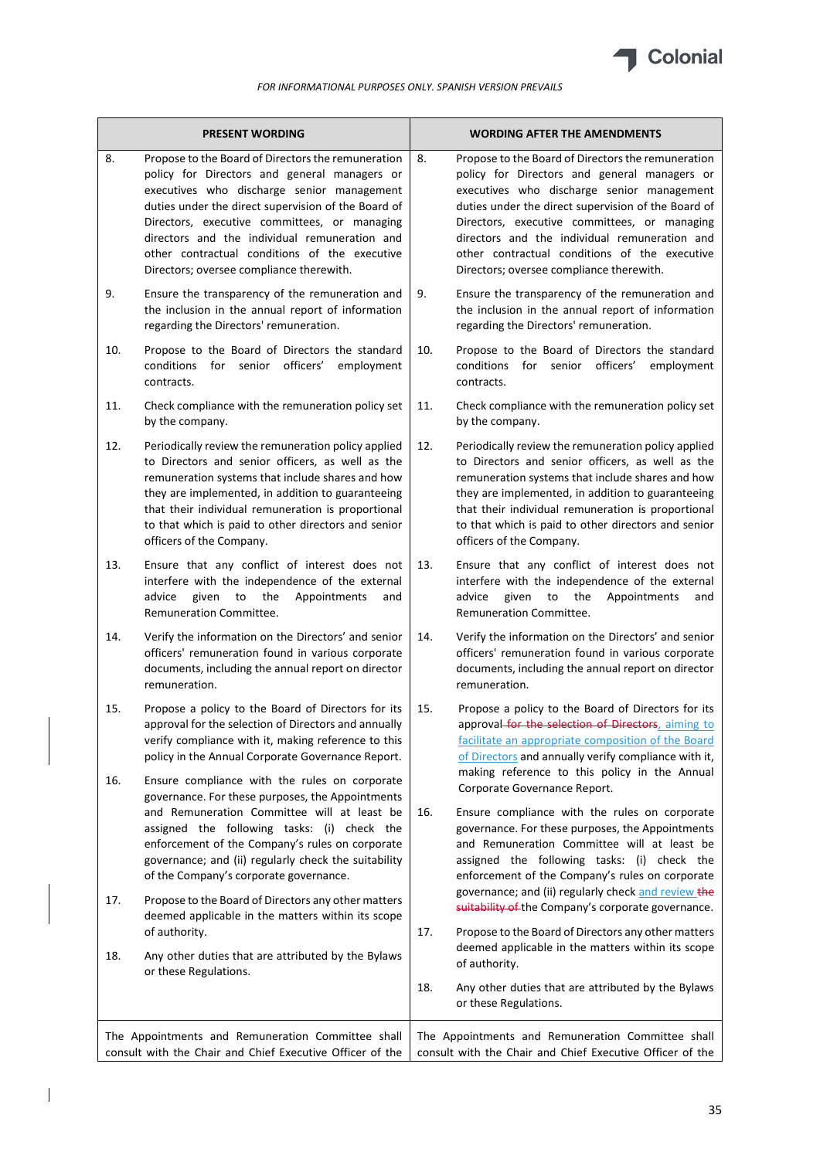

 $\mathbf{r}$ 

| <b>PRESENT WORDING</b> |                                                                                                                                                                                                                                                                                                                                                                                                             | <b>WORDING AFTER THE AMENDMENTS</b> |                                                                                                                                                                                                                                                                                                                                                                                                       |
|------------------------|-------------------------------------------------------------------------------------------------------------------------------------------------------------------------------------------------------------------------------------------------------------------------------------------------------------------------------------------------------------------------------------------------------------|-------------------------------------|-------------------------------------------------------------------------------------------------------------------------------------------------------------------------------------------------------------------------------------------------------------------------------------------------------------------------------------------------------------------------------------------------------|
| 8.                     | Propose to the Board of Directors the remuneration<br>policy for Directors and general managers or<br>executives who discharge senior management<br>duties under the direct supervision of the Board of<br>Directors, executive committees, or managing<br>directors and the individual remuneration and<br>other contractual conditions of the executive<br>Directors; oversee compliance therewith.       | 8.                                  | Propose to the Board of Directors the remuneration<br>policy for Directors and general managers or<br>executives who discharge senior management<br>duties under the direct supervision of the Board of<br>Directors, executive committees, or managing<br>directors and the individual remuneration and<br>other contractual conditions of the executive<br>Directors; oversee compliance therewith. |
| 9.                     | Ensure the transparency of the remuneration and<br>the inclusion in the annual report of information<br>regarding the Directors' remuneration.                                                                                                                                                                                                                                                              | 9.                                  | Ensure the transparency of the remuneration and<br>the inclusion in the annual report of information<br>regarding the Directors' remuneration.                                                                                                                                                                                                                                                        |
| 10.                    | Propose to the Board of Directors the standard<br>conditions for senior officers'<br>employment<br>contracts.                                                                                                                                                                                                                                                                                               | 10.                                 | Propose to the Board of Directors the standard<br>senior officers'<br>conditions<br>for<br>employment<br>contracts.                                                                                                                                                                                                                                                                                   |
| 11.                    | Check compliance with the remuneration policy set<br>by the company.                                                                                                                                                                                                                                                                                                                                        | 11.                                 | Check compliance with the remuneration policy set<br>by the company.                                                                                                                                                                                                                                                                                                                                  |
| 12.                    | Periodically review the remuneration policy applied<br>to Directors and senior officers, as well as the<br>remuneration systems that include shares and how<br>they are implemented, in addition to guaranteeing<br>that their individual remuneration is proportional<br>to that which is paid to other directors and senior<br>officers of the Company.                                                   | 12.                                 | Periodically review the remuneration policy applied<br>to Directors and senior officers, as well as the<br>remuneration systems that include shares and how<br>they are implemented, in addition to guaranteeing<br>that their individual remuneration is proportional<br>to that which is paid to other directors and senior<br>officers of the Company.                                             |
| 13.                    | Ensure that any conflict of interest does not<br>interfere with the independence of the external<br>the<br>advice<br>given<br>to<br>Appointments<br>and<br>Remuneration Committee.                                                                                                                                                                                                                          | 13.                                 | Ensure that any conflict of interest does not<br>interfere with the independence of the external<br>the<br>advice<br>given<br>to<br>Appointments<br>and<br>Remuneration Committee.                                                                                                                                                                                                                    |
| 14.                    | Verify the information on the Directors' and senior<br>officers' remuneration found in various corporate<br>documents, including the annual report on director<br>remuneration.                                                                                                                                                                                                                             | 14.                                 | Verify the information on the Directors' and senior<br>officers' remuneration found in various corporate<br>documents, including the annual report on director<br>remuneration.                                                                                                                                                                                                                       |
| 15.                    | Propose a policy to the Board of Directors for its<br>approval for the selection of Directors and annually<br>verify compliance with it, making reference to this<br>policy in the Annual Corporate Governance Report.                                                                                                                                                                                      | 15.                                 | Propose a policy to the Board of Directors for its<br>approval for the selection of Directors, aiming to<br>facilitate an appropriate composition of the Board<br>of Directors and annually verify compliance with it,                                                                                                                                                                                |
| 16.<br>17.             | Ensure compliance with the rules on corporate<br>governance. For these purposes, the Appointments<br>and Remuneration Committee will at least be<br>assigned the following tasks: (i) check the<br>enforcement of the Company's rules on corporate<br>governance; and (ii) regularly check the suitability<br>of the Company's corporate governance.<br>Propose to the Board of Directors any other matters | 16.                                 | making reference to this policy in the Annual<br>Corporate Governance Report.<br>Ensure compliance with the rules on corporate<br>governance. For these purposes, the Appointments<br>and Remuneration Committee will at least be<br>assigned the following tasks: (i) check the<br>enforcement of the Company's rules on corporate<br>governance; and (ii) regularly check and review the            |
|                        | deemed applicable in the matters within its scope<br>of authority.                                                                                                                                                                                                                                                                                                                                          | 17.                                 | suitability of the Company's corporate governance.<br>Propose to the Board of Directors any other matters                                                                                                                                                                                                                                                                                             |
| 18.                    | Any other duties that are attributed by the Bylaws<br>or these Regulations.                                                                                                                                                                                                                                                                                                                                 |                                     | deemed applicable in the matters within its scope<br>of authority.                                                                                                                                                                                                                                                                                                                                    |
|                        |                                                                                                                                                                                                                                                                                                                                                                                                             | 18.                                 | Any other duties that are attributed by the Bylaws<br>or these Regulations.                                                                                                                                                                                                                                                                                                                           |
|                        | The Appointments and Remuneration Committee shall<br>consult with the Chair and Chief Executive Officer of the                                                                                                                                                                                                                                                                                              |                                     | The Appointments and Remuneration Committee shall<br>consult with the Chair and Chief Executive Officer of the                                                                                                                                                                                                                                                                                        |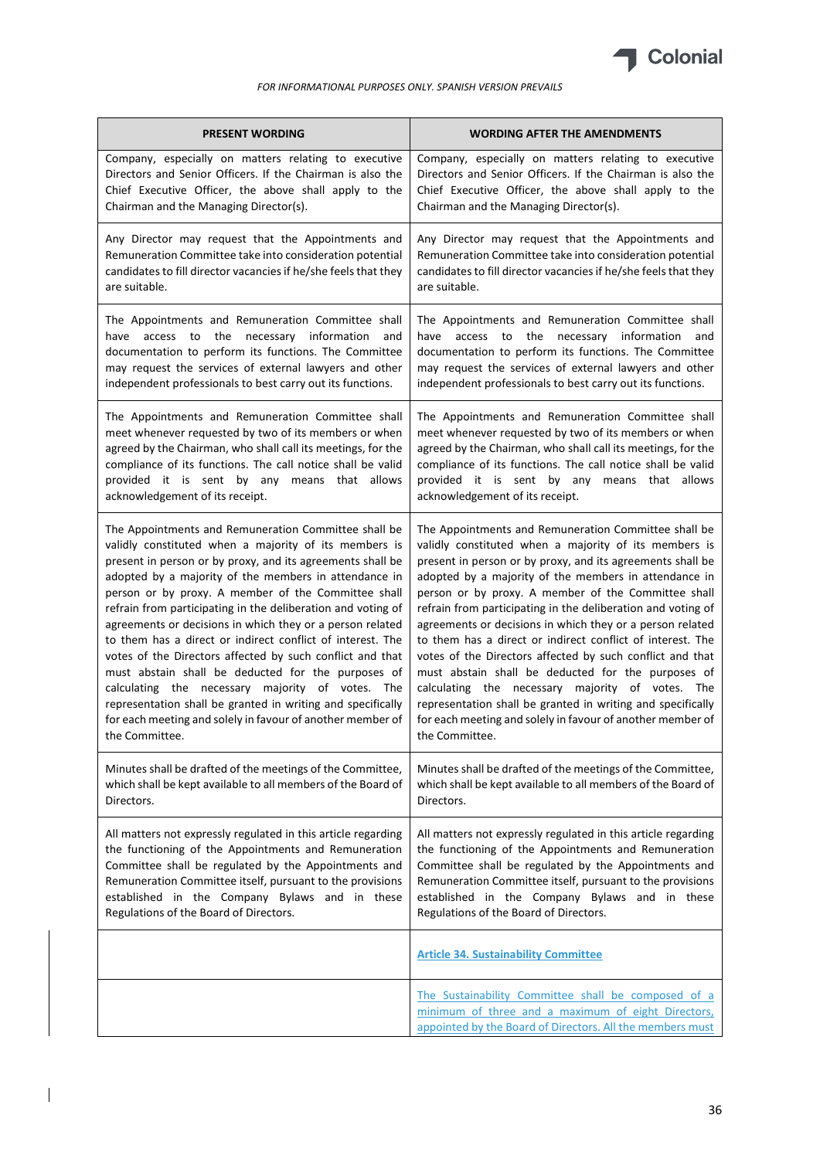

| <b>PRESENT WORDING</b>                                          | <b>WORDING AFTER THE AMENDMENTS</b>                                                                                                                                    |
|-----------------------------------------------------------------|------------------------------------------------------------------------------------------------------------------------------------------------------------------------|
| Company, especially on matters relating to executive            | Company, especially on matters relating to executive                                                                                                                   |
| Directors and Senior Officers. If the Chairman is also the      | Directors and Senior Officers. If the Chairman is also the                                                                                                             |
| Chief Executive Officer, the above shall apply to the           | Chief Executive Officer, the above shall apply to the                                                                                                                  |
| Chairman and the Managing Director(s).                          | Chairman and the Managing Director(s).                                                                                                                                 |
| Any Director may request that the Appointments and              | Any Director may request that the Appointments and                                                                                                                     |
| Remuneration Committee take into consideration potential        | Remuneration Committee take into consideration potential                                                                                                               |
| candidates to fill director vacancies if he/she feels that they | candidates to fill director vacancies if he/she feels that they                                                                                                        |
| are suitable.                                                   | are suitable.                                                                                                                                                          |
| The Appointments and Remuneration Committee shall               | The Appointments and Remuneration Committee shall                                                                                                                      |
| have access to the necessary information                        | have access to the necessary information                                                                                                                               |
| and                                                             | and                                                                                                                                                                    |
| documentation to perform its functions. The Committee           | documentation to perform its functions. The Committee                                                                                                                  |
| may request the services of external lawyers and other          | may request the services of external lawyers and other                                                                                                                 |
| independent professionals to best carry out its functions.      | independent professionals to best carry out its functions.                                                                                                             |
| The Appointments and Remuneration Committee shall               | The Appointments and Remuneration Committee shall                                                                                                                      |
| meet whenever requested by two of its members or when           | meet whenever requested by two of its members or when                                                                                                                  |
| agreed by the Chairman, who shall call its meetings, for the    | agreed by the Chairman, who shall call its meetings, for the                                                                                                           |
| compliance of its functions. The call notice shall be valid     | compliance of its functions. The call notice shall be valid                                                                                                            |
| provided it is sent by any means that allows                    | provided it is sent by any means that allows                                                                                                                           |
| acknowledgement of its receipt.                                 | acknowledgement of its receipt.                                                                                                                                        |
| The Appointments and Remuneration Committee shall be            | The Appointments and Remuneration Committee shall be                                                                                                                   |
| validly constituted when a majority of its members is           | validly constituted when a majority of its members is                                                                                                                  |
| present in person or by proxy, and its agreements shall be      | present in person or by proxy, and its agreements shall be                                                                                                             |
| adopted by a majority of the members in attendance in           | adopted by a majority of the members in attendance in                                                                                                                  |
| person or by proxy. A member of the Committee shall             | person or by proxy. A member of the Committee shall                                                                                                                    |
| refrain from participating in the deliberation and voting of    | refrain from participating in the deliberation and voting of                                                                                                           |
| agreements or decisions in which they or a person related       | agreements or decisions in which they or a person related                                                                                                              |
| to them has a direct or indirect conflict of interest. The      | to them has a direct or indirect conflict of interest. The                                                                                                             |
| votes of the Directors affected by such conflict and that       | votes of the Directors affected by such conflict and that                                                                                                              |
| must abstain shall be deducted for the purposes of              | must abstain shall be deducted for the purposes of                                                                                                                     |
| calculating the necessary majority of votes. The                | calculating the necessary majority of votes. The                                                                                                                       |
| representation shall be granted in writing and specifically     | representation shall be granted in writing and specifically                                                                                                            |
| for each meeting and solely in favour of another member of      | for each meeting and solely in favour of another member of                                                                                                             |
| the Committee.                                                  | the Committee.                                                                                                                                                         |
| Minutes shall be drafted of the meetings of the Committee,      | Minutes shall be drafted of the meetings of the Committee,                                                                                                             |
| which shall be kept available to all members of the Board of    | which shall be kept available to all members of the Board of                                                                                                           |
| Directors.                                                      | Directors.                                                                                                                                                             |
| All matters not expressly regulated in this article regarding   | All matters not expressly regulated in this article regarding                                                                                                          |
| the functioning of the Appointments and Remuneration            | the functioning of the Appointments and Remuneration                                                                                                                   |
| Committee shall be regulated by the Appointments and            | Committee shall be regulated by the Appointments and                                                                                                                   |
| Remuneration Committee itself, pursuant to the provisions       | Remuneration Committee itself, pursuant to the provisions                                                                                                              |
| established in the Company Bylaws and in these                  | established in the Company Bylaws and in these                                                                                                                         |
| Regulations of the Board of Directors.                          | Regulations of the Board of Directors.                                                                                                                                 |
|                                                                 | <b>Article 34. Sustainability Committee</b>                                                                                                                            |
|                                                                 | The Sustainability Committee shall be composed of a<br>minimum of three and a maximum of eight Directors,<br>appointed by the Board of Directors. All the members must |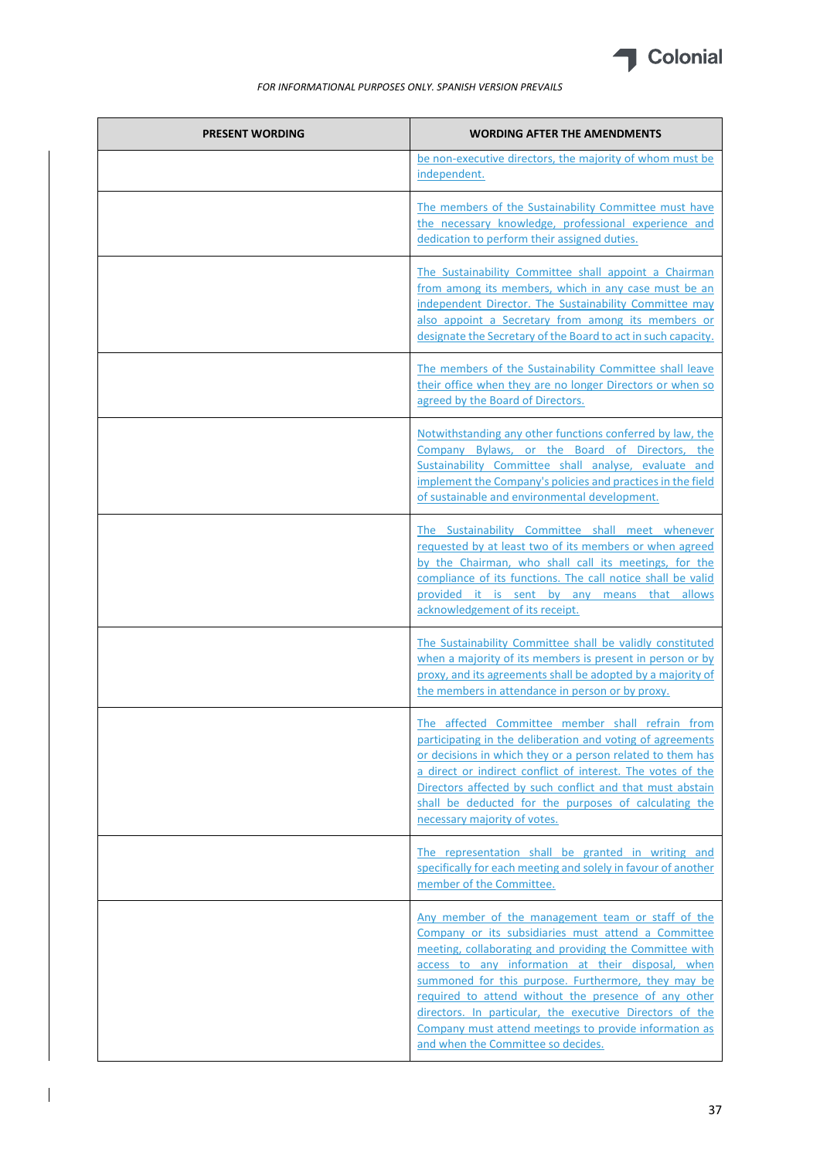

| <b>PRESENT WORDING</b> | <b>WORDING AFTER THE AMENDMENTS</b>                                                                                                                                                                                                                                                                                                                                                                                                                                                                 |
|------------------------|-----------------------------------------------------------------------------------------------------------------------------------------------------------------------------------------------------------------------------------------------------------------------------------------------------------------------------------------------------------------------------------------------------------------------------------------------------------------------------------------------------|
|                        | be non-executive directors, the majority of whom must be<br>independent.                                                                                                                                                                                                                                                                                                                                                                                                                            |
|                        | The members of the Sustainability Committee must have<br>the necessary knowledge, professional experience and<br>dedication to perform their assigned duties.                                                                                                                                                                                                                                                                                                                                       |
|                        | The Sustainability Committee shall appoint a Chairman<br>from among its members, which in any case must be an<br>independent Director. The Sustainability Committee may<br>also appoint a Secretary from among its members or<br>designate the Secretary of the Board to act in such capacity.                                                                                                                                                                                                      |
|                        | The members of the Sustainability Committee shall leave<br>their office when they are no longer Directors or when so<br>agreed by the Board of Directors.                                                                                                                                                                                                                                                                                                                                           |
|                        | Notwithstanding any other functions conferred by law, the<br>Company Bylaws, or the Board of Directors, the<br>Sustainability Committee shall analyse, evaluate and<br>implement the Company's policies and practices in the field<br>of sustainable and environmental development.                                                                                                                                                                                                                 |
|                        | The Sustainability Committee shall meet whenever<br>requested by at least two of its members or when agreed<br>by the Chairman, who shall call its meetings, for the<br>compliance of its functions. The call notice shall be valid<br>provided it is sent by any means that allows<br>acknowledgement of its receipt.                                                                                                                                                                              |
|                        | The Sustainability Committee shall be validly constituted<br>when a majority of its members is present in person or by<br>proxy, and its agreements shall be adopted by a majority of<br>the members in attendance in person or by proxy.                                                                                                                                                                                                                                                           |
|                        | The affected Committee member shall refrain from<br>participating in the deliberation and voting of agreements<br>or decisions in which they or a person related to them has<br>a direct or indirect conflict of interest. The votes of the<br>Directors affected by such conflict and that must abstain<br>shall be deducted for the purposes of calculating the<br>necessary majority of votes.                                                                                                   |
|                        | The representation shall be granted in writing and<br>specifically for each meeting and solely in favour of another<br>member of the Committee.                                                                                                                                                                                                                                                                                                                                                     |
|                        | Any member of the management team or staff of the<br>Company or its subsidiaries must attend a Committee<br>meeting, collaborating and providing the Committee with<br>access to any information at their disposal, when<br>summoned for this purpose. Furthermore, they may be<br>required to attend without the presence of any other<br>directors. In particular, the executive Directors of the<br>Company must attend meetings to provide information as<br>and when the Committee so decides. |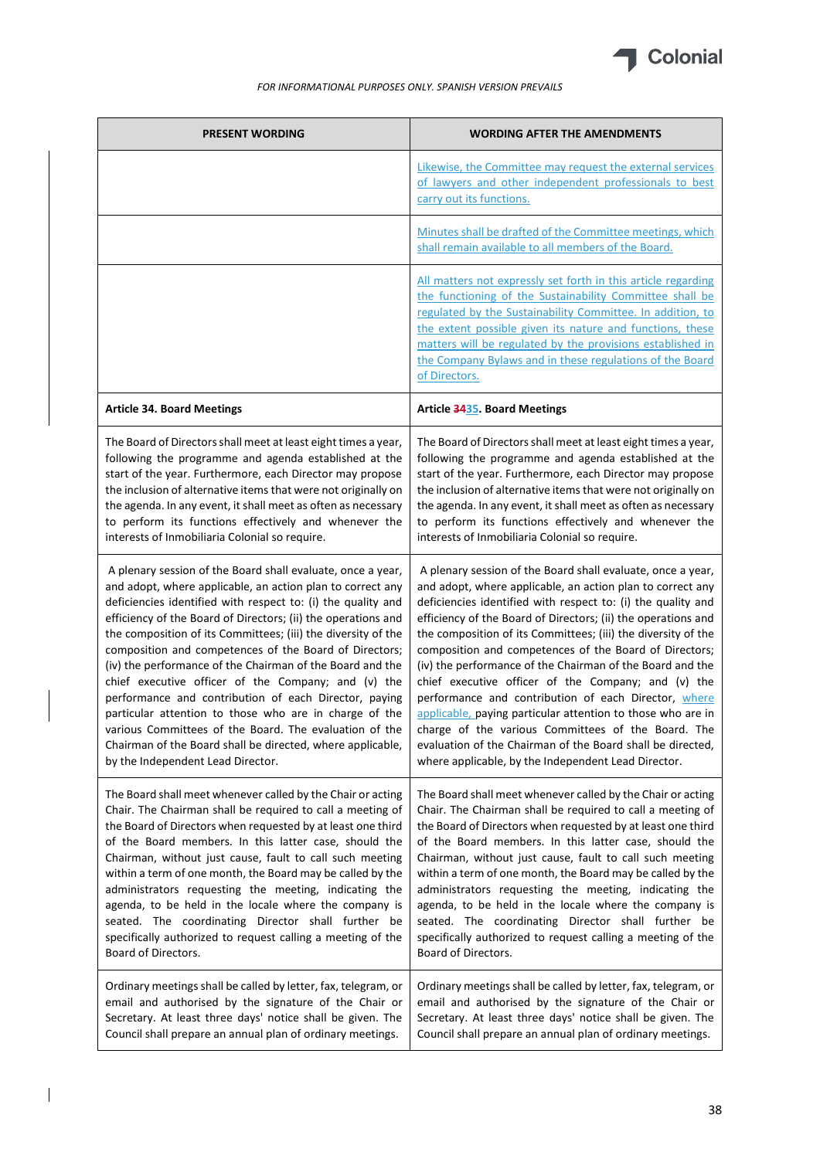

| <b>PRESENT WORDING</b>                                                                                                                                                                                                                                                                                                                                                                                                                                                                                                                                                                                                                                                                                                                                                                    | <b>WORDING AFTER THE AMENDMENTS</b>                                                                                                                                                                                                                                                                                                                                                                                                                                                                                                                                                                                                                                                                                                                                                                         |
|-------------------------------------------------------------------------------------------------------------------------------------------------------------------------------------------------------------------------------------------------------------------------------------------------------------------------------------------------------------------------------------------------------------------------------------------------------------------------------------------------------------------------------------------------------------------------------------------------------------------------------------------------------------------------------------------------------------------------------------------------------------------------------------------|-------------------------------------------------------------------------------------------------------------------------------------------------------------------------------------------------------------------------------------------------------------------------------------------------------------------------------------------------------------------------------------------------------------------------------------------------------------------------------------------------------------------------------------------------------------------------------------------------------------------------------------------------------------------------------------------------------------------------------------------------------------------------------------------------------------|
|                                                                                                                                                                                                                                                                                                                                                                                                                                                                                                                                                                                                                                                                                                                                                                                           | Likewise, the Committee may request the external services<br>of lawyers and other independent professionals to best<br>carry out its functions.                                                                                                                                                                                                                                                                                                                                                                                                                                                                                                                                                                                                                                                             |
|                                                                                                                                                                                                                                                                                                                                                                                                                                                                                                                                                                                                                                                                                                                                                                                           | Minutes shall be drafted of the Committee meetings, which<br>shall remain available to all members of the Board.                                                                                                                                                                                                                                                                                                                                                                                                                                                                                                                                                                                                                                                                                            |
|                                                                                                                                                                                                                                                                                                                                                                                                                                                                                                                                                                                                                                                                                                                                                                                           | All matters not expressly set forth in this article regarding<br>the functioning of the Sustainability Committee shall be<br>regulated by the Sustainability Committee. In addition, to<br>the extent possible given its nature and functions, these<br>matters will be regulated by the provisions established in<br>the Company Bylaws and in these regulations of the Board<br>of Directors.                                                                                                                                                                                                                                                                                                                                                                                                             |
| <b>Article 34. Board Meetings</b>                                                                                                                                                                                                                                                                                                                                                                                                                                                                                                                                                                                                                                                                                                                                                         | Article 3435. Board Meetings                                                                                                                                                                                                                                                                                                                                                                                                                                                                                                                                                                                                                                                                                                                                                                                |
| The Board of Directors shall meet at least eight times a year,<br>following the programme and agenda established at the<br>start of the year. Furthermore, each Director may propose<br>the inclusion of alternative items that were not originally on<br>the agenda. In any event, it shall meet as often as necessary<br>to perform its functions effectively and whenever the<br>interests of Inmobiliaria Colonial so require.                                                                                                                                                                                                                                                                                                                                                        | The Board of Directors shall meet at least eight times a year,<br>following the programme and agenda established at the<br>start of the year. Furthermore, each Director may propose<br>the inclusion of alternative items that were not originally on<br>the agenda. In any event, it shall meet as often as necessary<br>to perform its functions effectively and whenever the<br>interests of Inmobiliaria Colonial so require.                                                                                                                                                                                                                                                                                                                                                                          |
| A plenary session of the Board shall evaluate, once a year,<br>and adopt, where applicable, an action plan to correct any<br>deficiencies identified with respect to: (i) the quality and<br>efficiency of the Board of Directors; (ii) the operations and<br>the composition of its Committees; (iii) the diversity of the<br>composition and competences of the Board of Directors;<br>(iv) the performance of the Chairman of the Board and the<br>chief executive officer of the Company; and (v) the<br>performance and contribution of each Director, paying<br>particular attention to those who are in charge of the<br>various Committees of the Board. The evaluation of the<br>Chairman of the Board shall be directed, where applicable,<br>by the Independent Lead Director. | A plenary session of the Board shall evaluate, once a year,<br>and adopt, where applicable, an action plan to correct any<br>deficiencies identified with respect to: (i) the quality and<br>efficiency of the Board of Directors; (ii) the operations and<br>the composition of its Committees; (iii) the diversity of the<br>composition and competences of the Board of Directors;<br>(iv) the performance of the Chairman of the Board and the<br>chief executive officer of the Company; and (v) the<br>performance and contribution of each Director, where<br>applicable, paying particular attention to those who are in<br>charge of the various Committees of the Board. The<br>evaluation of the Chairman of the Board shall be directed,<br>where applicable, by the Independent Lead Director. |
| The Board shall meet whenever called by the Chair or acting<br>Chair. The Chairman shall be required to call a meeting of<br>the Board of Directors when requested by at least one third<br>of the Board members. In this latter case, should the<br>Chairman, without just cause, fault to call such meeting<br>within a term of one month, the Board may be called by the<br>administrators requesting the meeting, indicating the<br>agenda, to be held in the locale where the company is<br>seated. The coordinating Director shall further be<br>specifically authorized to request calling a meeting of the<br>Board of Directors.                                                                                                                                                 | The Board shall meet whenever called by the Chair or acting<br>Chair. The Chairman shall be required to call a meeting of<br>the Board of Directors when requested by at least one third<br>of the Board members. In this latter case, should the<br>Chairman, without just cause, fault to call such meeting<br>within a term of one month, the Board may be called by the<br>administrators requesting the meeting, indicating the<br>agenda, to be held in the locale where the company is<br>seated. The coordinating Director shall further be<br>specifically authorized to request calling a meeting of the<br>Board of Directors.                                                                                                                                                                   |
| Ordinary meetings shall be called by letter, fax, telegram, or<br>email and authorised by the signature of the Chair or<br>Secretary. At least three days' notice shall be given. The<br>Council shall prepare an annual plan of ordinary meetings.                                                                                                                                                                                                                                                                                                                                                                                                                                                                                                                                       | Ordinary meetings shall be called by letter, fax, telegram, or<br>email and authorised by the signature of the Chair or<br>Secretary. At least three days' notice shall be given. The<br>Council shall prepare an annual plan of ordinary meetings.                                                                                                                                                                                                                                                                                                                                                                                                                                                                                                                                                         |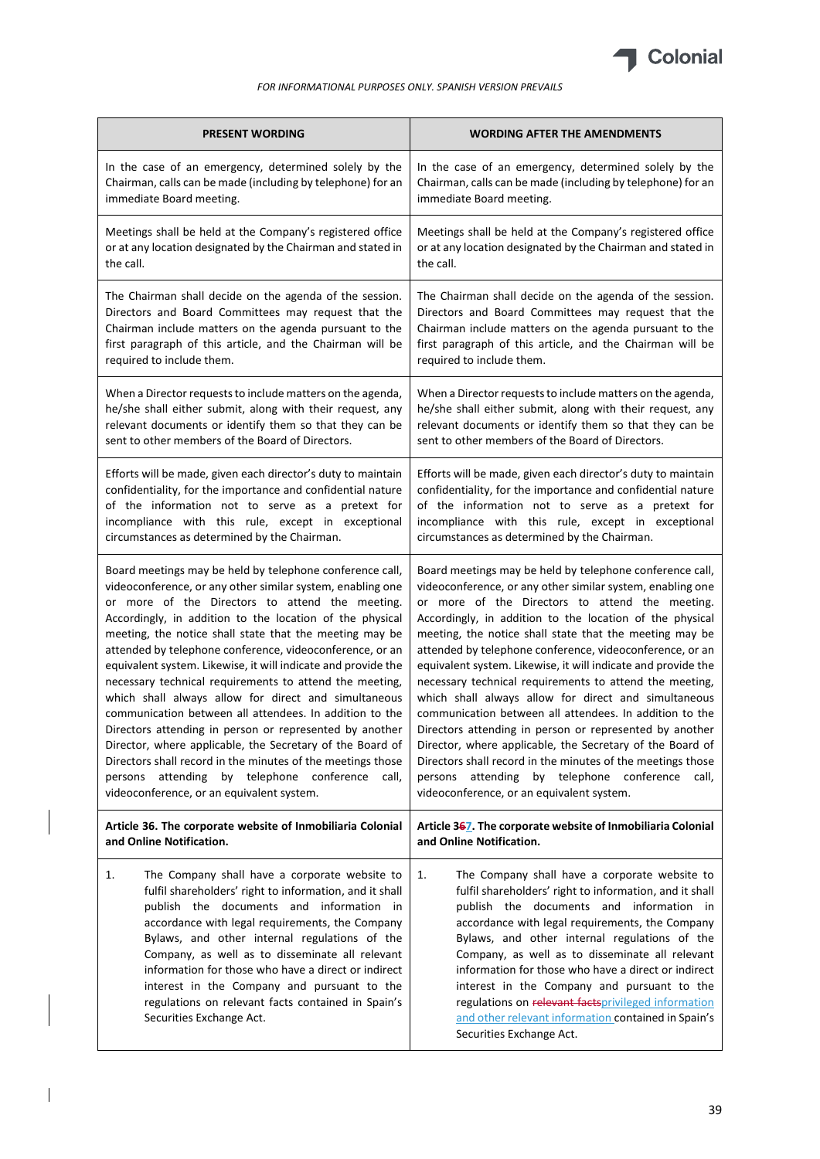

| <b>PRESENT WORDING</b>                                                                                                                                                                                                                                                                                                                                                                                                                                                                                    | <b>WORDING AFTER THE AMENDMENTS</b>                                                                                                                                                                                                                                                                                                                                                                                                                                                                                                                               |
|-----------------------------------------------------------------------------------------------------------------------------------------------------------------------------------------------------------------------------------------------------------------------------------------------------------------------------------------------------------------------------------------------------------------------------------------------------------------------------------------------------------|-------------------------------------------------------------------------------------------------------------------------------------------------------------------------------------------------------------------------------------------------------------------------------------------------------------------------------------------------------------------------------------------------------------------------------------------------------------------------------------------------------------------------------------------------------------------|
| In the case of an emergency, determined solely by the                                                                                                                                                                                                                                                                                                                                                                                                                                                     | In the case of an emergency, determined solely by the                                                                                                                                                                                                                                                                                                                                                                                                                                                                                                             |
| Chairman, calls can be made (including by telephone) for an                                                                                                                                                                                                                                                                                                                                                                                                                                               | Chairman, calls can be made (including by telephone) for an                                                                                                                                                                                                                                                                                                                                                                                                                                                                                                       |
| immediate Board meeting.                                                                                                                                                                                                                                                                                                                                                                                                                                                                                  | immediate Board meeting.                                                                                                                                                                                                                                                                                                                                                                                                                                                                                                                                          |
| Meetings shall be held at the Company's registered office                                                                                                                                                                                                                                                                                                                                                                                                                                                 | Meetings shall be held at the Company's registered office                                                                                                                                                                                                                                                                                                                                                                                                                                                                                                         |
| or at any location designated by the Chairman and stated in                                                                                                                                                                                                                                                                                                                                                                                                                                               | or at any location designated by the Chairman and stated in                                                                                                                                                                                                                                                                                                                                                                                                                                                                                                       |
| the call.                                                                                                                                                                                                                                                                                                                                                                                                                                                                                                 | the call.                                                                                                                                                                                                                                                                                                                                                                                                                                                                                                                                                         |
| The Chairman shall decide on the agenda of the session.                                                                                                                                                                                                                                                                                                                                                                                                                                                   | The Chairman shall decide on the agenda of the session.                                                                                                                                                                                                                                                                                                                                                                                                                                                                                                           |
| Directors and Board Committees may request that the                                                                                                                                                                                                                                                                                                                                                                                                                                                       | Directors and Board Committees may request that the                                                                                                                                                                                                                                                                                                                                                                                                                                                                                                               |
| Chairman include matters on the agenda pursuant to the                                                                                                                                                                                                                                                                                                                                                                                                                                                    | Chairman include matters on the agenda pursuant to the                                                                                                                                                                                                                                                                                                                                                                                                                                                                                                            |
| first paragraph of this article, and the Chairman will be                                                                                                                                                                                                                                                                                                                                                                                                                                                 | first paragraph of this article, and the Chairman will be                                                                                                                                                                                                                                                                                                                                                                                                                                                                                                         |
| required to include them.                                                                                                                                                                                                                                                                                                                                                                                                                                                                                 | required to include them.                                                                                                                                                                                                                                                                                                                                                                                                                                                                                                                                         |
| When a Director requests to include matters on the agenda,                                                                                                                                                                                                                                                                                                                                                                                                                                                | When a Director requests to include matters on the agenda,                                                                                                                                                                                                                                                                                                                                                                                                                                                                                                        |
| he/she shall either submit, along with their request, any                                                                                                                                                                                                                                                                                                                                                                                                                                                 | he/she shall either submit, along with their request, any                                                                                                                                                                                                                                                                                                                                                                                                                                                                                                         |
| relevant documents or identify them so that they can be                                                                                                                                                                                                                                                                                                                                                                                                                                                   | relevant documents or identify them so that they can be                                                                                                                                                                                                                                                                                                                                                                                                                                                                                                           |
| sent to other members of the Board of Directors.                                                                                                                                                                                                                                                                                                                                                                                                                                                          | sent to other members of the Board of Directors.                                                                                                                                                                                                                                                                                                                                                                                                                                                                                                                  |
| Efforts will be made, given each director's duty to maintain                                                                                                                                                                                                                                                                                                                                                                                                                                              | Efforts will be made, given each director's duty to maintain                                                                                                                                                                                                                                                                                                                                                                                                                                                                                                      |
| confidentiality, for the importance and confidential nature                                                                                                                                                                                                                                                                                                                                                                                                                                               | confidentiality, for the importance and confidential nature                                                                                                                                                                                                                                                                                                                                                                                                                                                                                                       |
| of the information not to serve as a pretext for                                                                                                                                                                                                                                                                                                                                                                                                                                                          | of the information not to serve as a pretext for                                                                                                                                                                                                                                                                                                                                                                                                                                                                                                                  |
| incompliance with this rule, except in exceptional                                                                                                                                                                                                                                                                                                                                                                                                                                                        | incompliance with this rule, except in exceptional                                                                                                                                                                                                                                                                                                                                                                                                                                                                                                                |
| circumstances as determined by the Chairman.                                                                                                                                                                                                                                                                                                                                                                                                                                                              | circumstances as determined by the Chairman.                                                                                                                                                                                                                                                                                                                                                                                                                                                                                                                      |
| Board meetings may be held by telephone conference call,                                                                                                                                                                                                                                                                                                                                                                                                                                                  | Board meetings may be held by telephone conference call,                                                                                                                                                                                                                                                                                                                                                                                                                                                                                                          |
| videoconference, or any other similar system, enabling one                                                                                                                                                                                                                                                                                                                                                                                                                                                | videoconference, or any other similar system, enabling one                                                                                                                                                                                                                                                                                                                                                                                                                                                                                                        |
| or more of the Directors to attend the meeting.                                                                                                                                                                                                                                                                                                                                                                                                                                                           | or more of the Directors to attend the meeting.                                                                                                                                                                                                                                                                                                                                                                                                                                                                                                                   |
| Accordingly, in addition to the location of the physical                                                                                                                                                                                                                                                                                                                                                                                                                                                  | Accordingly, in addition to the location of the physical                                                                                                                                                                                                                                                                                                                                                                                                                                                                                                          |
| meeting, the notice shall state that the meeting may be                                                                                                                                                                                                                                                                                                                                                                                                                                                   | meeting, the notice shall state that the meeting may be                                                                                                                                                                                                                                                                                                                                                                                                                                                                                                           |
| attended by telephone conference, videoconference, or an                                                                                                                                                                                                                                                                                                                                                                                                                                                  | attended by telephone conference, videoconference, or an                                                                                                                                                                                                                                                                                                                                                                                                                                                                                                          |
| equivalent system. Likewise, it will indicate and provide the                                                                                                                                                                                                                                                                                                                                                                                                                                             | equivalent system. Likewise, it will indicate and provide the                                                                                                                                                                                                                                                                                                                                                                                                                                                                                                     |
| necessary technical requirements to attend the meeting,                                                                                                                                                                                                                                                                                                                                                                                                                                                   | necessary technical requirements to attend the meeting,                                                                                                                                                                                                                                                                                                                                                                                                                                                                                                           |
| which shall always allow for direct and simultaneous                                                                                                                                                                                                                                                                                                                                                                                                                                                      | which shall always allow for direct and simultaneous                                                                                                                                                                                                                                                                                                                                                                                                                                                                                                              |
| communication between all attendees. In addition to the                                                                                                                                                                                                                                                                                                                                                                                                                                                   | communication between all attendees. In addition to the                                                                                                                                                                                                                                                                                                                                                                                                                                                                                                           |
| Directors attending in person or represented by another                                                                                                                                                                                                                                                                                                                                                                                                                                                   | Directors attending in person or represented by another                                                                                                                                                                                                                                                                                                                                                                                                                                                                                                           |
| Director, where applicable, the Secretary of the Board of                                                                                                                                                                                                                                                                                                                                                                                                                                                 | Director, where applicable, the Secretary of the Board of                                                                                                                                                                                                                                                                                                                                                                                                                                                                                                         |
| Directors shall record in the minutes of the meetings those                                                                                                                                                                                                                                                                                                                                                                                                                                               | Directors shall record in the minutes of the meetings those                                                                                                                                                                                                                                                                                                                                                                                                                                                                                                       |
| persons attending by telephone conference call,                                                                                                                                                                                                                                                                                                                                                                                                                                                           | persons attending by telephone conference call,                                                                                                                                                                                                                                                                                                                                                                                                                                                                                                                   |
| videoconference, or an equivalent system.                                                                                                                                                                                                                                                                                                                                                                                                                                                                 | videoconference, or an equivalent system.                                                                                                                                                                                                                                                                                                                                                                                                                                                                                                                         |
| Article 36. The corporate website of Inmobiliaria Colonial                                                                                                                                                                                                                                                                                                                                                                                                                                                | Article 367. The corporate website of Inmobiliaria Colonial                                                                                                                                                                                                                                                                                                                                                                                                                                                                                                       |
| and Online Notification.                                                                                                                                                                                                                                                                                                                                                                                                                                                                                  | and Online Notification.                                                                                                                                                                                                                                                                                                                                                                                                                                                                                                                                          |
| 1.<br>The Company shall have a corporate website to<br>fulfil shareholders' right to information, and it shall<br>publish the documents and information in<br>accordance with legal requirements, the Company<br>Bylaws, and other internal regulations of the<br>Company, as well as to disseminate all relevant<br>information for those who have a direct or indirect<br>interest in the Company and pursuant to the<br>regulations on relevant facts contained in Spain's<br>Securities Exchange Act. | 1.<br>The Company shall have a corporate website to<br>fulfil shareholders' right to information, and it shall<br>publish the documents and information in<br>accordance with legal requirements, the Company<br>Bylaws, and other internal regulations of the<br>Company, as well as to disseminate all relevant<br>information for those who have a direct or indirect<br>interest in the Company and pursuant to the<br>regulations on relevant factsprivileged information<br>and other relevant information contained in Spain's<br>Securities Exchange Act. |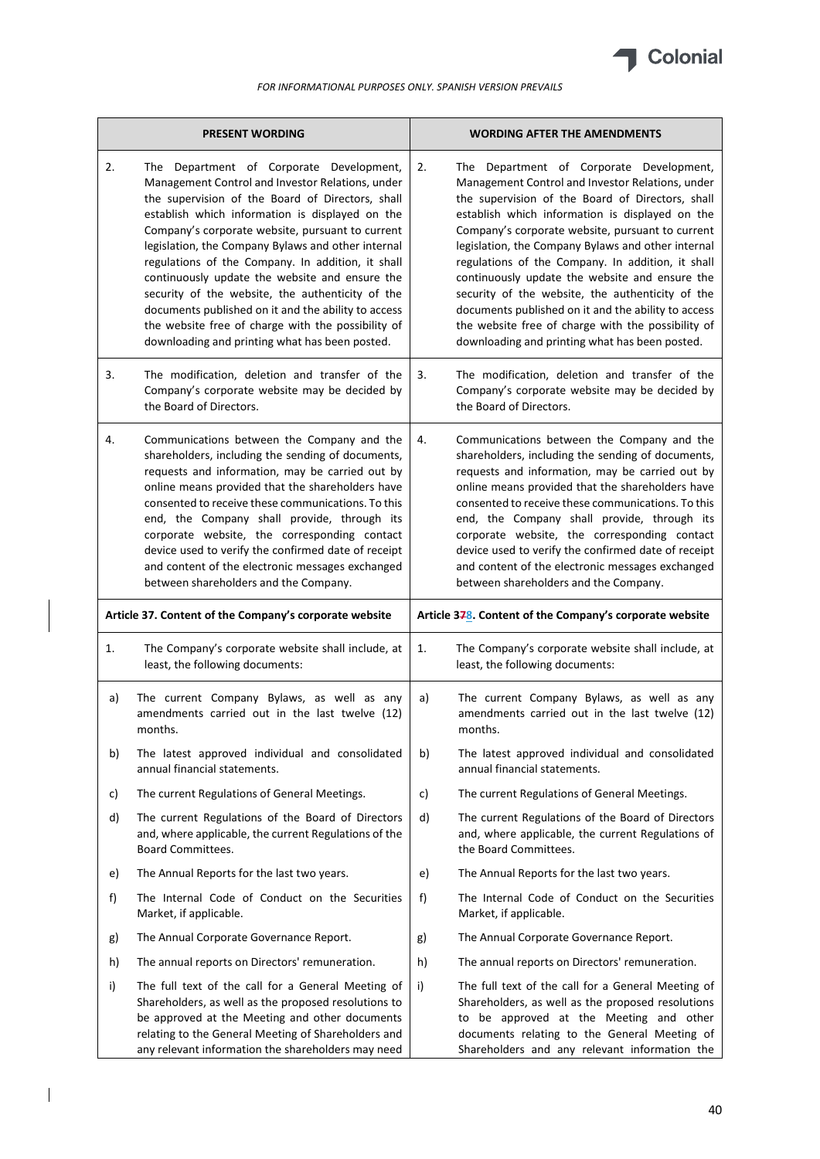

|    | <b>PRESENT WORDING</b>                                                                                                                                                                                                                                                                                                                                                                                                                                                                                                                                                                                                                  |    | <b>WORDING AFTER THE AMENDMENTS</b>                                                                                                                                                                                                                                                                                                                                                                                                                                                                                                                                                                                                     |
|----|-----------------------------------------------------------------------------------------------------------------------------------------------------------------------------------------------------------------------------------------------------------------------------------------------------------------------------------------------------------------------------------------------------------------------------------------------------------------------------------------------------------------------------------------------------------------------------------------------------------------------------------------|----|-----------------------------------------------------------------------------------------------------------------------------------------------------------------------------------------------------------------------------------------------------------------------------------------------------------------------------------------------------------------------------------------------------------------------------------------------------------------------------------------------------------------------------------------------------------------------------------------------------------------------------------------|
| 2. | The Department of Corporate Development,<br>Management Control and Investor Relations, under<br>the supervision of the Board of Directors, shall<br>establish which information is displayed on the<br>Company's corporate website, pursuant to current<br>legislation, the Company Bylaws and other internal<br>regulations of the Company. In addition, it shall<br>continuously update the website and ensure the<br>security of the website, the authenticity of the<br>documents published on it and the ability to access<br>the website free of charge with the possibility of<br>downloading and printing what has been posted. | 2. | The Department of Corporate Development,<br>Management Control and Investor Relations, under<br>the supervision of the Board of Directors, shall<br>establish which information is displayed on the<br>Company's corporate website, pursuant to current<br>legislation, the Company Bylaws and other internal<br>regulations of the Company. In addition, it shall<br>continuously update the website and ensure the<br>security of the website, the authenticity of the<br>documents published on it and the ability to access<br>the website free of charge with the possibility of<br>downloading and printing what has been posted. |
| 3. | The modification, deletion and transfer of the<br>Company's corporate website may be decided by<br>the Board of Directors.                                                                                                                                                                                                                                                                                                                                                                                                                                                                                                              | 3. | The modification, deletion and transfer of the<br>Company's corporate website may be decided by<br>the Board of Directors.                                                                                                                                                                                                                                                                                                                                                                                                                                                                                                              |
| 4. | Communications between the Company and the<br>shareholders, including the sending of documents,<br>requests and information, may be carried out by<br>online means provided that the shareholders have<br>consented to receive these communications. To this<br>end, the Company shall provide, through its<br>corporate website, the corresponding contact<br>device used to verify the confirmed date of receipt<br>and content of the electronic messages exchanged<br>between shareholders and the Company.                                                                                                                         | 4. | Communications between the Company and the<br>shareholders, including the sending of documents,<br>requests and information, may be carried out by<br>online means provided that the shareholders have<br>consented to receive these communications. To this<br>end, the Company shall provide, through its<br>corporate website, the corresponding contact<br>device used to verify the confirmed date of receipt<br>and content of the electronic messages exchanged<br>between shareholders and the Company.                                                                                                                         |
|    | Article 37. Content of the Company's corporate website                                                                                                                                                                                                                                                                                                                                                                                                                                                                                                                                                                                  |    | Article 378. Content of the Company's corporate website                                                                                                                                                                                                                                                                                                                                                                                                                                                                                                                                                                                 |
| 1. | The Company's corporate website shall include, at<br>least, the following documents:                                                                                                                                                                                                                                                                                                                                                                                                                                                                                                                                                    | 1. | The Company's corporate website shall include, at<br>least, the following documents:                                                                                                                                                                                                                                                                                                                                                                                                                                                                                                                                                    |
| a) | The current Company Bylaws, as well as any<br>amendments carried out in the last twelve (12)<br>months.                                                                                                                                                                                                                                                                                                                                                                                                                                                                                                                                 | a) | The current Company Bylaws, as well as any<br>amendments carried out in the last twelve (12)<br>months.                                                                                                                                                                                                                                                                                                                                                                                                                                                                                                                                 |
| b) | The latest approved individual and consolidated<br>annual financial statements.                                                                                                                                                                                                                                                                                                                                                                                                                                                                                                                                                         | b) | The latest approved individual and consolidated<br>annual financial statements.                                                                                                                                                                                                                                                                                                                                                                                                                                                                                                                                                         |
| c) | The current Regulations of General Meetings.                                                                                                                                                                                                                                                                                                                                                                                                                                                                                                                                                                                            | c) | The current Regulations of General Meetings.                                                                                                                                                                                                                                                                                                                                                                                                                                                                                                                                                                                            |
| d) | The current Regulations of the Board of Directors<br>and, where applicable, the current Regulations of the<br><b>Board Committees.</b>                                                                                                                                                                                                                                                                                                                                                                                                                                                                                                  | d) | The current Regulations of the Board of Directors<br>and, where applicable, the current Regulations of<br>the Board Committees.                                                                                                                                                                                                                                                                                                                                                                                                                                                                                                         |
| e) | The Annual Reports for the last two years.                                                                                                                                                                                                                                                                                                                                                                                                                                                                                                                                                                                              | e) | The Annual Reports for the last two years.                                                                                                                                                                                                                                                                                                                                                                                                                                                                                                                                                                                              |
| f) | The Internal Code of Conduct on the Securities<br>Market, if applicable.                                                                                                                                                                                                                                                                                                                                                                                                                                                                                                                                                                | f) | The Internal Code of Conduct on the Securities<br>Market, if applicable.                                                                                                                                                                                                                                                                                                                                                                                                                                                                                                                                                                |
| g) |                                                                                                                                                                                                                                                                                                                                                                                                                                                                                                                                                                                                                                         | g) | The Annual Corporate Governance Report.                                                                                                                                                                                                                                                                                                                                                                                                                                                                                                                                                                                                 |
|    | The Annual Corporate Governance Report.                                                                                                                                                                                                                                                                                                                                                                                                                                                                                                                                                                                                 |    |                                                                                                                                                                                                                                                                                                                                                                                                                                                                                                                                                                                                                                         |
| h) | The annual reports on Directors' remuneration.                                                                                                                                                                                                                                                                                                                                                                                                                                                                                                                                                                                          | h) | The annual reports on Directors' remuneration.                                                                                                                                                                                                                                                                                                                                                                                                                                                                                                                                                                                          |

 $\begin{array}{c} \hline \end{array}$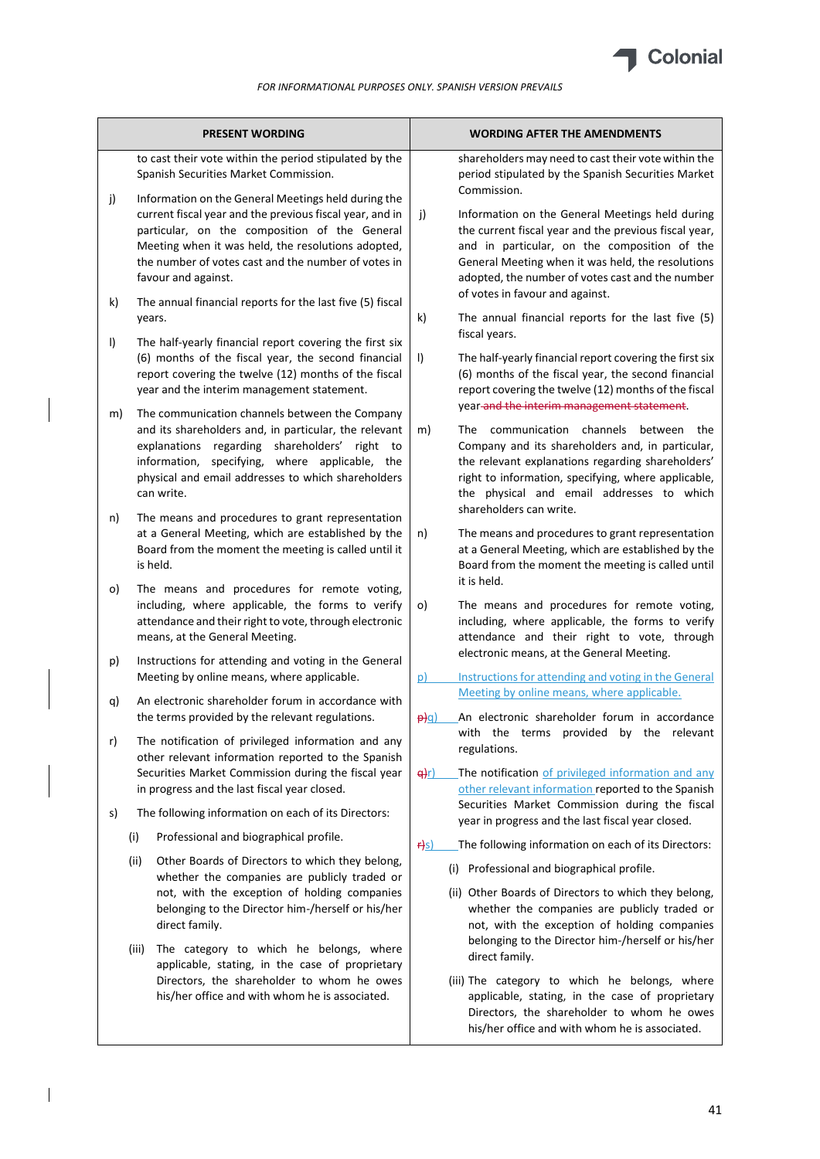

|         | <b>PRESENT WORDING</b>                                                                                                                                                                                                                                                                               | <b>WORDING AFTER THE AMENDMENTS</b>                                                                                                                                                                                                                                                                                                      |
|---------|------------------------------------------------------------------------------------------------------------------------------------------------------------------------------------------------------------------------------------------------------------------------------------------------------|------------------------------------------------------------------------------------------------------------------------------------------------------------------------------------------------------------------------------------------------------------------------------------------------------------------------------------------|
|         | to cast their vote within the period stipulated by the<br>Spanish Securities Market Commission.                                                                                                                                                                                                      | shareholders may need to cast their vote within the<br>period stipulated by the Spanish Securities Market<br>Commission.                                                                                                                                                                                                                 |
| j)      | Information on the General Meetings held during the<br>current fiscal year and the previous fiscal year, and in<br>particular, on the composition of the General<br>Meeting when it was held, the resolutions adopted,<br>the number of votes cast and the number of votes in<br>favour and against. | j)<br>Information on the General Meetings held during<br>the current fiscal year and the previous fiscal year,<br>and in particular, on the composition of the<br>General Meeting when it was held, the resolutions<br>adopted, the number of votes cast and the number                                                                  |
| k)      | The annual financial reports for the last five (5) fiscal<br>years.                                                                                                                                                                                                                                  | of votes in favour and against.<br>k)<br>The annual financial reports for the last five (5)                                                                                                                                                                                                                                              |
| $\vert$ | The half-yearly financial report covering the first six<br>(6) months of the fiscal year, the second financial<br>report covering the twelve (12) months of the fiscal<br>year and the interim management statement.                                                                                 | fiscal years.<br>$\vert$<br>The half-yearly financial report covering the first six<br>(6) months of the fiscal year, the second financial<br>report covering the twelve (12) months of the fiscal                                                                                                                                       |
| m)      | The communication channels between the Company<br>and its shareholders and, in particular, the relevant<br>regarding shareholders' right to<br>explanations<br>specifying, where applicable, the<br>information,<br>physical and email addresses to which shareholders<br>can write.                 | year-and the interim management statement.<br>The communication channels<br>between<br>m)<br>the<br>Company and its shareholders and, in particular,<br>the relevant explanations regarding shareholders'<br>right to information, specifying, where applicable,<br>the physical and email addresses to which<br>shareholders can write. |
| n)      | The means and procedures to grant representation<br>at a General Meeting, which are established by the<br>Board from the moment the meeting is called until it<br>is held.                                                                                                                           | The means and procedures to grant representation<br>n)<br>at a General Meeting, which are established by the<br>Board from the moment the meeting is called until                                                                                                                                                                        |
| O)      | The means and procedures for remote voting,<br>including, where applicable, the forms to verify<br>attendance and their right to vote, through electronic<br>means, at the General Meeting.                                                                                                          | it is held.<br>The means and procedures for remote voting,<br>o)<br>including, where applicable, the forms to verify<br>attendance and their right to vote, through                                                                                                                                                                      |
| p)      | Instructions for attending and voting in the General<br>Meeting by online means, where applicable.                                                                                                                                                                                                   | electronic means, at the General Meeting.<br>Instructions for attending and voting in the General<br>p)                                                                                                                                                                                                                                  |
| q)      | An electronic shareholder forum in accordance with<br>the terms provided by the relevant regulations.                                                                                                                                                                                                | Meeting by online means, where applicable.<br>An electronic shareholder forum in accordance<br>$\theta$ <sup>d</sup>                                                                                                                                                                                                                     |
| r)      | The notification of privileged information and any<br>other relevant information reported to the Spanish<br>Securities Market Commission during the fiscal year                                                                                                                                      | with the terms provided by the relevant<br>regulations.<br>The notification of privileged information and any<br><del>q)</del> r)                                                                                                                                                                                                        |
| s)      | in progress and the last fiscal year closed.<br>The following information on each of its Directors:                                                                                                                                                                                                  | other relevant information reported to the Spanish<br>Securities Market Commission during the fiscal<br>year in progress and the last fiscal year closed.                                                                                                                                                                                |
|         | Professional and biographical profile.<br>(i)                                                                                                                                                                                                                                                        | The following information on each of its Directors:<br>f(s)                                                                                                                                                                                                                                                                              |
|         | Other Boards of Directors to which they belong,<br>(ii)<br>whether the companies are publicly traded or<br>not, with the exception of holding companies<br>belonging to the Director him-/herself or his/her<br>direct family.                                                                       | (i) Professional and biographical profile.<br>(ii) Other Boards of Directors to which they belong,<br>whether the companies are publicly traded or<br>not, with the exception of holding companies                                                                                                                                       |
|         | The category to which he belongs, where<br>(iii)<br>applicable, stating, in the case of proprietary<br>Directors, the shareholder to whom he owes<br>his/her office and with whom he is associated.                                                                                                  | belonging to the Director him-/herself or his/her<br>direct family.<br>(iii) The category to which he belongs, where<br>applicable, stating, in the case of proprietary<br>Directors, the shareholder to whom he owes<br>his/her office and with whom he is associated.                                                                  |